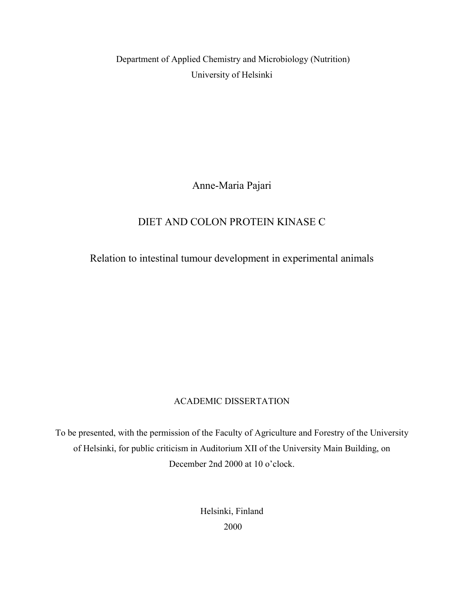Department of Applied Chemistry and Microbiology (Nutrition) University of Helsinki

Anne-Maria Pajari

# DIET AND COLON PROTEIN KINASE C

Relation to intestinal tumour development in experimental animals

# ACADEMIC DISSERTATION

To be presented, with the permission of the Faculty of Agriculture and Forestry of the University of Helsinki, for public criticism in Auditorium XII of the University Main Building, on December 2nd 2000 at 10 o'clock.

> Helsinki, Finland 2000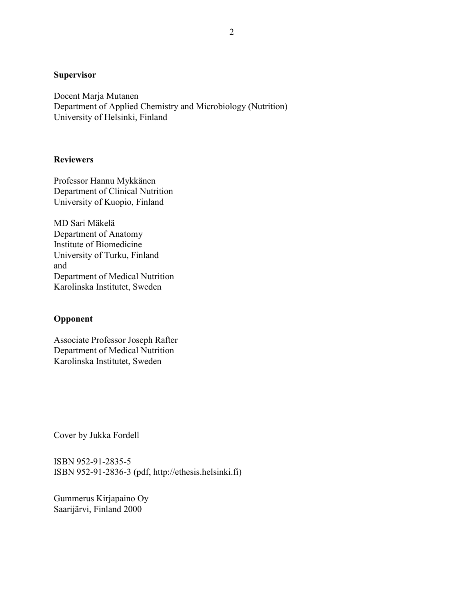### **Supervisor**

Docent Marja Mutanen Department of Applied Chemistry and Microbiology (Nutrition) University of Helsinki, Finland

### **Reviewers**

Professor Hannu Mykkänen Department of Clinical Nutrition University of Kuopio, Finland

MD Sari Mäkelä Department of Anatomy Institute of Biomedicine University of Turku, Finland and Department of Medical Nutrition Karolinska Institutet, Sweden

# **Opponent**

Associate Professor Joseph Rafter Department of Medical Nutrition Karolinska Institutet, Sweden

Cover by Jukka Fordell

ISBN 952-91-2835-5 ISBN 952-91-2836-3 (pdf, http://ethesis.helsinki.fi)

Gummerus Kirjapaino Oy Saarijärvi, Finland 2000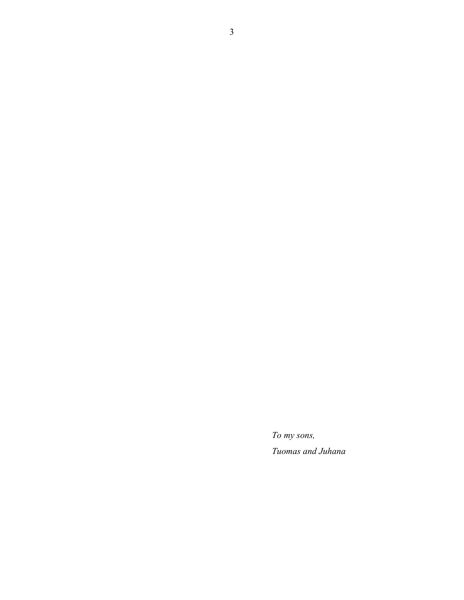*To my sons, Tuomas and Juhana*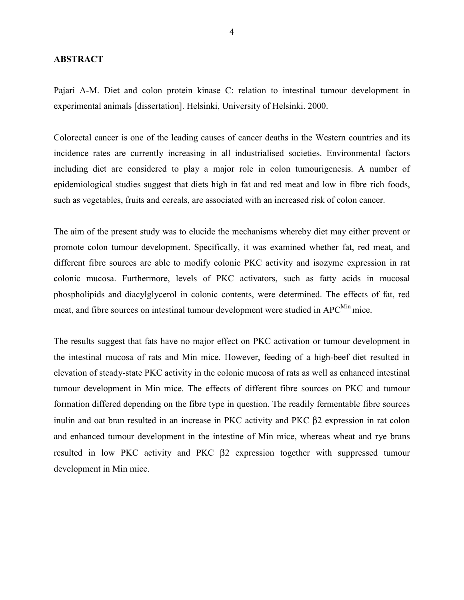#### **ABSTRACT**

Pajari A-M. Diet and colon protein kinase C: relation to intestinal tumour development in experimental animals [dissertation]. Helsinki, University of Helsinki. 2000.

Colorectal cancer is one of the leading causes of cancer deaths in the Western countries and its incidence rates are currently increasing in all industrialised societies. Environmental factors including diet are considered to play a major role in colon tumourigenesis. A number of epidemiological studies suggest that diets high in fat and red meat and low in fibre rich foods, such as vegetables, fruits and cereals, are associated with an increased risk of colon cancer.

The aim of the present study was to elucide the mechanisms whereby diet may either prevent or promote colon tumour development. Specifically, it was examined whether fat, red meat, and different fibre sources are able to modify colonic PKC activity and isozyme expression in rat colonic mucosa. Furthermore, levels of PKC activators, such as fatty acids in mucosal phospholipids and diacylglycerol in colonic contents, were determined. The effects of fat, red meat, and fibre sources on intestinal tumour development were studied in APC<sup>Min</sup> mice.

The results suggest that fats have no major effect on PKC activation or tumour development in the intestinal mucosa of rats and Min mice. However, feeding of a high-beef diet resulted in elevation of steady-state PKC activity in the colonic mucosa of rats as well as enhanced intestinal tumour development in Min mice. The effects of different fibre sources on PKC and tumour formation differed depending on the fibre type in question. The readily fermentable fibre sources inulin and oat bran resulted in an increase in PKC activity and PKC β2 expression in rat colon and enhanced tumour development in the intestine of Min mice, whereas wheat and rye brans resulted in low PKC activity and PKC β2 expression together with suppressed tumour development in Min mice.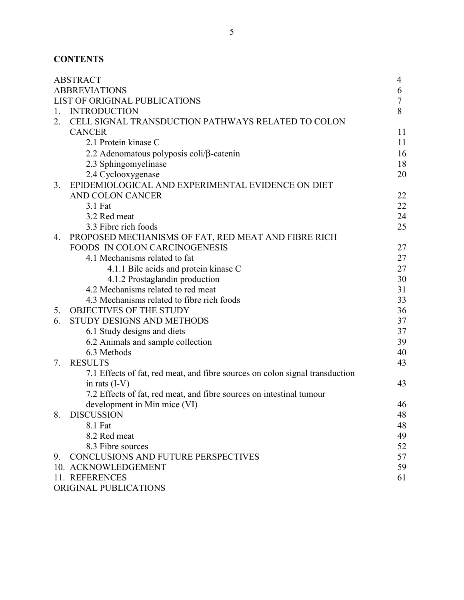# **CONTENTS**

|                               | <b>ABSTRACT</b>                                                              | 4              |
|-------------------------------|------------------------------------------------------------------------------|----------------|
| <b>ABBREVIATIONS</b>          |                                                                              |                |
| LIST OF ORIGINAL PUBLICATIONS |                                                                              | $\overline{7}$ |
| $1_{-}$                       | <b>INTRODUCTION</b>                                                          | 8              |
| 2.                            | CELL SIGNAL TRANSDUCTION PATHWAYS RELATED TO COLON                           |                |
|                               | <b>CANCER</b>                                                                | 11             |
|                               | 2.1 Protein kinase C                                                         | 11             |
|                               | 2.2 Adenomatous polyposis coli/ $\beta$ -catenin                             | 16             |
|                               | 2.3 Sphingomyelinase                                                         | 18             |
|                               | 2.4 Cyclooxygenase                                                           | 20             |
| 3.                            | EPIDEMIOLOGICAL AND EXPERIMENTAL EVIDENCE ON DIET                            |                |
|                               | AND COLON CANCER                                                             | 22             |
|                               | 3.1 Fat                                                                      | 22             |
|                               | 3.2 Red meat                                                                 | 24             |
|                               | 3.3 Fibre rich foods                                                         | 25             |
| 4.                            | PROPOSED MECHANISMS OF FAT, RED MEAT AND FIBRE RICH                          |                |
|                               | <b>FOODS IN COLON CARCINOGENESIS</b>                                         | 27             |
|                               | 4.1 Mechanisms related to fat                                                | 27             |
|                               | 4.1.1 Bile acids and protein kinase C                                        | 27             |
|                               | 4.1.2 Prostaglandin production                                               | 30             |
|                               | 4.2 Mechanisms related to red meat                                           | 31             |
|                               | 4.3 Mechanisms related to fibre rich foods                                   | 33             |
| 5.                            | <b>OBJECTIVES OF THE STUDY</b>                                               | 36             |
| 6.                            | STUDY DESIGNS AND METHODS                                                    | 37             |
|                               | 6.1 Study designs and diets                                                  | 37             |
|                               | 6.2 Animals and sample collection                                            | 39             |
|                               | 6.3 Methods                                                                  | 40             |
| 7.                            | <b>RESULTS</b>                                                               | 43             |
|                               | 7.1 Effects of fat, red meat, and fibre sources on colon signal transduction |                |
|                               | in rats $(I-V)$                                                              | 43             |
|                               | 7.2 Effects of fat, red meat, and fibre sources on intestinal tumour         |                |
|                               | development in Min mice (VI)                                                 | 46             |
| 8.                            | <b>DISCUSSION</b>                                                            | 48             |
|                               | 8.1 Fat                                                                      | 48             |
|                               | 8.2 Red meat                                                                 | 49             |
|                               | 8.3 Fibre sources                                                            | 52             |
|                               | 9. CONCLUSIONS AND FUTURE PERSPECTIVES                                       | 57             |
|                               | 10. ACKNOWLEDGEMENT                                                          | 59             |
|                               | 11. REFERENCES                                                               | 61             |
|                               | ORIGINAL PUBLICATIONS                                                        |                |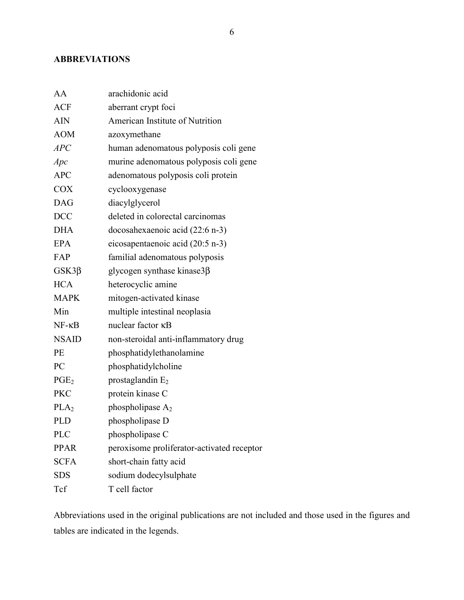## **ABBREVIATIONS**

| AA               | arachidonic acid                           |
|------------------|--------------------------------------------|
| <b>ACF</b>       | aberrant crypt foci                        |
| <b>AIN</b>       | American Institute of Nutrition            |
| <b>AOM</b>       | azoxymethane                               |
| APC              | human adenomatous polyposis coli gene      |
| Apc              | murine adenomatous polyposis coli gene     |
| <b>APC</b>       | adenomatous polyposis coli protein         |
| <b>COX</b>       | cyclooxygenase                             |
| <b>DAG</b>       | diacylglycerol                             |
| <b>DCC</b>       | deleted in colorectal carcinomas           |
| <b>DHA</b>       | docosahexaenoic acid (22:6 n-3)            |
| <b>EPA</b>       | eicosapentaenoic acid (20:5 n-3)           |
| FAP              | familial adenomatous polyposis             |
| $GSK3\beta$      | glycogen synthase kinase $3\beta$          |
| <b>HCA</b>       | heterocyclic amine                         |
| <b>MAPK</b>      | mitogen-activated kinase                   |
| Min              | multiple intestinal neoplasia              |
| $NF - \kappa B$  | nuclear factor <b>KB</b>                   |
| <b>NSAID</b>     | non-steroidal anti-inflammatory drug       |
| PE               | phosphatidylethanolamine                   |
| PC               | phosphatidylcholine                        |
| PGE <sub>2</sub> | prostaglandin $E_2$                        |
| <b>PKC</b>       | protein kinase C                           |
| PLA <sub>2</sub> | phospholipase $A_2$                        |
| <b>PLD</b>       | phospholipase D                            |
| <b>PLC</b>       | phospholipase C                            |
| <b>PPAR</b>      | peroxisome proliferator-activated receptor |
| <b>SCFA</b>      | short-chain fatty acid                     |
| <b>SDS</b>       | sodium dodecylsulphate                     |
| Tcf              | T cell factor                              |

Abbreviations used in the original publications are not included and those used in the figures and tables are indicated in the legends.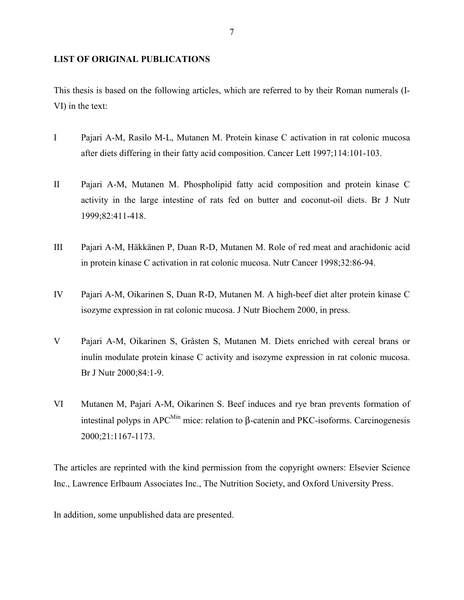# **LIST OF ORIGINAL PUBLICATIONS**

This thesis is based on the following articles, which are referred to by their Roman numerals (I-VI) in the text:

- I Pajari A-M, Rasilo M-L, Mutanen M. Protein kinase C activation in rat colonic mucosa after diets differing in their fatty acid composition. Cancer Lett 1997;114:101-103.
- II Pajari A-M, Mutanen M. Phospholipid fatty acid composition and protein kinase C activity in the large intestine of rats fed on butter and coconut-oil diets. Br J Nutr 1999;82:411-418.
- III Pajari A-M, Häkkänen P, Duan R-D, Mutanen M. Role of red meat and arachidonic acid in protein kinase C activation in rat colonic mucosa. Nutr Cancer 1998;32:86-94.
- IV Pajari A-M, Oikarinen S, Duan R-D, Mutanen M. A high-beef diet alter protein kinase C isozyme expression in rat colonic mucosa. J Nutr Biochem 2000, in press.
- V Pajari A-M, Oikarinen S, Gråsten S, Mutanen M. Diets enriched with cereal brans or inulin modulate protein kinase C activity and isozyme expression in rat colonic mucosa. Br J Nutr 2000;84:1-9.
- VI Mutanen M, Pajari A-M, Oikarinen S. Beef induces and rye bran prevents formation of intestinal polyps in  $APC<sup>Min</sup>$  mice: relation to β-catenin and PKC-isoforms. Carcinogenesis 2000;21:1167-1173.

The articles are reprinted with the kind permission from the copyright owners: Elsevier Science Inc., Lawrence Erlbaum Associates Inc., The Nutrition Society, and Oxford University Press.

In addition, some unpublished data are presented.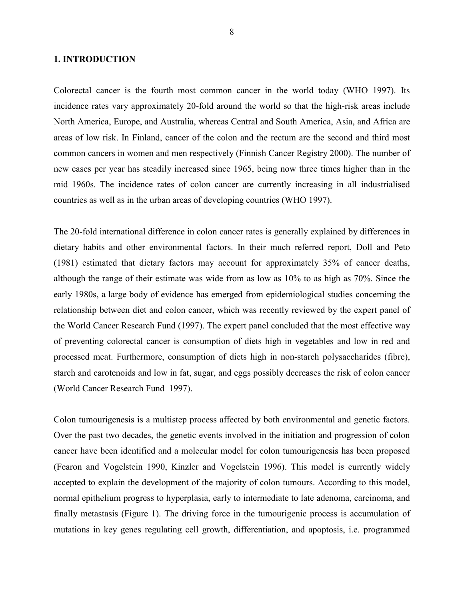#### **1. INTRODUCTION**

Colorectal cancer is the fourth most common cancer in the world today (WHO 1997). Its incidence rates vary approximately 20-fold around the world so that the high-risk areas include North America, Europe, and Australia, whereas Central and South America, Asia, and Africa are areas of low risk. In Finland, cancer of the colon and the rectum are the second and third most common cancers in women and men respectively (Finnish Cancer Registry 2000). The number of new cases per year has steadily increased since 1965, being now three times higher than in the mid 1960s. The incidence rates of colon cancer are currently increasing in all industrialised countries as well as in the urban areas of developing countries (WHO 1997).

The 20-fold international difference in colon cancer rates is generally explained by differences in dietary habits and other environmental factors. In their much referred report, Doll and Peto (1981) estimated that dietary factors may account for approximately 35% of cancer deaths, although the range of their estimate was wide from as low as 10% to as high as 70%. Since the early 1980s, a large body of evidence has emerged from epidemiological studies concerning the relationship between diet and colon cancer, which was recently reviewed by the expert panel of the World Cancer Research Fund (1997). The expert panel concluded that the most effective way of preventing colorectal cancer is consumption of diets high in vegetables and low in red and processed meat. Furthermore, consumption of diets high in non-starch polysaccharides (fibre), starch and carotenoids and low in fat, sugar, and eggs possibly decreases the risk of colon cancer (World Cancer Research Fund 1997).

Colon tumourigenesis is a multistep process affected by both environmental and genetic factors. Over the past two decades, the genetic events involved in the initiation and progression of colon cancer have been identified and a molecular model for colon tumourigenesis has been proposed (Fearon and Vogelstein 1990, Kinzler and Vogelstein 1996). This model is currently widely accepted to explain the development of the majority of colon tumours. According to this model, normal epithelium progress to hyperplasia, early to intermediate to late adenoma, carcinoma, and finally metastasis (Figure 1). The driving force in the tumourigenic process is accumulation of mutations in key genes regulating cell growth, differentiation, and apoptosis, i.e. programmed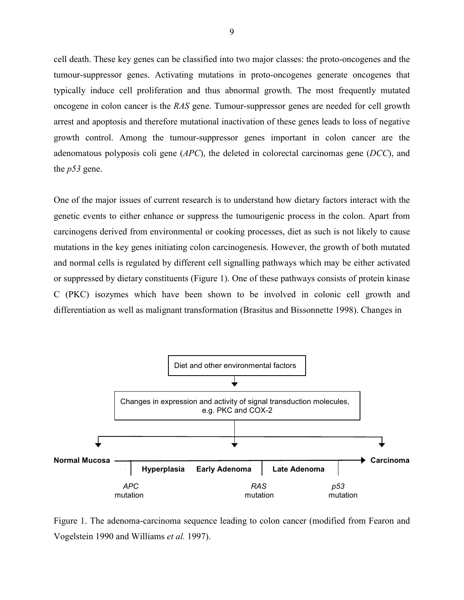cell death. These key genes can be classified into two major classes: the proto-oncogenes and the tumour-suppressor genes. Activating mutations in proto-oncogenes generate oncogenes that typically induce cell proliferation and thus abnormal growth. The most frequently mutated oncogene in colon cancer is the *RAS* gene. Tumour-suppressor genes are needed for cell growth arrest and apoptosis and therefore mutational inactivation of these genes leads to loss of negative growth control. Among the tumour-suppressor genes important in colon cancer are the adenomatous polyposis coli gene (*APC*), the deleted in colorectal carcinomas gene (*DCC*), and the *p53* gene.

One of the major issues of current research is to understand how dietary factors interact with the genetic events to either enhance or suppress the tumourigenic process in the colon. Apart from carcinogens derived from environmental or cooking processes, diet as such is not likely to cause mutations in the key genes initiating colon carcinogenesis. However, the growth of both mutated and normal cells is regulated by different cell signalling pathways which may be either activated or suppressed by dietary constituents (Figure 1). One of these pathways consists of protein kinase C (PKC) isozymes which have been shown to be involved in colonic cell growth and differentiation as well as malignant transformation (Brasitus and Bissonnette 1998). Changes in



Figure 1. The adenoma-carcinoma sequence leading to colon cancer (modified from Fearon and Vogelstein 1990 and Williams *et al.* 1997).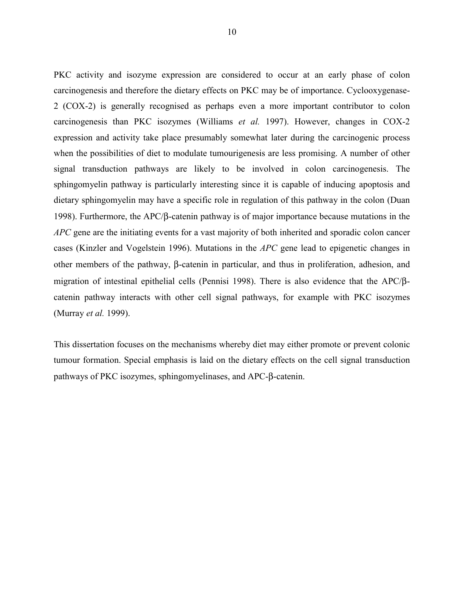PKC activity and isozyme expression are considered to occur at an early phase of colon carcinogenesis and therefore the dietary effects on PKC may be of importance. Cyclooxygenase-2 (COX-2) is generally recognised as perhaps even a more important contributor to colon carcinogenesis than PKC isozymes (Williams *et al.* 1997). However, changes in COX-2 expression and activity take place presumably somewhat later during the carcinogenic process when the possibilities of diet to modulate tumourigenesis are less promising. A number of other signal transduction pathways are likely to be involved in colon carcinogenesis. The sphingomyelin pathway is particularly interesting since it is capable of inducing apoptosis and dietary sphingomyelin may have a specific role in regulation of this pathway in the colon (Duan 1998). Furthermore, the APC/β-catenin pathway is of major importance because mutations in the *APC* gene are the initiating events for a vast majority of both inherited and sporadic colon cancer cases (Kinzler and Vogelstein 1996). Mutations in the *APC* gene lead to epigenetic changes in other members of the pathway, β-catenin in particular, and thus in proliferation, adhesion, and migration of intestinal epithelial cells (Pennisi 1998). There is also evidence that the APC/βcatenin pathway interacts with other cell signal pathways, for example with PKC isozymes (Murray *et al.* 1999).

This dissertation focuses on the mechanisms whereby diet may either promote or prevent colonic tumour formation. Special emphasis is laid on the dietary effects on the cell signal transduction pathways of PKC isozymes, sphingomyelinases, and APC-β-catenin.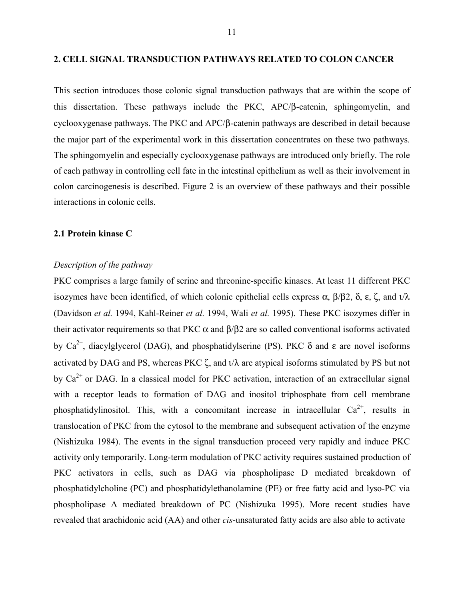#### **2. CELL SIGNAL TRANSDUCTION PATHWAYS RELATED TO COLON CANCER**

This section introduces those colonic signal transduction pathways that are within the scope of this dissertation. These pathways include the PKC, APC/β-catenin, sphingomyelin, and cyclooxygenase pathways. The PKC and APC/β-catenin pathways are described in detail because the major part of the experimental work in this dissertation concentrates on these two pathways. The sphingomyelin and especially cyclooxygenase pathways are introduced only briefly. The role of each pathway in controlling cell fate in the intestinal epithelium as well as their involvement in colon carcinogenesis is described. Figure 2 is an overview of these pathways and their possible interactions in colonic cells.

### **2.1 Protein kinase C**

#### *Description of the pathway*

PKC comprises a large family of serine and threonine-specific kinases. At least 11 different PKC isozymes have been identified, of which colonic epithelial cells express α, β/β2, δ, ε, ζ, and ι/λ (Davidson *et al.* 1994, Kahl-Reiner *et al.* 1994, Wali *et al.* 1995). These PKC isozymes differ in their activator requirements so that PKC  $\alpha$  and  $\beta/\beta$ 2 are so called conventional isoforms activated by  $Ca^{2+}$ , diacylglycerol (DAG), and phosphatidylserine (PS). PKC  $\delta$  and  $\varepsilon$  are novel isoforms activated by DAG and PS, whereas PKC  $\zeta$ , and  $\iota/\lambda$  are atypical isoforms stimulated by PS but not by  $Ca<sup>2+</sup>$  or DAG. In a classical model for PKC activation, interaction of an extracellular signal with a receptor leads to formation of DAG and inositol triphosphate from cell membrane phosphatidylinositol. This, with a concomitant increase in intracellular  $Ca^{2+}$ , results in translocation of PKC from the cytosol to the membrane and subsequent activation of the enzyme (Nishizuka 1984). The events in the signal transduction proceed very rapidly and induce PKC activity only temporarily. Long-term modulation of PKC activity requires sustained production of PKC activators in cells, such as DAG via phospholipase D mediated breakdown of phosphatidylcholine (PC) and phosphatidylethanolamine (PE) or free fatty acid and lyso-PC via phospholipase A mediated breakdown of PC (Nishizuka 1995). More recent studies have revealed that arachidonic acid (AA) and other *cis*-unsaturated fatty acids are also able to activate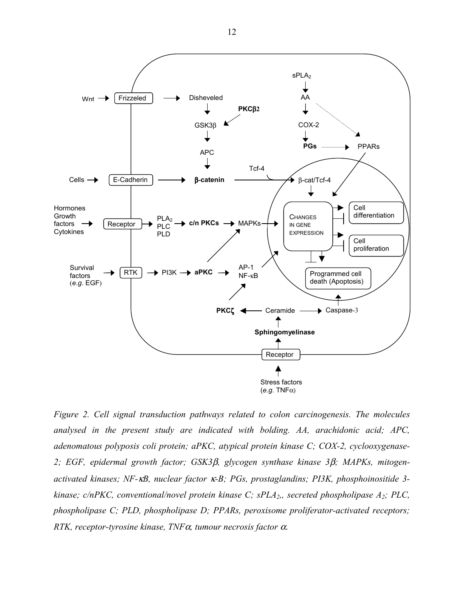

*Figure 2. Cell signal transduction pathways related to colon carcinogenesis. The molecules analysed in the present study are indicated with bolding. AA, arachidonic acid; APC, adenomatous polyposis coli protein; aPKC, atypical protein kinase C; COX-2, cyclooxygenase-2; EGF, epidermal growth factor; GSK3*β*, glycogen synthase kinase 3*β*; MAPKs, mitogenactivated kinases; NF-*κ*B, nuclear factor* κ*-B; PGs, prostaglandins; PI3K, phosphoinositide 3 kinase; c/nPKC, conventional/novel protein kinase C; sPLA2,, secreted phospholipase A2; PLC, phospholipase C; PLD, phospholipase D; PPARs, peroxisome proliferator-activated receptors; RTK, receptor-tyrosine kinase, TNF*α*, tumour necrosis factor* α.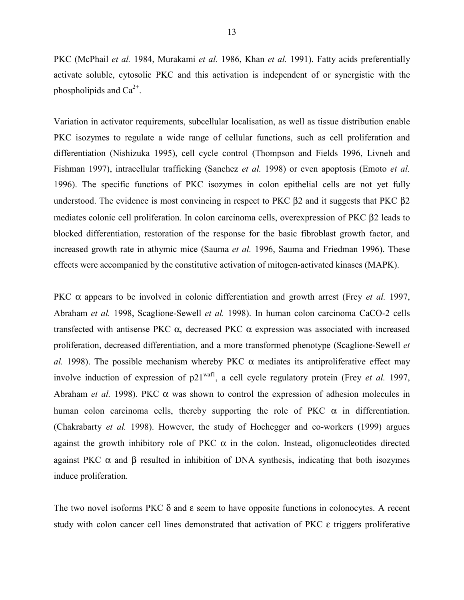PKC (McPhail *et al.* 1984, Murakami *et al.* 1986, Khan *et al.* 1991). Fatty acids preferentially activate soluble, cytosolic PKC and this activation is independent of or synergistic with the phospholipids and  $Ca^{2+}$ .

Variation in activator requirements, subcellular localisation, as well as tissue distribution enable PKC isozymes to regulate a wide range of cellular functions, such as cell proliferation and differentiation (Nishizuka 1995), cell cycle control (Thompson and Fields 1996, Livneh and Fishman 1997), intracellular trafficking (Sanchez *et al.* 1998) or even apoptosis (Emoto *et al.* 1996). The specific functions of PKC isozymes in colon epithelial cells are not yet fully understood. The evidence is most convincing in respect to PKC β2 and it suggests that PKC β2 mediates colonic cell proliferation. In colon carcinoma cells, overexpression of PKC β2 leads to blocked differentiation, restoration of the response for the basic fibroblast growth factor, and increased growth rate in athymic mice (Sauma *et al.* 1996, Sauma and Friedman 1996). These effects were accompanied by the constitutive activation of mitogen-activated kinases (MAPK).

PKC α appears to be involved in colonic differentiation and growth arrest (Frey *et al.* 1997, Abraham *et al.* 1998, Scaglione-Sewell *et al.* 1998). In human colon carcinoma CaCO-2 cells transfected with antisense PKC α, decreased PKC α expression was associated with increased proliferation, decreased differentiation, and a more transformed phenotype (Scaglione-Sewell *et al.* 1998). The possible mechanism whereby PKC  $\alpha$  mediates its antiproliferative effect may involve induction of expression of p21waf1, a cell cycle regulatory protein (Frey *et al.* 1997, Abraham *et al.* 1998). PKC α was shown to control the expression of adhesion molecules in human colon carcinoma cells, thereby supporting the role of PKC  $\alpha$  in differentiation. (Chakrabarty *et al.* 1998). However, the study of Hochegger and co-workers (1999) argues against the growth inhibitory role of PKC  $\alpha$  in the colon. Instead, oligonucleotides directed against PKC  $\alpha$  and  $\beta$  resulted in inhibition of DNA synthesis, indicating that both isozymes induce proliferation.

The two novel isoforms PKC  $\delta$  and  $\varepsilon$  seem to have opposite functions in colonocytes. A recent study with colon cancer cell lines demonstrated that activation of PKC ε triggers proliferative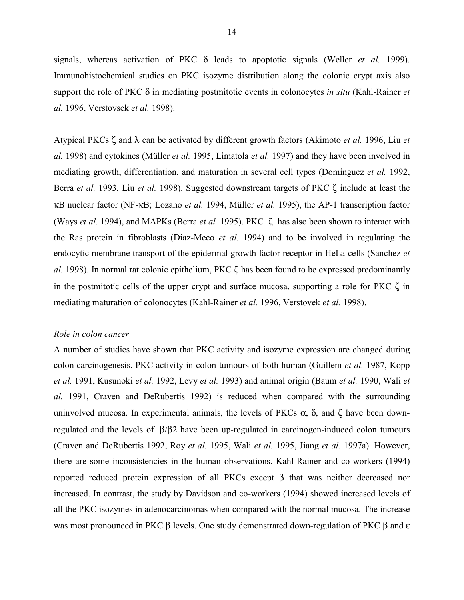signals, whereas activation of PKC δ leads to apoptotic signals (Weller *et al.* 1999). Immunohistochemical studies on PKC isozyme distribution along the colonic crypt axis also support the role of PKC δ in mediating postmitotic events in colonocytes *in situ* (Kahl-Rainer *et al.* 1996, Verstovsek *et al.* 1998).

Atypical PKCs ζ and λ can be activated by different growth factors (Akimoto *et al.* 1996, Liu *et al.* 1998) and cytokines (Müller *et al.* 1995, Limatola *et al.* 1997) and they have been involved in mediating growth, differentiation, and maturation in several cell types (Dominguez *et al.* 1992, Berra *et al.* 1993, Liu *et al.* 1998). Suggested downstream targets of PKC ζ include at least the κB nuclear factor (NF-κB; Lozano *et al.* 1994, Müller *et al.* 1995), the AP-1 transcription factor (Ways *et al.* 1994), and MAPKs (Berra *et al.* 1995). PKC ζ has also been shown to interact with the Ras protein in fibroblasts (Diaz-Meco *et al.* 1994) and to be involved in regulating the endocytic membrane transport of the epidermal growth factor receptor in HeLa cells (Sanchez *et al.* 1998). In normal rat colonic epithelium, PKC ζ has been found to be expressed predominantly in the postmitotic cells of the upper crypt and surface mucosa, supporting a role for PKC  $\zeta$  in mediating maturation of colonocytes (Kahl-Rainer *et al.* 1996, Verstovek *et al.* 1998).

#### *Role in colon cancer*

A number of studies have shown that PKC activity and isozyme expression are changed during colon carcinogenesis. PKC activity in colon tumours of both human (Guillem *et al.* 1987, Kopp *et al.* 1991, Kusunoki *et al.* 1992, Levy *et al.* 1993) and animal origin (Baum *et al.* 1990, Wali *et al.* 1991, Craven and DeRubertis 1992) is reduced when compared with the surrounding uninvolved mucosa. In experimental animals, the levels of PKCs  $\alpha$ ,  $\delta$ , and ζ have been downregulated and the levels of β/β2 have been up-regulated in carcinogen-induced colon tumours (Craven and DeRubertis 1992, Roy *et al.* 1995, Wali *et al.* 1995, Jiang *et al.* 1997a). However, there are some inconsistencies in the human observations. Kahl-Rainer and co-workers (1994) reported reduced protein expression of all PKCs except β that was neither decreased nor increased. In contrast, the study by Davidson and co-workers (1994) showed increased levels of all the PKC isozymes in adenocarcinomas when compared with the normal mucosa. The increase was most pronounced in PKC β levels. One study demonstrated down-regulation of PKC β and ε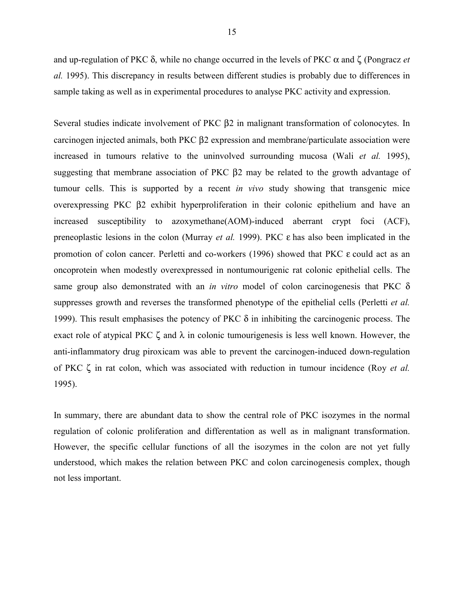and up-regulation of PKC  $\delta$ , while no change occurred in the levels of PKC  $\alpha$  and  $\zeta$  (Pongracz *et*) *al.* 1995). This discrepancy in results between different studies is probably due to differences in sample taking as well as in experimental procedures to analyse PKC activity and expression.

Several studies indicate involvement of PKC β2 in malignant transformation of colonocytes. In carcinogen injected animals, both PKC β2 expression and membrane/particulate association were increased in tumours relative to the uninvolved surrounding mucosa (Wali *et al.* 1995), suggesting that membrane association of PKC β2 may be related to the growth advantage of tumour cells. This is supported by a recent *in vivo* study showing that transgenic mice overexpressing PKC β2 exhibit hyperproliferation in their colonic epithelium and have an increased susceptibility to azoxymethane(AOM)-induced aberrant crypt foci (ACF), preneoplastic lesions in the colon (Murray *et al.* 1999). PKC ε has also been implicated in the promotion of colon cancer. Perletti and co-workers (1996) showed that PKC ε could act as an oncoprotein when modestly overexpressed in nontumourigenic rat colonic epithelial cells. The same group also demonstrated with an *in vitro* model of colon carcinogenesis that PKC δ suppresses growth and reverses the transformed phenotype of the epithelial cells (Perletti *et al.* 1999). This result emphasises the potency of PKC  $\delta$  in inhibiting the carcinogenic process. The exact role of atypical PKC  $\zeta$  and  $\lambda$  in colonic tumourigenesis is less well known. However, the anti-inflammatory drug piroxicam was able to prevent the carcinogen-induced down-regulation of PKC ζ in rat colon, which was associated with reduction in tumour incidence (Roy *et al.* 1995).

In summary, there are abundant data to show the central role of PKC isozymes in the normal regulation of colonic proliferation and differentation as well as in malignant transformation. However, the specific cellular functions of all the isozymes in the colon are not yet fully understood, which makes the relation between PKC and colon carcinogenesis complex, though not less important.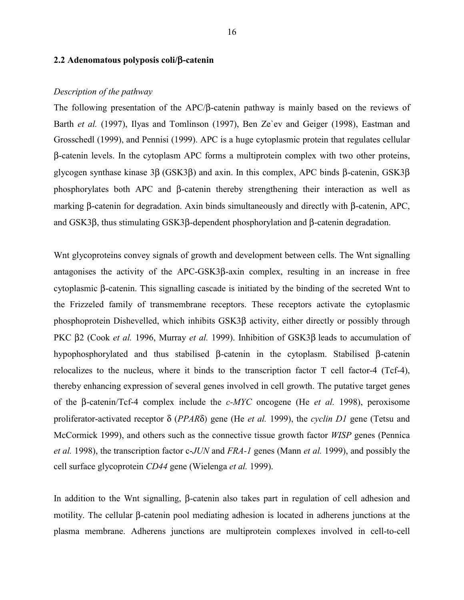#### **2.2 Adenomatous polyposis coli/**β**-catenin**

#### *Description of the pathway*

The following presentation of the APC/β-catenin pathway is mainly based on the reviews of Barth *et al.* (1997), Ilyas and Tomlinson (1997), Ben Ze`ev and Geiger (1998), Eastman and Grosschedl (1999), and Pennisi (1999). APC is a huge cytoplasmic protein that regulates cellular β-catenin levels. In the cytoplasm APC forms a multiprotein complex with two other proteins, glycogen synthase kinase 3β (GSK3β) and axin. In this complex, APC binds β-catenin, GSK3β phosphorylates both APC and β-catenin thereby strengthening their interaction as well as marking β-catenin for degradation. Axin binds simultaneously and directly with β-catenin, APC, and GSK3β, thus stimulating GSK3β-dependent phosphorylation and β-catenin degradation.

Whet glycoproteins convey signals of growth and development between cells. The Wnt signalling antagonises the activity of the APC-GSK3β-axin complex, resulting in an increase in free cytoplasmic β-catenin. This signalling cascade is initiated by the binding of the secreted Wnt to the Frizzeled family of transmembrane receptors. These receptors activate the cytoplasmic phosphoprotein Dishevelled, which inhibits GSK3β activity, either directly or possibly through PKC β2 (Cook *et al.* 1996, Murray *et al.* 1999). Inhibition of GSK3β leads to accumulation of hypophosphorylated and thus stabilised β-catenin in the cytoplasm. Stabilised β-catenin relocalizes to the nucleus, where it binds to the transcription factor T cell factor-4 (Tcf-4), thereby enhancing expression of several genes involved in cell growth. The putative target genes of the β-catenin/Tcf-4 complex include the *c-MYC* oncogene (He *et al.* 1998), peroxisome proliferator-activated receptor δ (*PPAR*δ) gene (He *et al.* 1999), the *cyclin D1* gene (Tetsu and McCormick 1999), and others such as the connective tissue growth factor *WISP* genes (Pennica *et al.* 1998), the transcription factor c-*JUN* and *FRA-1* genes (Mann *et al.* 1999), and possibly the cell surface glycoprotein *CD44* gene (Wielenga *et al.* 1999).

In addition to the Wnt signalling, β-catenin also takes part in regulation of cell adhesion and motility. The cellular β-catenin pool mediating adhesion is located in adherens junctions at the plasma membrane. Adherens junctions are multiprotein complexes involved in cell-to-cell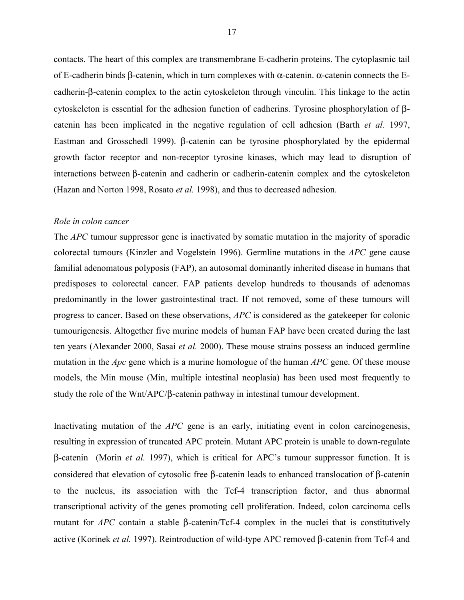contacts. The heart of this complex are transmembrane E-cadherin proteins. The cytoplasmic tail of E-cadherin binds β-catenin, which in turn complexes with α-catenin. α-catenin connects the Ecadherin-β-catenin complex to the actin cytoskeleton through vinculin. This linkage to the actin cytoskeleton is essential for the adhesion function of cadherins. Tyrosine phosphorylation of βcatenin has been implicated in the negative regulation of cell adhesion (Barth *et al.* 1997, Eastman and Grosschedl 1999). β-catenin can be tyrosine phosphorylated by the epidermal growth factor receptor and non-receptor tyrosine kinases, which may lead to disruption of interactions between β-catenin and cadherin or cadherin-catenin complex and the cytoskeleton (Hazan and Norton 1998, Rosato *et al.* 1998), and thus to decreased adhesion.

#### *Role in colon cancer*

The *APC* tumour suppressor gene is inactivated by somatic mutation in the majority of sporadic colorectal tumours (Kinzler and Vogelstein 1996). Germline mutations in the *APC* gene cause familial adenomatous polyposis (FAP), an autosomal dominantly inherited disease in humans that predisposes to colorectal cancer. FAP patients develop hundreds to thousands of adenomas predominantly in the lower gastrointestinal tract. If not removed, some of these tumours will progress to cancer. Based on these observations, *APC* is considered as the gatekeeper for colonic tumourigenesis. Altogether five murine models of human FAP have been created during the last ten years (Alexander 2000, Sasai *et al.* 2000). These mouse strains possess an induced germline mutation in the *Apc* gene which is a murine homologue of the human *APC* gene. Of these mouse models, the Min mouse (Min, multiple intestinal neoplasia) has been used most frequently to study the role of the Wnt/APC/β-catenin pathway in intestinal tumour development.

Inactivating mutation of the *APC* gene is an early, initiating event in colon carcinogenesis, resulting in expression of truncated APC protein. Mutant APC protein is unable to down-regulate β-catenin (Morin *et al.* 1997), which is critical for APC's tumour suppressor function. It is considered that elevation of cytosolic free β-catenin leads to enhanced translocation of β-catenin to the nucleus, its association with the Tcf-4 transcription factor, and thus abnormal transcriptional activity of the genes promoting cell proliferation. Indeed, colon carcinoma cells mutant for *APC* contain a stable β-catenin/Tcf-4 complex in the nuclei that is constitutively active (Korinek *et al.* 1997). Reintroduction of wild-type APC removed β-catenin from Tcf-4 and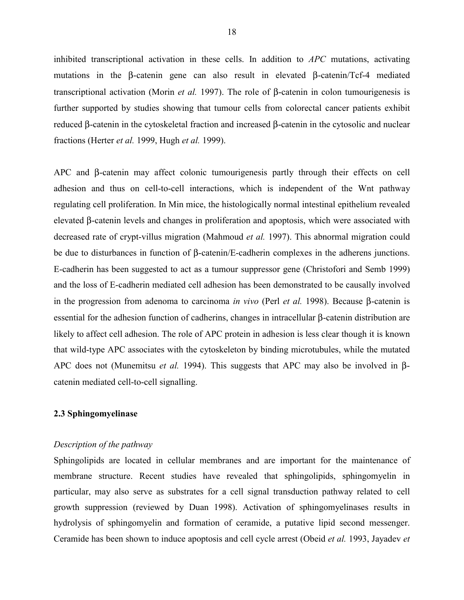inhibited transcriptional activation in these cells. In addition to *APC* mutations, activating mutations in the β-catenin gene can also result in elevated β-catenin/Tcf-4 mediated transcriptional activation (Morin *et al.* 1997). The role of β-catenin in colon tumourigenesis is further supported by studies showing that tumour cells from colorectal cancer patients exhibit reduced β-catenin in the cytoskeletal fraction and increased β-catenin in the cytosolic and nuclear fractions (Herter *et al.* 1999, Hugh *et al.* 1999).

APC and β-catenin may affect colonic tumourigenesis partly through their effects on cell adhesion and thus on cell-to-cell interactions, which is independent of the Wnt pathway regulating cell proliferation. In Min mice, the histologically normal intestinal epithelium revealed elevated β-catenin levels and changes in proliferation and apoptosis, which were associated with decreased rate of crypt-villus migration (Mahmoud *et al.* 1997). This abnormal migration could be due to disturbances in function of β-catenin/E-cadherin complexes in the adherens junctions. E-cadherin has been suggested to act as a tumour suppressor gene (Christofori and Semb 1999) and the loss of E-cadherin mediated cell adhesion has been demonstrated to be causally involved in the progression from adenoma to carcinoma *in vivo* (Perl *et al.* 1998). Because β-catenin is essential for the adhesion function of cadherins, changes in intracellular β-catenin distribution are likely to affect cell adhesion. The role of APC protein in adhesion is less clear though it is known that wild-type APC associates with the cytoskeleton by binding microtubules, while the mutated APC does not (Munemitsu *et al.* 1994). This suggests that APC may also be involved in βcatenin mediated cell-to-cell signalling.

#### **2.3 Sphingomyelinase**

#### *Description of the pathway*

Sphingolipids are located in cellular membranes and are important for the maintenance of membrane structure. Recent studies have revealed that sphingolipids, sphingomyelin in particular, may also serve as substrates for a cell signal transduction pathway related to cell growth suppression (reviewed by Duan 1998). Activation of sphingomyelinases results in hydrolysis of sphingomyelin and formation of ceramide, a putative lipid second messenger. Ceramide has been shown to induce apoptosis and cell cycle arrest (Obeid *et al.* 1993, Jayadev *et*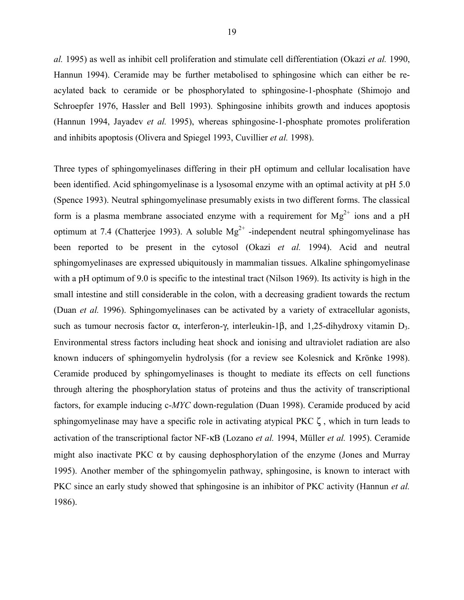*al.* 1995) as well as inhibit cell proliferation and stimulate cell differentiation (Okazi *et al.* 1990, Hannun 1994). Ceramide may be further metabolised to sphingosine which can either be reacylated back to ceramide or be phosphorylated to sphingosine-1-phosphate (Shimojo and Schroepfer 1976, Hassler and Bell 1993). Sphingosine inhibits growth and induces apoptosis (Hannun 1994, Jayadev *et al.* 1995), whereas sphingosine-1-phosphate promotes proliferation and inhibits apoptosis (Olivera and Spiegel 1993, Cuvillier *et al.* 1998).

Three types of sphingomyelinases differing in their pH optimum and cellular localisation have been identified. Acid sphingomyelinase is a lysosomal enzyme with an optimal activity at pH 5.0 (Spence 1993). Neutral sphingomyelinase presumably exists in two different forms. The classical form is a plasma membrane associated enzyme with a requirement for  $Mg^{2+}$  ions and a pH optimum at 7.4 (Chatterjee 1993). A soluble  $Mg^{2+}$ -independent neutral sphingomyelinase has been reported to be present in the cytosol (Okazi *et al.* 1994). Acid and neutral sphingomyelinases are expressed ubiquitously in mammalian tissues. Alkaline sphingomyelinase with a pH optimum of 9.0 is specific to the intestinal tract (Nilson 1969). Its activity is high in the small intestine and still considerable in the colon, with a decreasing gradient towards the rectum (Duan *et al.* 1996). Sphingomyelinases can be activated by a variety of extracellular agonists, such as tumour necrosis factor  $\alpha$ , interferon-γ, interleukin-1β, and 1,25-dihydroxy vitamin D<sub>3</sub>. Environmental stress factors including heat shock and ionising and ultraviolet radiation are also known inducers of sphingomyelin hydrolysis (for a review see Kolesnick and Krönke 1998). Ceramide produced by sphingomyelinases is thought to mediate its effects on cell functions through altering the phosphorylation status of proteins and thus the activity of transcriptional factors, for example inducing c-*MYC* down-regulation (Duan 1998). Ceramide produced by acid sphingomyelinase may have a specific role in activating atypical PKC  $\zeta$ , which in turn leads to activation of the transcriptional factor NF-κB (Lozano *et al.* 1994, Müller *et al.* 1995). Ceramide might also inactivate PKC  $\alpha$  by causing dephosphorylation of the enzyme (Jones and Murray 1995). Another member of the sphingomyelin pathway, sphingosine, is known to interact with PKC since an early study showed that sphingosine is an inhibitor of PKC activity (Hannun *et al.* 1986).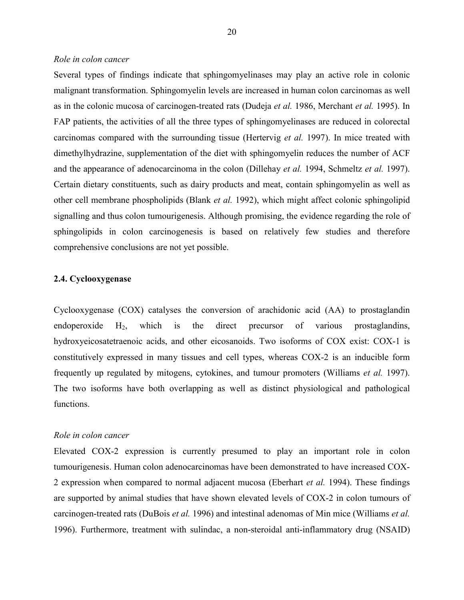#### *Role in colon cancer*

Several types of findings indicate that sphingomyelinases may play an active role in colonic malignant transformation. Sphingomyelin levels are increased in human colon carcinomas as well as in the colonic mucosa of carcinogen-treated rats (Dudeja *et al.* 1986, Merchant *et al.* 1995). In FAP patients, the activities of all the three types of sphingomyelinases are reduced in colorectal carcinomas compared with the surrounding tissue (Hertervig *et al.* 1997). In mice treated with dimethylhydrazine, supplementation of the diet with sphingomyelin reduces the number of ACF and the appearance of adenocarcinoma in the colon (Dillehay *et al.* 1994, Schmeltz *et al.* 1997). Certain dietary constituents, such as dairy products and meat, contain sphingomyelin as well as other cell membrane phospholipids (Blank *et al.* 1992), which might affect colonic sphingolipid signalling and thus colon tumourigenesis. Although promising, the evidence regarding the role of sphingolipids in colon carcinogenesis is based on relatively few studies and therefore comprehensive conclusions are not yet possible.

#### **2.4. Cyclooxygenase**

Cyclooxygenase (COX) catalyses the conversion of arachidonic acid (AA) to prostaglandin endoperoxide  $H_2$ , which is the direct precursor of various prostaglandins, hydroxyeicosatetraenoic acids, and other eicosanoids. Two isoforms of COX exist: COX-1 is constitutively expressed in many tissues and cell types, whereas COX-2 is an inducible form frequently up regulated by mitogens, cytokines, and tumour promoters (Williams *et al.* 1997). The two isoforms have both overlapping as well as distinct physiological and pathological functions.

#### *Role in colon cancer*

Elevated COX-2 expression is currently presumed to play an important role in colon tumourigenesis. Human colon adenocarcinomas have been demonstrated to have increased COX-2 expression when compared to normal adjacent mucosa (Eberhart *et al.* 1994). These findings are supported by animal studies that have shown elevated levels of COX-2 in colon tumours of carcinogen-treated rats (DuBois *et al.* 1996) and intestinal adenomas of Min mice (Williams *et al.* 1996). Furthermore, treatment with sulindac, a non-steroidal anti-inflammatory drug (NSAID)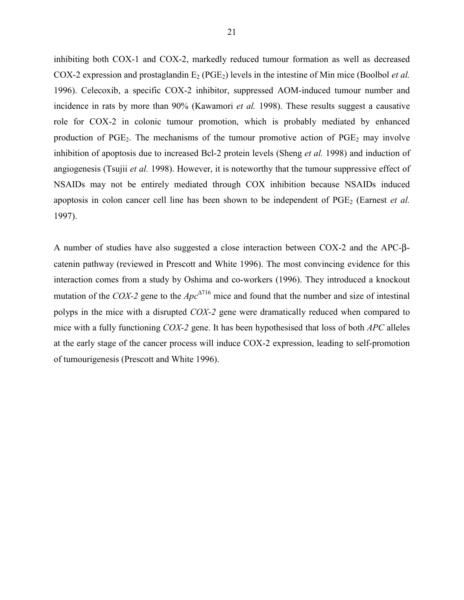inhibiting both COX-1 and COX-2, markedly reduced tumour formation as well as decreased COX-2 expression and prostaglandin  $E_2$  (PGE<sub>2</sub>) levels in the intestine of Min mice (Boolbol *et al.* 1996). Celecoxib, a specific COX-2 inhibitor, suppressed AOM-induced tumour number and incidence in rats by more than 90% (Kawamori *et al.* 1998). These results suggest a causative role for COX-2 in colonic tumour promotion, which is probably mediated by enhanced production of  $PGE_2$ . The mechanisms of the tumour promotive action of  $PGE_2$  may involve inhibition of apoptosis due to increased Bcl-2 protein levels (Sheng *et al.* 1998) and induction of angiogenesis (Tsujii *et al.* 1998). However, it is noteworthy that the tumour suppressive effect of NSAIDs may not be entirely mediated through COX inhibition because NSAIDs induced apoptosis in colon cancer cell line has been shown to be independent of PGE<sub>2</sub> (Earnest *et al.*) 1997).

A number of studies have also suggested a close interaction between COX-2 and the APC-βcatenin pathway (reviewed in Prescott and White 1996). The most convincing evidence for this interaction comes from a study by Oshima and co-workers (1996). They introduced a knockout mutation of the *COX-2* gene to the *Apc*<sup>∆</sup>716 mice and found that the number and size of intestinal polyps in the mice with a disrupted *COX-2* gene were dramatically reduced when compared to mice with a fully functioning *COX-2* gene. It has been hypothesised that loss of both *APC* alleles at the early stage of the cancer process will induce COX-2 expression, leading to self-promotion of tumourigenesis (Prescott and White 1996).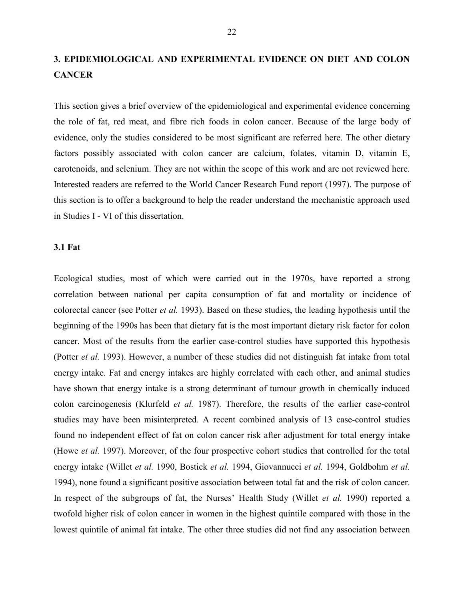# **3. EPIDEMIOLOGICAL AND EXPERIMENTAL EVIDENCE ON DIET AND COLON CANCER**

This section gives a brief overview of the epidemiological and experimental evidence concerning the role of fat, red meat, and fibre rich foods in colon cancer. Because of the large body of evidence, only the studies considered to be most significant are referred here. The other dietary factors possibly associated with colon cancer are calcium, folates, vitamin D, vitamin E, carotenoids, and selenium. They are not within the scope of this work and are not reviewed here. Interested readers are referred to the World Cancer Research Fund report (1997). The purpose of this section is to offer a background to help the reader understand the mechanistic approach used in Studies I - VI of this dissertation.

#### **3.1 Fat**

Ecological studies, most of which were carried out in the 1970s, have reported a strong correlation between national per capita consumption of fat and mortality or incidence of colorectal cancer (see Potter *et al.* 1993). Based on these studies, the leading hypothesis until the beginning of the 1990s has been that dietary fat is the most important dietary risk factor for colon cancer. Most of the results from the earlier case-control studies have supported this hypothesis (Potter *et al.* 1993). However, a number of these studies did not distinguish fat intake from total energy intake. Fat and energy intakes are highly correlated with each other, and animal studies have shown that energy intake is a strong determinant of tumour growth in chemically induced colon carcinogenesis (Klurfeld *et al.* 1987). Therefore, the results of the earlier case-control studies may have been misinterpreted. A recent combined analysis of 13 case-control studies found no independent effect of fat on colon cancer risk after adjustment for total energy intake (Howe *et al.* 1997). Moreover, of the four prospective cohort studies that controlled for the total energy intake (Willet *et al.* 1990, Bostick *et al.* 1994, Giovannucci *et al.* 1994, Goldbohm *et al.* 1994), none found a significant positive association between total fat and the risk of colon cancer. In respect of the subgroups of fat, the Nurses' Health Study (Willet *et al.* 1990) reported a twofold higher risk of colon cancer in women in the highest quintile compared with those in the lowest quintile of animal fat intake. The other three studies did not find any association between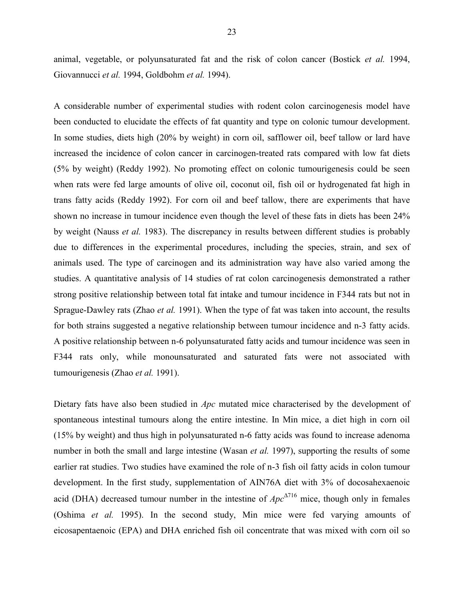animal, vegetable, or polyunsaturated fat and the risk of colon cancer (Bostick *et al.* 1994, Giovannucci *et al.* 1994, Goldbohm *et al.* 1994).

A considerable number of experimental studies with rodent colon carcinogenesis model have been conducted to elucidate the effects of fat quantity and type on colonic tumour development. In some studies, diets high (20% by weight) in corn oil, safflower oil, beef tallow or lard have increased the incidence of colon cancer in carcinogen-treated rats compared with low fat diets (5% by weight) (Reddy 1992). No promoting effect on colonic tumourigenesis could be seen when rats were fed large amounts of olive oil, coconut oil, fish oil or hydrogenated fat high in trans fatty acids (Reddy 1992). For corn oil and beef tallow, there are experiments that have shown no increase in tumour incidence even though the level of these fats in diets has been 24% by weight (Nauss *et al.* 1983). The discrepancy in results between different studies is probably due to differences in the experimental procedures, including the species, strain, and sex of animals used. The type of carcinogen and its administration way have also varied among the studies. A quantitative analysis of 14 studies of rat colon carcinogenesis demonstrated a rather strong positive relationship between total fat intake and tumour incidence in F344 rats but not in Sprague-Dawley rats (Zhao *et al.* 1991). When the type of fat was taken into account, the results for both strains suggested a negative relationship between tumour incidence and n-3 fatty acids. A positive relationship between n-6 polyunsaturated fatty acids and tumour incidence was seen in F344 rats only, while monounsaturated and saturated fats were not associated with tumourigenesis (Zhao *et al.* 1991).

Dietary fats have also been studied in *Apc* mutated mice characterised by the development of spontaneous intestinal tumours along the entire intestine. In Min mice, a diet high in corn oil (15% by weight) and thus high in polyunsaturated n-6 fatty acids was found to increase adenoma number in both the small and large intestine (Wasan *et al.* 1997), supporting the results of some earlier rat studies. Two studies have examined the role of n-3 fish oil fatty acids in colon tumour development. In the first study, supplementation of AIN76A diet with 3% of docosahexaenoic acid (DHA) decreased tumour number in the intestine of  $Apc^{\Delta T16}$  mice, though only in females (Oshima *et al.* 1995). In the second study, Min mice were fed varying amounts of eicosapentaenoic (EPA) and DHA enriched fish oil concentrate that was mixed with corn oil so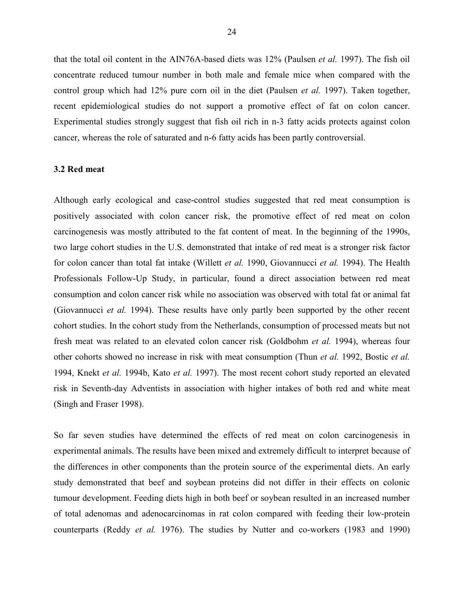that the total oil content in the AIN76A-based diets was 12% (Paulsen *et al.* 1997). The fish oil concentrate reduced tumour number in both male and female mice when compared with the control group which had 12% pure corn oil in the diet (Paulsen *et al.* 1997). Taken together, recent epidemiological studies do not support a promotive effect of fat on colon cancer. Experimental studies strongly suggest that fish oil rich in n-3 fatty acids protects against colon cancer, whereas the role of saturated and n-6 fatty acids has been partly controversial.

#### **3.2 Red meat**

Although early ecological and case-control studies suggested that red meat consumption is positively associated with colon cancer risk, the promotive effect of red meat on colon carcinogenesis was mostly attributed to the fat content of meat. In the beginning of the 1990s, two large cohort studies in the U.S. demonstrated that intake of red meat is a stronger risk factor for colon cancer than total fat intake (Willett *et al.* 1990, Giovannucci *et al.* 1994). The Health Professionals Follow-Up Study, in particular, found a direct association between red meat consumption and colon cancer risk while no association was observed with total fat or animal fat (Giovannucci *et al.* 1994). These results have only partly been supported by the other recent cohort studies. In the cohort study from the Netherlands, consumption of processed meats but not fresh meat was related to an elevated colon cancer risk (Goldbohm *et al.* 1994), whereas four other cohorts showed no increase in risk with meat consumption (Thun *et al.* 1992, Bostic *et al.* 1994, Knekt *et al.* 1994b, Kato *et al.* 1997). The most recent cohort study reported an elevated risk in Seventh-day Adventists in association with higher intakes of both red and white meat (Singh and Fraser 1998).

So far seven studies have determined the effects of red meat on colon carcinogenesis in experimental animals. The results have been mixed and extremely difficult to interpret because of the differences in other components than the protein source of the experimental diets. An early study demonstrated that beef and soybean proteins did not differ in their effects on colonic tumour development. Feeding diets high in both beef or soybean resulted in an increased number of total adenomas and adenocarcinomas in rat colon compared with feeding their low-protein counterparts (Reddy *et al.* 1976). The studies by Nutter and co-workers (1983 and 1990)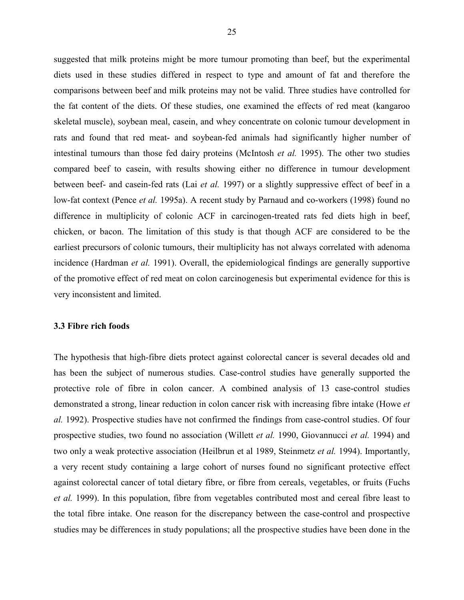suggested that milk proteins might be more tumour promoting than beef, but the experimental diets used in these studies differed in respect to type and amount of fat and therefore the comparisons between beef and milk proteins may not be valid. Three studies have controlled for the fat content of the diets. Of these studies, one examined the effects of red meat (kangaroo skeletal muscle), soybean meal, casein, and whey concentrate on colonic tumour development in rats and found that red meat- and soybean-fed animals had significantly higher number of intestinal tumours than those fed dairy proteins (McIntosh *et al.* 1995). The other two studies compared beef to casein, with results showing either no difference in tumour development between beef- and casein-fed rats (Lai *et al.* 1997) or a slightly suppressive effect of beef in a low-fat context (Pence *et al.* 1995a). A recent study by Parnaud and co-workers (1998) found no difference in multiplicity of colonic ACF in carcinogen-treated rats fed diets high in beef, chicken, or bacon. The limitation of this study is that though ACF are considered to be the earliest precursors of colonic tumours, their multiplicity has not always correlated with adenoma incidence (Hardman *et al.* 1991). Overall, the epidemiological findings are generally supportive of the promotive effect of red meat on colon carcinogenesis but experimental evidence for this is very inconsistent and limited.

#### **3.3 Fibre rich foods**

The hypothesis that high-fibre diets protect against colorectal cancer is several decades old and has been the subject of numerous studies. Case-control studies have generally supported the protective role of fibre in colon cancer. A combined analysis of 13 case-control studies demonstrated a strong, linear reduction in colon cancer risk with increasing fibre intake (Howe *et al.* 1992). Prospective studies have not confirmed the findings from case-control studies. Of four prospective studies, two found no association (Willett *et al.* 1990, Giovannucci *et al.* 1994) and two only a weak protective association (Heilbrun et al 1989, Steinmetz *et al.* 1994). Importantly, a very recent study containing a large cohort of nurses found no significant protective effect against colorectal cancer of total dietary fibre, or fibre from cereals, vegetables, or fruits (Fuchs *et al.* 1999). In this population, fibre from vegetables contributed most and cereal fibre least to the total fibre intake. One reason for the discrepancy between the case-control and prospective studies may be differences in study populations; all the prospective studies have been done in the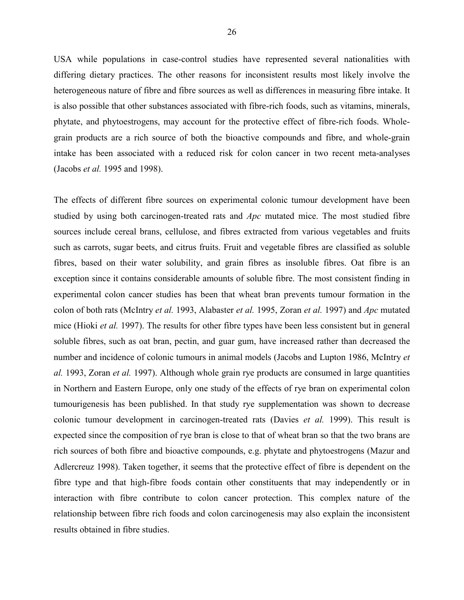USA while populations in case-control studies have represented several nationalities with differing dietary practices. The other reasons for inconsistent results most likely involve the heterogeneous nature of fibre and fibre sources as well as differences in measuring fibre intake. It is also possible that other substances associated with fibre-rich foods, such as vitamins, minerals, phytate, and phytoestrogens, may account for the protective effect of fibre-rich foods. Wholegrain products are a rich source of both the bioactive compounds and fibre, and whole-grain intake has been associated with a reduced risk for colon cancer in two recent meta-analyses (Jacobs *et al.* 1995 and 1998).

The effects of different fibre sources on experimental colonic tumour development have been studied by using both carcinogen-treated rats and *Apc* mutated mice. The most studied fibre sources include cereal brans, cellulose, and fibres extracted from various vegetables and fruits such as carrots, sugar beets, and citrus fruits. Fruit and vegetable fibres are classified as soluble fibres, based on their water solubility, and grain fibres as insoluble fibres. Oat fibre is an exception since it contains considerable amounts of soluble fibre. The most consistent finding in experimental colon cancer studies has been that wheat bran prevents tumour formation in the colon of both rats (McIntry *et al.* 1993, Alabaster *et al.* 1995, Zoran *et al.* 1997) and *Apc* mutated mice (Hioki *et al.* 1997). The results for other fibre types have been less consistent but in general soluble fibres, such as oat bran, pectin, and guar gum, have increased rather than decreased the number and incidence of colonic tumours in animal models (Jacobs and Lupton 1986, McIntry *et al.* 1993, Zoran *et al.* 1997). Although whole grain rye products are consumed in large quantities in Northern and Eastern Europe, only one study of the effects of rye bran on experimental colon tumourigenesis has been published. In that study rye supplementation was shown to decrease colonic tumour development in carcinogen-treated rats (Davies *et al.* 1999). This result is expected since the composition of rye bran is close to that of wheat bran so that the two brans are rich sources of both fibre and bioactive compounds, e.g. phytate and phytoestrogens (Mazur and Adlercreuz 1998). Taken together, it seems that the protective effect of fibre is dependent on the fibre type and that high-fibre foods contain other constituents that may independently or in interaction with fibre contribute to colon cancer protection. This complex nature of the relationship between fibre rich foods and colon carcinogenesis may also explain the inconsistent results obtained in fibre studies.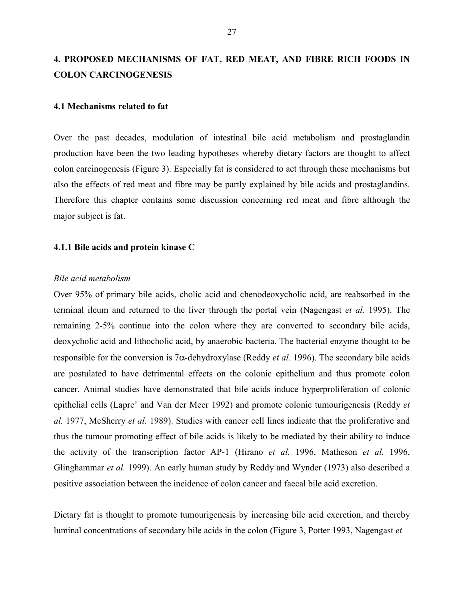# **4. PROPOSED MECHANISMS OF FAT, RED MEAT, AND FIBRE RICH FOODS IN COLON CARCINOGENESIS**

#### **4.1 Mechanisms related to fat**

Over the past decades, modulation of intestinal bile acid metabolism and prostaglandin production have been the two leading hypotheses whereby dietary factors are thought to affect colon carcinogenesis (Figure 3). Especially fat is considered to act through these mechanisms but also the effects of red meat and fibre may be partly explained by bile acids and prostaglandins. Therefore this chapter contains some discussion concerning red meat and fibre although the major subject is fat.

#### **4.1.1 Bile acids and protein kinase C**

### *Bile acid metabolism*

Over 95% of primary bile acids, cholic acid and chenodeoxycholic acid, are reabsorbed in the terminal ileum and returned to the liver through the portal vein (Nagengast *et al.* 1995). The remaining 2-5% continue into the colon where they are converted to secondary bile acids, deoxycholic acid and lithocholic acid, by anaerobic bacteria. The bacterial enzyme thought to be responsible for the conversion is 7α-dehydroxylase (Reddy *et al.* 1996). The secondary bile acids are postulated to have detrimental effects on the colonic epithelium and thus promote colon cancer. Animal studies have demonstrated that bile acids induce hyperproliferation of colonic epithelial cells (Lapre' and Van der Meer 1992) and promote colonic tumourigenesis (Reddy *et al.* 1977, McSherry *et al.* 1989). Studies with cancer cell lines indicate that the proliferative and thus the tumour promoting effect of bile acids is likely to be mediated by their ability to induce the activity of the transcription factor AP-1 (Hirano *et al.* 1996, Matheson *et al.* 1996, Glinghammar *et al.* 1999). An early human study by Reddy and Wynder (1973) also described a positive association between the incidence of colon cancer and faecal bile acid excretion.

Dietary fat is thought to promote tumourigenesis by increasing bile acid excretion, and thereby luminal concentrations of secondary bile acids in the colon (Figure 3, Potter 1993, Nagengast *et*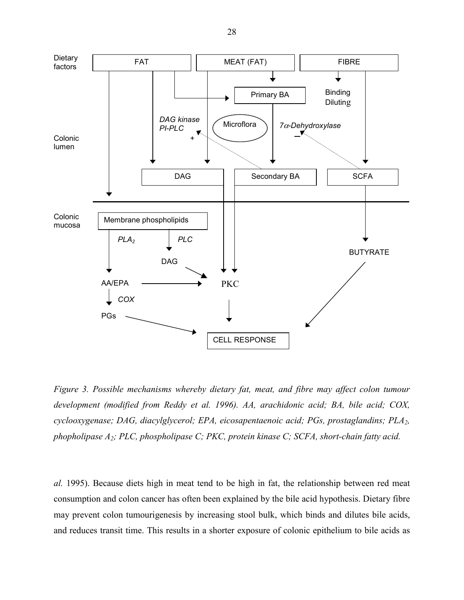

*Figure 3. Possible mechanisms whereby dietary fat, meat, and fibre may affect colon tumour development (modified from Reddy et al. 1996). AA, arachidonic acid; BA, bile acid; COX, cyclooxygenase; DAG, diacylglycerol; EPA, eicosapentaenoic acid; PGs, prostaglandins; PLA2, phopholipase A2; PLC, phospholipase C; PKC, protein kinase C; SCFA, short-chain fatty acid.*

*al.* 1995). Because diets high in meat tend to be high in fat, the relationship between red meat consumption and colon cancer has often been explained by the bile acid hypothesis. Dietary fibre may prevent colon tumourigenesis by increasing stool bulk, which binds and dilutes bile acids, and reduces transit time. This results in a shorter exposure of colonic epithelium to bile acids as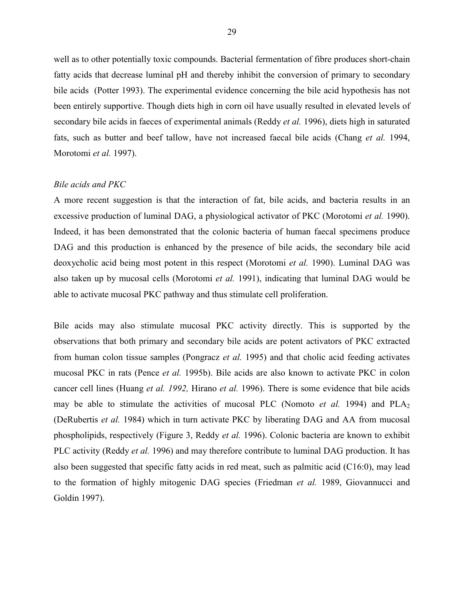well as to other potentially toxic compounds. Bacterial fermentation of fibre produces short-chain fatty acids that decrease luminal pH and thereby inhibit the conversion of primary to secondary bile acids (Potter 1993). The experimental evidence concerning the bile acid hypothesis has not been entirely supportive. Though diets high in corn oil have usually resulted in elevated levels of secondary bile acids in faeces of experimental animals (Reddy *et al.* 1996), diets high in saturated fats, such as butter and beef tallow, have not increased faecal bile acids (Chang *et al.* 1994, Morotomi *et al.* 1997).

#### *Bile acids and PKC*

A more recent suggestion is that the interaction of fat, bile acids, and bacteria results in an excessive production of luminal DAG, a physiological activator of PKC (Morotomi *et al.* 1990). Indeed, it has been demonstrated that the colonic bacteria of human faecal specimens produce DAG and this production is enhanced by the presence of bile acids, the secondary bile acid deoxycholic acid being most potent in this respect (Morotomi *et al.* 1990). Luminal DAG was also taken up by mucosal cells (Morotomi *et al.* 1991), indicating that luminal DAG would be able to activate mucosal PKC pathway and thus stimulate cell proliferation.

Bile acids may also stimulate mucosal PKC activity directly. This is supported by the observations that both primary and secondary bile acids are potent activators of PKC extracted from human colon tissue samples (Pongracz *et al.* 1995) and that cholic acid feeding activates mucosal PKC in rats (Pence *et al.* 1995b). Bile acids are also known to activate PKC in colon cancer cell lines (Huang *et al. 1992,* Hirano *et al.* 1996). There is some evidence that bile acids may be able to stimulate the activities of mucosal PLC (Nomoto *et al.* 1994) and  $PLA_2$ (DeRubertis *et al.* 1984) which in turn activate PKC by liberating DAG and AA from mucosal phospholipids, respectively (Figure 3, Reddy *et al.* 1996). Colonic bacteria are known to exhibit PLC activity (Reddy *et al.* 1996) and may therefore contribute to luminal DAG production. It has also been suggested that specific fatty acids in red meat, such as palmitic acid (C16:0), may lead to the formation of highly mitogenic DAG species (Friedman *et al.* 1989, Giovannucci and Goldin 1997).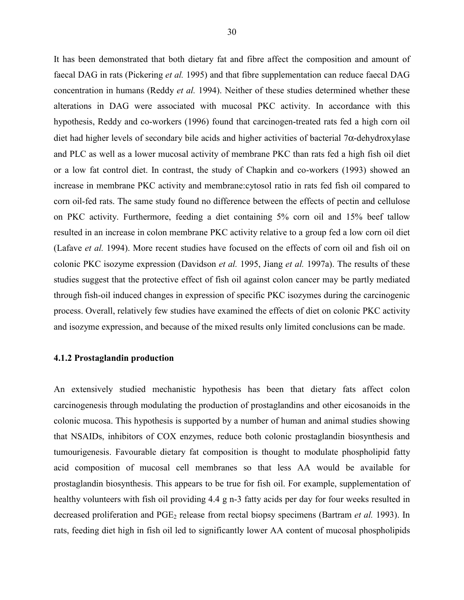It has been demonstrated that both dietary fat and fibre affect the composition and amount of faecal DAG in rats (Pickering *et al.* 1995) and that fibre supplementation can reduce faecal DAG concentration in humans (Reddy *et al.* 1994). Neither of these studies determined whether these alterations in DAG were associated with mucosal PKC activity. In accordance with this hypothesis, Reddy and co-workers (1996) found that carcinogen-treated rats fed a high corn oil diet had higher levels of secondary bile acids and higher activities of bacterial 7α-dehydroxylase and PLC as well as a lower mucosal activity of membrane PKC than rats fed a high fish oil diet or a low fat control diet. In contrast, the study of Chapkin and co-workers (1993) showed an increase in membrane PKC activity and membrane:cytosol ratio in rats fed fish oil compared to corn oil-fed rats. The same study found no difference between the effects of pectin and cellulose on PKC activity. Furthermore, feeding a diet containing 5% corn oil and 15% beef tallow resulted in an increase in colon membrane PKC activity relative to a group fed a low corn oil diet (Lafave *et al.* 1994). More recent studies have focused on the effects of corn oil and fish oil on colonic PKC isozyme expression (Davidson *et al.* 1995, Jiang *et al.* 1997a). The results of these studies suggest that the protective effect of fish oil against colon cancer may be partly mediated through fish-oil induced changes in expression of specific PKC isozymes during the carcinogenic process. Overall, relatively few studies have examined the effects of diet on colonic PKC activity and isozyme expression, and because of the mixed results only limited conclusions can be made.

### **4.1.2 Prostaglandin production**

An extensively studied mechanistic hypothesis has been that dietary fats affect colon carcinogenesis through modulating the production of prostaglandins and other eicosanoids in the colonic mucosa. This hypothesis is supported by a number of human and animal studies showing that NSAIDs, inhibitors of COX enzymes, reduce both colonic prostaglandin biosynthesis and tumourigenesis. Favourable dietary fat composition is thought to modulate phospholipid fatty acid composition of mucosal cell membranes so that less AA would be available for prostaglandin biosynthesis. This appears to be true for fish oil. For example, supplementation of healthy volunteers with fish oil providing 4.4 g n-3 fatty acids per day for four weeks resulted in decreased proliferation and PGE<sub>2</sub> release from rectal biopsy specimens (Bartram *et al.* 1993). In rats, feeding diet high in fish oil led to significantly lower AA content of mucosal phospholipids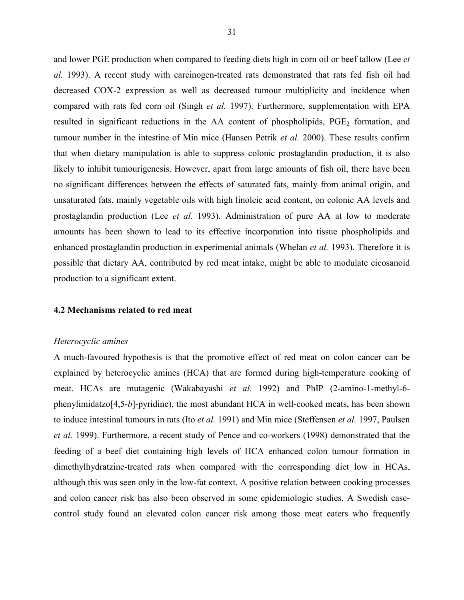and lower PGE production when compared to feeding diets high in corn oil or beef tallow (Lee *et al.* 1993). A recent study with carcinogen-treated rats demonstrated that rats fed fish oil had decreased COX-2 expression as well as decreased tumour multiplicity and incidence when compared with rats fed corn oil (Singh *et al.* 1997). Furthermore, supplementation with EPA resulted in significant reductions in the AA content of phospholipids,  $PGE_2$  formation, and tumour number in the intestine of Min mice (Hansen Petrik *et al.* 2000). These results confirm that when dietary manipulation is able to suppress colonic prostaglandin production, it is also likely to inhibit tumourigenesis. However, apart from large amounts of fish oil, there have been no significant differences between the effects of saturated fats, mainly from animal origin, and unsaturated fats, mainly vegetable oils with high linoleic acid content, on colonic AA levels and prostaglandin production (Lee *et al.* 1993). Administration of pure AA at low to moderate amounts has been shown to lead to its effective incorporation into tissue phospholipids and enhanced prostaglandin production in experimental animals (Whelan *et al.* 1993). Therefore it is possible that dietary AA, contributed by red meat intake, might be able to modulate eicosanoid production to a significant extent.

#### **4.2 Mechanisms related to red meat**

#### *Heterocyclic amines*

A much-favoured hypothesis is that the promotive effect of red meat on colon cancer can be explained by heterocyclic amines (HCA) that are formed during high-temperature cooking of meat. HCAs are mutagenic (Wakabayashi *et al.* 1992) and PhIP (2-amino-1-methyl-6 phenylimidatzo[4,5-*b*]-pyridine), the most abundant HCA in well-cooked meats, has been shown to induce intestinal tumours in rats (Ito *et al.* 1991) and Min mice (Steffensen *et al.* 1997, Paulsen *et al.* 1999). Furthermore, a recent study of Pence and co-workers (1998) demonstrated that the feeding of a beef diet containing high levels of HCA enhanced colon tumour formation in dimethylhydratzine-treated rats when compared with the corresponding diet low in HCAs, although this was seen only in the low-fat context. A positive relation between cooking processes and colon cancer risk has also been observed in some epidemiologic studies. A Swedish casecontrol study found an elevated colon cancer risk among those meat eaters who frequently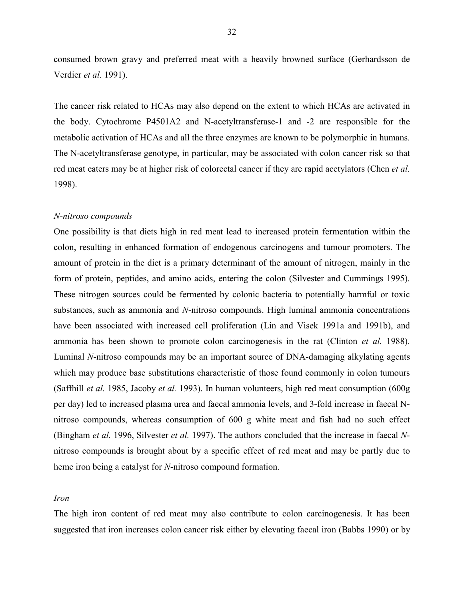consumed brown gravy and preferred meat with a heavily browned surface (Gerhardsson de Verdier *et al.* 1991).

The cancer risk related to HCAs may also depend on the extent to which HCAs are activated in the body. Cytochrome P4501A2 and N-acetyltransferase-1 and -2 are responsible for the metabolic activation of HCAs and all the three enzymes are known to be polymorphic in humans. The N-acetyltransferase genotype, in particular, may be associated with colon cancer risk so that red meat eaters may be at higher risk of colorectal cancer if they are rapid acetylators (Chen *et al.* 1998).

#### *N-nitroso compounds*

One possibility is that diets high in red meat lead to increased protein fermentation within the colon, resulting in enhanced formation of endogenous carcinogens and tumour promoters. The amount of protein in the diet is a primary determinant of the amount of nitrogen, mainly in the form of protein, peptides, and amino acids, entering the colon (Silvester and Cummings 1995). These nitrogen sources could be fermented by colonic bacteria to potentially harmful or toxic substances, such as ammonia and *N*-nitroso compounds. High luminal ammonia concentrations have been associated with increased cell proliferation (Lin and Visek 1991a and 1991b), and ammonia has been shown to promote colon carcinogenesis in the rat (Clinton *et al.* 1988). Luminal *N*-nitroso compounds may be an important source of DNA-damaging alkylating agents which may produce base substitutions characteristic of those found commonly in colon tumours (Saffhill *et al.* 1985, Jacoby *et al.* 1993). In human volunteers, high red meat consumption (600g per day) led to increased plasma urea and faecal ammonia levels, and 3-fold increase in faecal Nnitroso compounds, whereas consumption of 600 g white meat and fish had no such effect (Bingham *et al.* 1996, Silvester *et al.* 1997). The authors concluded that the increase in faecal *N*nitroso compounds is brought about by a specific effect of red meat and may be partly due to heme iron being a catalyst for *N*-nitroso compound formation.

#### *Iron*

The high iron content of red meat may also contribute to colon carcinogenesis. It has been suggested that iron increases colon cancer risk either by elevating faecal iron (Babbs 1990) or by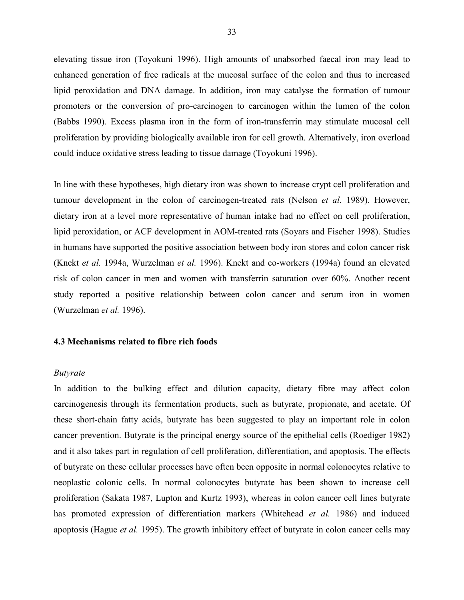elevating tissue iron (Toyokuni 1996). High amounts of unabsorbed faecal iron may lead to enhanced generation of free radicals at the mucosal surface of the colon and thus to increased lipid peroxidation and DNA damage. In addition, iron may catalyse the formation of tumour promoters or the conversion of pro-carcinogen to carcinogen within the lumen of the colon (Babbs 1990). Excess plasma iron in the form of iron-transferrin may stimulate mucosal cell proliferation by providing biologically available iron for cell growth. Alternatively, iron overload could induce oxidative stress leading to tissue damage (Toyokuni 1996).

In line with these hypotheses, high dietary iron was shown to increase crypt cell proliferation and tumour development in the colon of carcinogen-treated rats (Nelson *et al.* 1989). However, dietary iron at a level more representative of human intake had no effect on cell proliferation, lipid peroxidation, or ACF development in AOM-treated rats (Soyars and Fischer 1998). Studies in humans have supported the positive association between body iron stores and colon cancer risk (Knekt *et al.* 1994a, Wurzelman *et al.* 1996). Knekt and co-workers (1994a) found an elevated risk of colon cancer in men and women with transferrin saturation over 60%. Another recent study reported a positive relationship between colon cancer and serum iron in women (Wurzelman *et al.* 1996).

#### **4.3 Mechanisms related to fibre rich foods**

#### *Butyrate*

In addition to the bulking effect and dilution capacity, dietary fibre may affect colon carcinogenesis through its fermentation products, such as butyrate, propionate, and acetate. Of these short-chain fatty acids, butyrate has been suggested to play an important role in colon cancer prevention. Butyrate is the principal energy source of the epithelial cells (Roediger 1982) and it also takes part in regulation of cell proliferation, differentiation, and apoptosis. The effects of butyrate on these cellular processes have often been opposite in normal colonocytes relative to neoplastic colonic cells. In normal colonocytes butyrate has been shown to increase cell proliferation (Sakata 1987, Lupton and Kurtz 1993), whereas in colon cancer cell lines butyrate has promoted expression of differentiation markers (Whitehead *et al.* 1986) and induced apoptosis (Hague *et al.* 1995). The growth inhibitory effect of butyrate in colon cancer cells may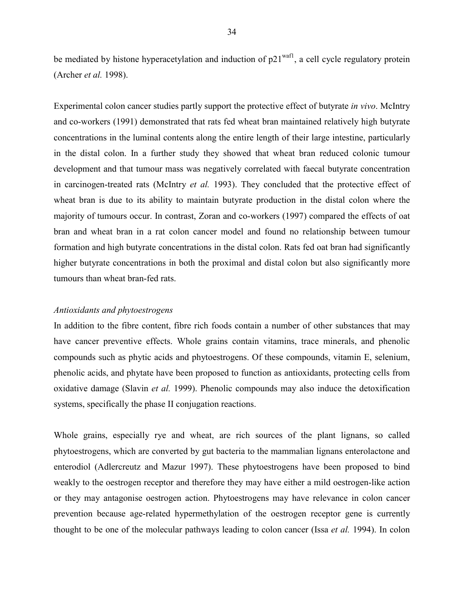be mediated by histone hyperacetylation and induction of  $p21<sup>wall</sup>$ , a cell cycle regulatory protein (Archer *et al.* 1998).

Experimental colon cancer studies partly support the protective effect of butyrate *in vivo*. McIntry and co-workers (1991) demonstrated that rats fed wheat bran maintained relatively high butyrate concentrations in the luminal contents along the entire length of their large intestine, particularly in the distal colon. In a further study they showed that wheat bran reduced colonic tumour development and that tumour mass was negatively correlated with faecal butyrate concentration in carcinogen-treated rats (McIntry *et al.* 1993). They concluded that the protective effect of wheat bran is due to its ability to maintain butyrate production in the distal colon where the majority of tumours occur. In contrast, Zoran and co-workers (1997) compared the effects of oat bran and wheat bran in a rat colon cancer model and found no relationship between tumour formation and high butyrate concentrations in the distal colon. Rats fed oat bran had significantly higher butyrate concentrations in both the proximal and distal colon but also significantly more tumours than wheat bran-fed rats.

#### *Antioxidants and phytoestrogens*

In addition to the fibre content, fibre rich foods contain a number of other substances that may have cancer preventive effects. Whole grains contain vitamins, trace minerals, and phenolic compounds such as phytic acids and phytoestrogens. Of these compounds, vitamin E, selenium, phenolic acids, and phytate have been proposed to function as antioxidants, protecting cells from oxidative damage (Slavin *et al.* 1999). Phenolic compounds may also induce the detoxification systems, specifically the phase II conjugation reactions.

Whole grains, especially rye and wheat, are rich sources of the plant lignans, so called phytoestrogens, which are converted by gut bacteria to the mammalian lignans enterolactone and enterodiol (Adlercreutz and Mazur 1997). These phytoestrogens have been proposed to bind weakly to the oestrogen receptor and therefore they may have either a mild oestrogen-like action or they may antagonise oestrogen action. Phytoestrogens may have relevance in colon cancer prevention because age-related hypermethylation of the oestrogen receptor gene is currently thought to be one of the molecular pathways leading to colon cancer (Issa *et al.* 1994). In colon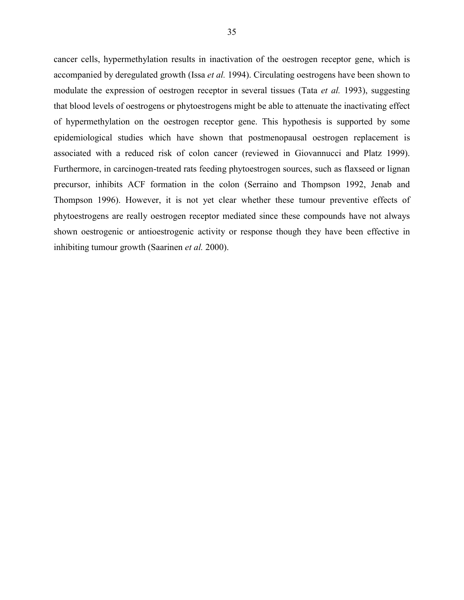cancer cells, hypermethylation results in inactivation of the oestrogen receptor gene, which is accompanied by deregulated growth (Issa *et al.* 1994). Circulating oestrogens have been shown to modulate the expression of oestrogen receptor in several tissues (Tata *et al.* 1993), suggesting that blood levels of oestrogens or phytoestrogens might be able to attenuate the inactivating effect of hypermethylation on the oestrogen receptor gene. This hypothesis is supported by some epidemiological studies which have shown that postmenopausal oestrogen replacement is associated with a reduced risk of colon cancer (reviewed in Giovannucci and Platz 1999). Furthermore, in carcinogen-treated rats feeding phytoestrogen sources, such as flaxseed or lignan precursor, inhibits ACF formation in the colon (Serraino and Thompson 1992, Jenab and Thompson 1996). However, it is not yet clear whether these tumour preventive effects of phytoestrogens are really oestrogen receptor mediated since these compounds have not always shown oestrogenic or antioestrogenic activity or response though they have been effective in inhibiting tumour growth (Saarinen *et al.* 2000).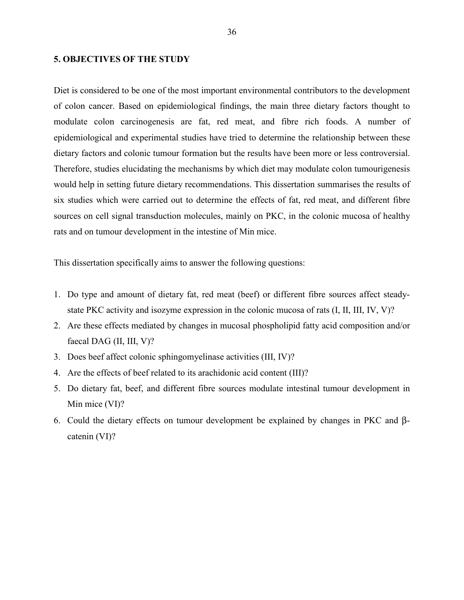#### **5. OBJECTIVES OF THE STUDY**

Diet is considered to be one of the most important environmental contributors to the development of colon cancer. Based on epidemiological findings, the main three dietary factors thought to modulate colon carcinogenesis are fat, red meat, and fibre rich foods. A number of epidemiological and experimental studies have tried to determine the relationship between these dietary factors and colonic tumour formation but the results have been more or less controversial. Therefore, studies elucidating the mechanisms by which diet may modulate colon tumourigenesis would help in setting future dietary recommendations. This dissertation summarises the results of six studies which were carried out to determine the effects of fat, red meat, and different fibre sources on cell signal transduction molecules, mainly on PKC, in the colonic mucosa of healthy rats and on tumour development in the intestine of Min mice.

This dissertation specifically aims to answer the following questions:

- 1. Do type and amount of dietary fat, red meat (beef) or different fibre sources affect steadystate PKC activity and isozyme expression in the colonic mucosa of rats (I, II, III, IV, V)?
- 2. Are these effects mediated by changes in mucosal phospholipid fatty acid composition and/or faecal DAG (II, III, V)?
- 3. Does beef affect colonic sphingomyelinase activities (III, IV)?
- 4. Are the effects of beef related to its arachidonic acid content (III)?
- 5. Do dietary fat, beef, and different fibre sources modulate intestinal tumour development in Min mice (VI)?
- 6. Could the dietary effects on tumour development be explained by changes in PKC and βcatenin (VI)?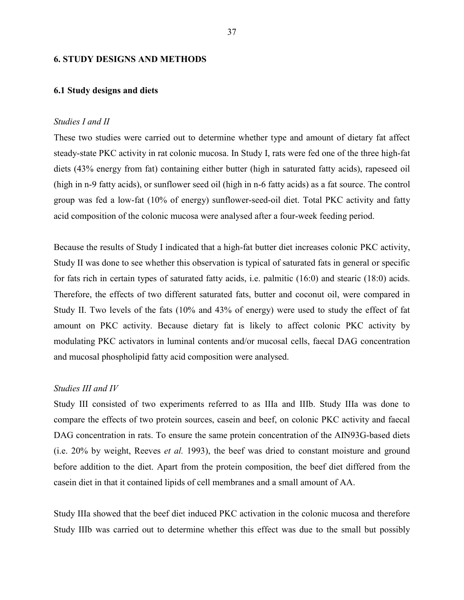#### **6. STUDY DESIGNS AND METHODS**

#### **6.1 Study designs and diets**

#### *Studies I and II*

These two studies were carried out to determine whether type and amount of dietary fat affect steady-state PKC activity in rat colonic mucosa. In Study I, rats were fed one of the three high-fat diets (43% energy from fat) containing either butter (high in saturated fatty acids), rapeseed oil (high in n-9 fatty acids), or sunflower seed oil (high in n-6 fatty acids) as a fat source. The control group was fed a low-fat (10% of energy) sunflower-seed-oil diet. Total PKC activity and fatty acid composition of the colonic mucosa were analysed after a four-week feeding period.

Because the results of Study I indicated that a high-fat butter diet increases colonic PKC activity, Study II was done to see whether this observation is typical of saturated fats in general or specific for fats rich in certain types of saturated fatty acids, i.e. palmitic (16:0) and stearic (18:0) acids. Therefore, the effects of two different saturated fats, butter and coconut oil, were compared in Study II. Two levels of the fats (10% and 43% of energy) were used to study the effect of fat amount on PKC activity. Because dietary fat is likely to affect colonic PKC activity by modulating PKC activators in luminal contents and/or mucosal cells, faecal DAG concentration and mucosal phospholipid fatty acid composition were analysed.

# *Studies III and IV*

Study III consisted of two experiments referred to as IIIa and IIIb. Study IIIa was done to compare the effects of two protein sources, casein and beef, on colonic PKC activity and faecal DAG concentration in rats. To ensure the same protein concentration of the AIN93G-based diets (i.e. 20% by weight, Reeves *et al.* 1993), the beef was dried to constant moisture and ground before addition to the diet. Apart from the protein composition, the beef diet differed from the casein diet in that it contained lipids of cell membranes and a small amount of AA.

Study IIIa showed that the beef diet induced PKC activation in the colonic mucosa and therefore Study IIIb was carried out to determine whether this effect was due to the small but possibly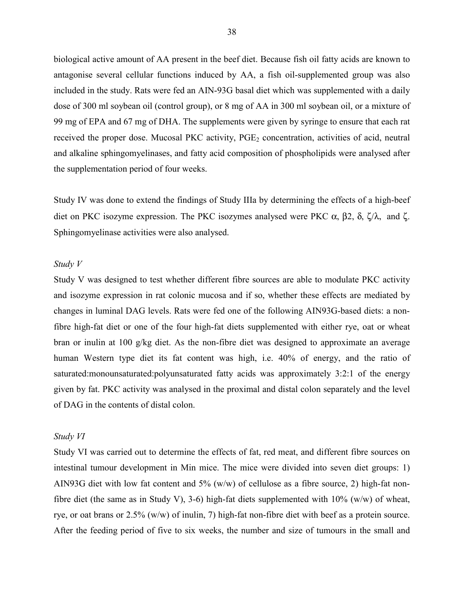biological active amount of AA present in the beef diet. Because fish oil fatty acids are known to antagonise several cellular functions induced by AA, a fish oil-supplemented group was also included in the study. Rats were fed an AIN-93G basal diet which was supplemented with a daily dose of 300 ml soybean oil (control group), or 8 mg of AA in 300 ml soybean oil, or a mixture of 99 mg of EPA and 67 mg of DHA. The supplements were given by syringe to ensure that each rat received the proper dose. Mucosal PKC activity,  $PGE<sub>2</sub>$  concentration, activities of acid, neutral and alkaline sphingomyelinases, and fatty acid composition of phospholipids were analysed after the supplementation period of four weeks.

Study IV was done to extend the findings of Study IIIa by determining the effects of a high-beef diet on PKC isozyme expression. The PKC isozymes analysed were PKC  $\alpha$ , β2, δ, ζ/λ, and ζ. Sphingomyelinase activities were also analysed.

#### *Study V*

Study V was designed to test whether different fibre sources are able to modulate PKC activity and isozyme expression in rat colonic mucosa and if so, whether these effects are mediated by changes in luminal DAG levels. Rats were fed one of the following AIN93G-based diets: a nonfibre high-fat diet or one of the four high-fat diets supplemented with either rye, oat or wheat bran or inulin at 100 g/kg diet. As the non-fibre diet was designed to approximate an average human Western type diet its fat content was high, i.e. 40% of energy, and the ratio of saturated:monounsaturated:polyunsaturated fatty acids was approximately 3:2:1 of the energy given by fat. PKC activity was analysed in the proximal and distal colon separately and the level of DAG in the contents of distal colon.

#### *Study VI*

Study VI was carried out to determine the effects of fat, red meat, and different fibre sources on intestinal tumour development in Min mice. The mice were divided into seven diet groups: 1) AIN93G diet with low fat content and 5% (w/w) of cellulose as a fibre source, 2) high-fat nonfibre diet (the same as in Study V), 3-6) high-fat diets supplemented with  $10\%$  (w/w) of wheat, rye, or oat brans or 2.5% (w/w) of inulin, 7) high-fat non-fibre diet with beef as a protein source. After the feeding period of five to six weeks, the number and size of tumours in the small and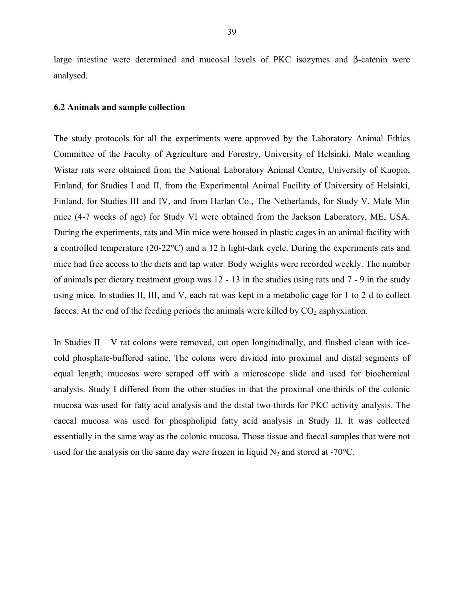large intestine were determined and mucosal levels of PKC isozymes and β-catenin were analysed.

#### **6.2 Animals and sample collection**

The study protocols for all the experiments were approved by the Laboratory Animal Ethics Committee of the Faculty of Agriculture and Forestry, University of Helsinki. Male weanling Wistar rats were obtained from the National Laboratory Animal Centre, University of Kuopio, Finland, for Studies I and II, from the Experimental Animal Facility of University of Helsinki, Finland, for Studies III and IV, and from Harlan Co., The Netherlands, for Study V. Male Min mice (4-7 weeks of age) for Study VI were obtained from the Jackson Laboratory, ME, USA. During the experiments, rats and Min mice were housed in plastic cages in an animal facility with a controlled temperature (20-22°C) and a 12 h light-dark cycle. During the experiments rats and mice had free access to the diets and tap water. Body weights were recorded weekly. The number of animals per dietary treatment group was 12 - 13 in the studies using rats and 7 - 9 in the study using mice. In studies II, III, and V, each rat was kept in a metabolic cage for 1 to 2 d to collect faeces. At the end of the feeding periods the animals were killed by  $CO<sub>2</sub>$  asphyxiation.

In Studies  $II - V$  rat colons were removed, cut open longitudinally, and flushed clean with icecold phosphate-buffered saline. The colons were divided into proximal and distal segments of equal length; mucosas were scraped off with a microscope slide and used for biochemical analysis. Study I differed from the other studies in that the proximal one-thirds of the colonic mucosa was used for fatty acid analysis and the distal two-thirds for PKC activity analysis. The caecal mucosa was used for phospholipid fatty acid analysis in Study II. It was collected essentially in the same way as the colonic mucosa. Those tissue and faecal samples that were not used for the analysis on the same day were frozen in liquid  $N_2$  and stored at -70 $^{\circ}$ C.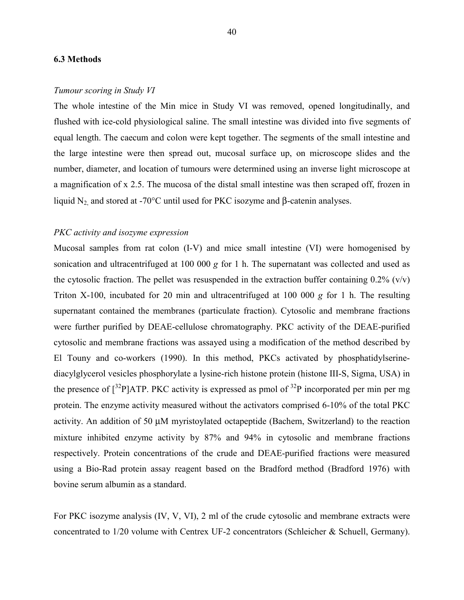#### **6.3 Methods**

#### *Tumour scoring in Study VI*

The whole intestine of the Min mice in Study VI was removed, opened longitudinally, and flushed with ice-cold physiological saline. The small intestine was divided into five segments of equal length. The caecum and colon were kept together. The segments of the small intestine and the large intestine were then spread out, mucosal surface up, on microscope slides and the number, diameter, and location of tumours were determined using an inverse light microscope at a magnification of x 2.5. The mucosa of the distal small intestine was then scraped off, frozen in liquid N<sub>2</sub> and stored at -70°C until used for PKC isozyme and β-catenin analyses.

# *PKC activity and isozyme expression*

Mucosal samples from rat colon (I-V) and mice small intestine (VI) were homogenised by sonication and ultracentrifuged at 100 000 *g* for 1 h. The supernatant was collected and used as the cytosolic fraction. The pellet was resuspended in the extraction buffer containing  $0.2\%$  (v/v) Triton X-100, incubated for 20 min and ultracentrifuged at 100 000 *g* for 1 h. The resulting supernatant contained the membranes (particulate fraction). Cytosolic and membrane fractions were further purified by DEAE-cellulose chromatography. PKC activity of the DEAE-purified cytosolic and membrane fractions was assayed using a modification of the method described by El Touny and co-workers (1990). In this method, PKCs activated by phosphatidylserinediacylglycerol vesicles phosphorylate a lysine-rich histone protein (histone III-S, Sigma, USA) in the presence of  $\int^{32}P$ ]ATP. PKC activity is expressed as pmol of  $^{32}P$  incorporated per min per mg protein. The enzyme activity measured without the activators comprised 6-10% of the total PKC activity. An addition of 50 µM myristoylated octapeptide (Bachem, Switzerland) to the reaction mixture inhibited enzyme activity by 87% and 94% in cytosolic and membrane fractions respectively. Protein concentrations of the crude and DEAE-purified fractions were measured using a Bio-Rad protein assay reagent based on the Bradford method (Bradford 1976) with bovine serum albumin as a standard.

For PKC isozyme analysis (IV, V, VI), 2 ml of the crude cytosolic and membrane extracts were concentrated to 1/20 volume with Centrex UF-2 concentrators (Schleicher & Schuell, Germany).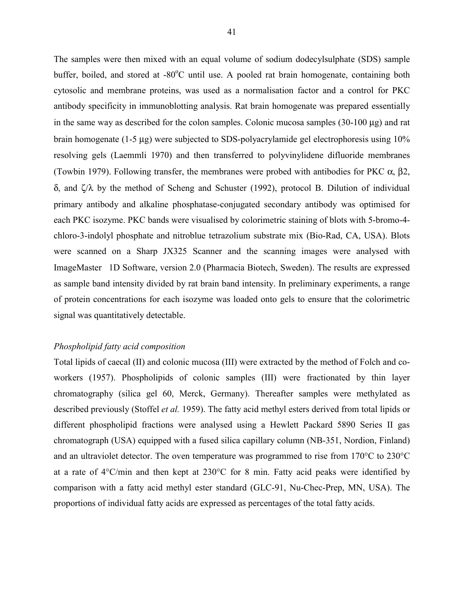The samples were then mixed with an equal volume of sodium dodecylsulphate (SDS) sample buffer, boiled, and stored at -80°C until use. A pooled rat brain homogenate, containing both cytosolic and membrane proteins, was used as a normalisation factor and a control for PKC antibody specificity in immunoblotting analysis. Rat brain homogenate was prepared essentially in the same way as described for the colon samples. Colonic mucosa samples (30-100 µg) and rat brain homogenate (1-5 µg) were subjected to SDS-polyacrylamide gel electrophoresis using 10% resolving gels (Laemmli 1970) and then transferred to polyvinylidene difluoride membranes (Towbin 1979). Following transfer, the membranes were probed with antibodies for PKC  $\alpha$ ,  $\beta$ 2, δ, and ζ/λ by the method of Scheng and Schuster (1992), protocol B. Dilution of individual primary antibody and alkaline phosphatase-conjugated secondary antibody was optimised for each PKC isozyme. PKC bands were visualised by colorimetric staining of blots with 5-bromo-4 chloro-3-indolyl phosphate and nitroblue tetrazolium substrate mix (Bio-Rad, CA, USA). Blots were scanned on a Sharp JX325 Scanner and the scanning images were analysed with ImageMaster 1D Software, version 2.0 (Pharmacia Biotech, Sweden). The results are expressed as sample band intensity divided by rat brain band intensity. In preliminary experiments, a range of protein concentrations for each isozyme was loaded onto gels to ensure that the colorimetric signal was quantitatively detectable.

# *Phospholipid fatty acid composition*

Total lipids of caecal (II) and colonic mucosa (III) were extracted by the method of Folch and coworkers (1957). Phospholipids of colonic samples (III) were fractionated by thin layer chromatography (silica gel 60, Merck, Germany). Thereafter samples were methylated as described previously (Stoffel *et al.* 1959). The fatty acid methyl esters derived from total lipids or different phospholipid fractions were analysed using a Hewlett Packard 5890 Series II gas chromatograph (USA) equipped with a fused silica capillary column (NB-351, Nordion, Finland) and an ultraviolet detector. The oven temperature was programmed to rise from 170°C to 230°C at a rate of 4°C/min and then kept at 230°C for 8 min. Fatty acid peaks were identified by comparison with a fatty acid methyl ester standard (GLC-91, Nu-Chec-Prep, MN, USA). The proportions of individual fatty acids are expressed as percentages of the total fatty acids.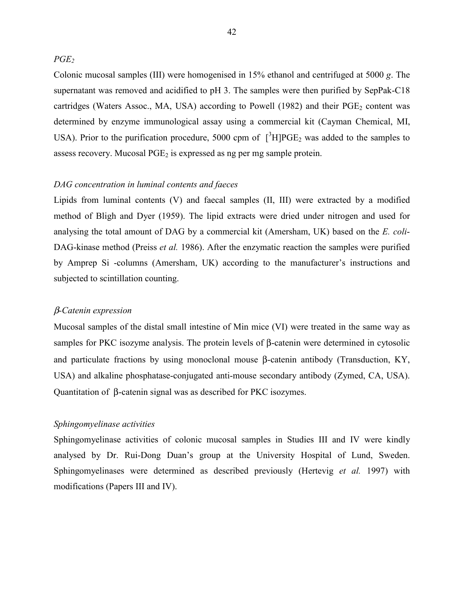*PGE2*

Colonic mucosal samples (III) were homogenised in 15% ethanol and centrifuged at 5000 *g*. The supernatant was removed and acidified to pH 3. The samples were then purified by SepPak-C18 cartridges (Waters Assoc., MA, USA) according to Powell (1982) and their  $PGE<sub>2</sub>$  content was determined by enzyme immunological assay using a commercial kit (Cayman Chemical, MI, USA). Prior to the purification procedure, 5000 cpm of  $[^3H]PGE_2$  was added to the samples to assess recovery. Mucosal  $PGE_2$  is expressed as ng per mg sample protein.

# *DAG concentration in luminal contents and faeces*

Lipids from luminal contents (V) and faecal samples (II, III) were extracted by a modified method of Bligh and Dyer (1959). The lipid extracts were dried under nitrogen and used for analysing the total amount of DAG by a commercial kit (Amersham, UK) based on the *E. coli*-DAG-kinase method (Preiss *et al.* 1986). After the enzymatic reaction the samples were purified by Amprep Si -columns (Amersham, UK) according to the manufacturer's instructions and subjected to scintillation counting.

## β*-Catenin expression*

Mucosal samples of the distal small intestine of Min mice (VI) were treated in the same way as samples for PKC isozyme analysis. The protein levels of β-catenin were determined in cytosolic and particulate fractions by using monoclonal mouse β-catenin antibody (Transduction, KY, USA) and alkaline phosphatase-conjugated anti-mouse secondary antibody (Zymed, CA, USA). Quantitation of β-catenin signal was as described for PKC isozymes.

# *Sphingomyelinase activities*

Sphingomyelinase activities of colonic mucosal samples in Studies III and IV were kindly analysed by Dr. Rui-Dong Duan's group at the University Hospital of Lund, Sweden. Sphingomyelinases were determined as described previously (Hertevig *et al.* 1997) with modifications (Papers III and IV).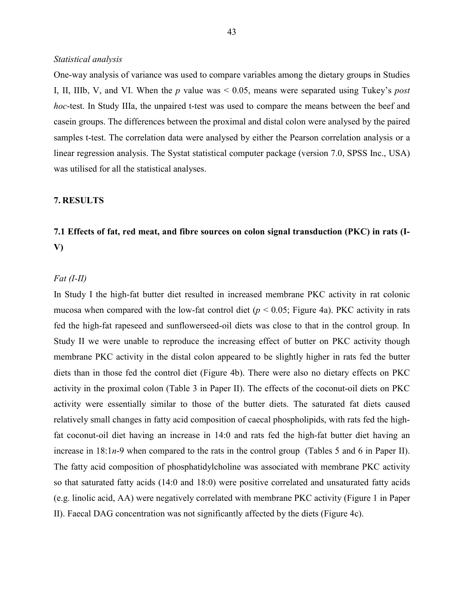# *Statistical analysis*

One-way analysis of variance was used to compare variables among the dietary groups in Studies I, II, IIIb, V, and VI. When the *p* value was < 0.05, means were separated using Tukey's *post hoc*-test. In Study IIIa, the unpaired t-test was used to compare the means between the beef and casein groups. The differences between the proximal and distal colon were analysed by the paired samples t-test. The correlation data were analysed by either the Pearson correlation analysis or a linear regression analysis. The Systat statistical computer package (version 7.0, SPSS Inc., USA) was utilised for all the statistical analyses.

#### **7. RESULTS**

# **7.1 Effects of fat, red meat, and fibre sources on colon signal transduction (PKC) in rats (I-V)**

# *Fat (I-II)*

In Study I the high-fat butter diet resulted in increased membrane PKC activity in rat colonic mucosa when compared with the low-fat control diet  $(p < 0.05$ ; Figure 4a). PKC activity in rats fed the high-fat rapeseed and sunflowerseed-oil diets was close to that in the control group. In Study II we were unable to reproduce the increasing effect of butter on PKC activity though membrane PKC activity in the distal colon appeared to be slightly higher in rats fed the butter diets than in those fed the control diet (Figure 4b). There were also no dietary effects on PKC activity in the proximal colon (Table 3 in Paper II). The effects of the coconut-oil diets on PKC activity were essentially similar to those of the butter diets. The saturated fat diets caused relatively small changes in fatty acid composition of caecal phospholipids, with rats fed the highfat coconut-oil diet having an increase in 14:0 and rats fed the high-fat butter diet having an increase in 18:1*n*-9 when compared to the rats in the control group (Tables 5 and 6 in Paper II). The fatty acid composition of phosphatidylcholine was associated with membrane PKC activity so that saturated fatty acids (14:0 and 18:0) were positive correlated and unsaturated fatty acids (e.g. linolic acid, AA) were negatively correlated with membrane PKC activity (Figure 1 in Paper II). Faecal DAG concentration was not significantly affected by the diets (Figure 4c).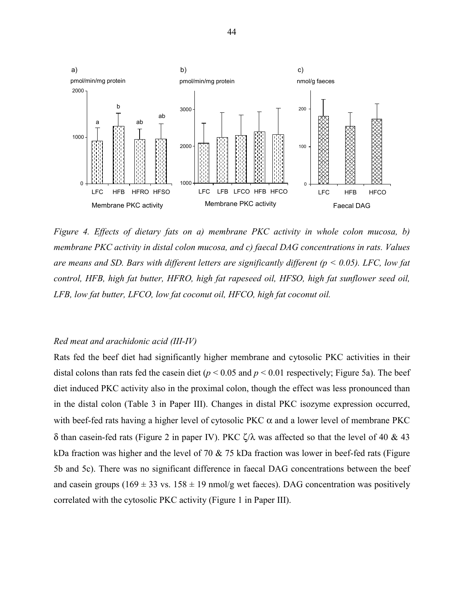

*Figure 4. Effects of dietary fats on a) membrane PKC activity in whole colon mucosa, b) membrane PKC activity in distal colon mucosa, and c) faecal DAG concentrations in rats. Values are means and SD. Bars with different letters are significantly different (p < 0.05). LFC, low fat control, HFB, high fat butter, HFRO, high fat rapeseed oil, HFSO, high fat sunflower seed oil, LFB, low fat butter, LFCO, low fat coconut oil, HFCO, high fat coconut oil.*

# *Red meat and arachidonic acid (III-IV)*

Rats fed the beef diet had significantly higher membrane and cytosolic PKC activities in their distal colons than rats fed the casein diet ( $p < 0.05$  and  $p < 0.01$  respectively; Figure 5a). The beef diet induced PKC activity also in the proximal colon, though the effect was less pronounced than in the distal colon (Table 3 in Paper III). Changes in distal PKC isozyme expression occurred, with beef-fed rats having a higher level of cytosolic PKC  $\alpha$  and a lower level of membrane PKC δ than casein-fed rats (Figure 2 in paper IV). PKC ζ/λ was affected so that the level of 40 & 43 kDa fraction was higher and the level of 70 & 75 kDa fraction was lower in beef-fed rats (Figure 5b and 5c). There was no significant difference in faecal DAG concentrations between the beef and casein groups (169  $\pm$  33 vs. 158  $\pm$  19 nmol/g wet faeces). DAG concentration was positively correlated with the cytosolic PKC activity (Figure 1 in Paper III).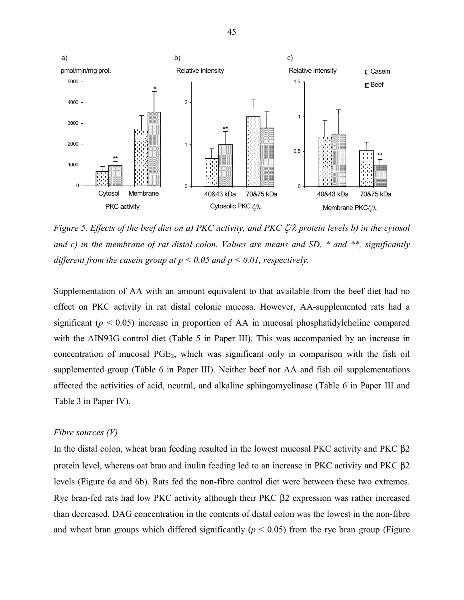

*Figure 5. Effects of the beef diet on a) PKC activity, and PKC* ζ*/*λ *protein levels b) in the cytosol and c) in the membrane of rat distal colon. Values are means and SD. \* and \*\*, significantly different from the casein group at p < 0.05 and p < 0.01, respectively.*

Supplementation of AA with an amount equivalent to that available from the beef diet had no effect on PKC activity in rat distal colonic mucosa. However, AA-supplemented rats had a significant ( $p < 0.05$ ) increase in proportion of AA in mucosal phosphatidylcholine compared with the AIN93G control diet (Table 5 in Paper III). This was accompanied by an increase in concentration of mucosal PGE<sub>2</sub>, which was significant only in comparison with the fish oil supplemented group (Table 6 in Paper III). Neither beef nor AA and fish oil supplementations affected the activities of acid, neutral, and alkaline sphingomyelinase (Table 6 in Paper III and Table 3 in Paper IV).

#### *Fibre sources (V)*

In the distal colon, wheat bran feeding resulted in the lowest mucosal PKC activity and PKC β2 protein level, whereas oat bran and inulin feeding led to an increase in PKC activity and PKC β2 levels (Figure 6a and 6b). Rats fed the non-fibre control diet were between these two extremes. Rye bran-fed rats had low PKC activity although their PKC β2 expression was rather increased than decreased. DAG concentration in the contents of distal colon was the lowest in the non-fibre and wheat bran groups which differed significantly ( $p < 0.05$ ) from the rye bran group (Figure

45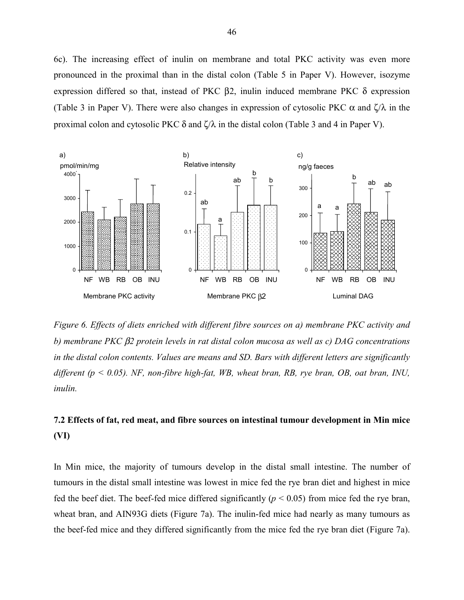6c). The increasing effect of inulin on membrane and total PKC activity was even more pronounced in the proximal than in the distal colon (Table 5 in Paper V). However, isozyme expression differed so that, instead of PKC β2, inulin induced membrane PKC δ expression (Table 3 in Paper V). There were also changes in expression of cytosolic PKC  $\alpha$  and  $\zeta/\lambda$  in the proximal colon and cytosolic PKC  $\delta$  and  $\zeta/\lambda$  in the distal colon (Table 3 and 4 in Paper V).



*Figure 6. Effects of diets enriched with different fibre sources on a) membrane PKC activity and b) membrane PKC* β*2 protein levels in rat distal colon mucosa as well as c) DAG concentrations in the distal colon contents. Values are means and SD. Bars with different letters are significantly different (p < 0.05). NF, non-fibre high-fat, WB, wheat bran, RB, rye bran, OB, oat bran, INU, inulin.*

# **7.2 Effects of fat, red meat, and fibre sources on intestinal tumour development in Min mice (VI)**

In Min mice, the majority of tumours develop in the distal small intestine. The number of tumours in the distal small intestine was lowest in mice fed the rye bran diet and highest in mice fed the beef diet. The beef-fed mice differed significantly ( $p < 0.05$ ) from mice fed the rye bran, wheat bran, and AIN93G diets (Figure 7a). The inulin-fed mice had nearly as many tumours as the beef-fed mice and they differed significantly from the mice fed the rye bran diet (Figure 7a).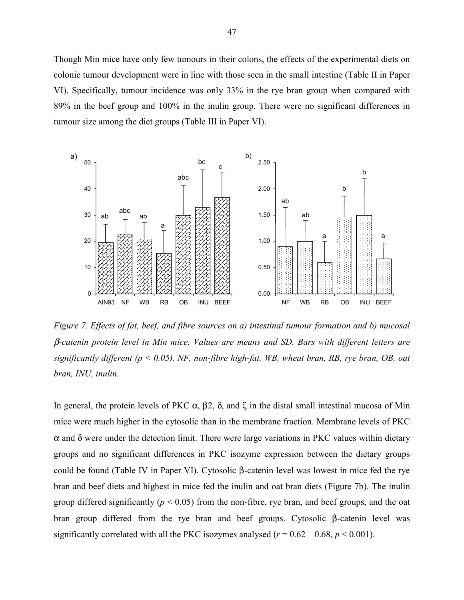Though Min mice have only few tumours in their colons, the effects of the experimental diets on colonic tumour development were in line with those seen in the small intestine (Table II in Paper VI). Specifically, tumour incidence was only 33% in the rye bran group when compared with 89% in the beef group and 100% in the inulin group. There were no significant differences in tumour size among the diet groups (Table III in Paper VI).



*Figure 7. Effects of fat, beef, and fibre sources on a) intestinal tumour formation and b) mucosal* β*-catenin protein level in Min mice. Values are means and SD. Bars with different letters are significantly different (p < 0.05). NF, non-fibre high-fat, WB, wheat bran, RB, rye bran, OB, oat bran, INU, inulin.*

In general, the protein levels of PKC  $\alpha$ ,  $\beta$ 2,  $\delta$ , and ζ in the distal small intestinal mucosa of Min mice were much higher in the cytosolic than in the membrane fraction. Membrane levels of PKC  $α$  and  $δ$  were under the detection limit. There were large variations in PKC values within dietary groups and no significant differences in PKC isozyme expression between the dietary groups could be found (Table IV in Paper VI). Cytosolic β-catenin level was lowest in mice fed the rye bran and beef diets and highest in mice fed the inulin and oat bran diets (Figure 7b). The inulin group differed significantly ( $p < 0.05$ ) from the non-fibre, rye bran, and beef groups, and the oat bran group differed from the rye bran and beef groups. Cytosolic β-catenin level was significantly correlated with all the PKC isozymes analysed ( $r = 0.62 - 0.68$ ,  $p \le 0.001$ ).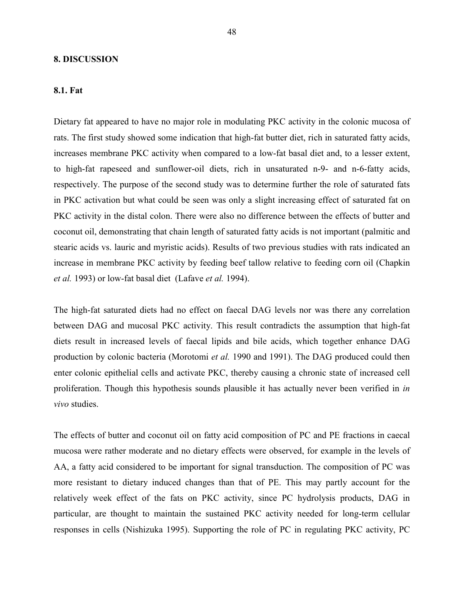#### **8. DISCUSSION**

#### **8.1. Fat**

Dietary fat appeared to have no major role in modulating PKC activity in the colonic mucosa of rats. The first study showed some indication that high-fat butter diet, rich in saturated fatty acids, increases membrane PKC activity when compared to a low-fat basal diet and, to a lesser extent, to high-fat rapeseed and sunflower-oil diets, rich in unsaturated n-9- and n-6-fatty acids, respectively. The purpose of the second study was to determine further the role of saturated fats in PKC activation but what could be seen was only a slight increasing effect of saturated fat on PKC activity in the distal colon. There were also no difference between the effects of butter and coconut oil, demonstrating that chain length of saturated fatty acids is not important (palmitic and stearic acids vs. lauric and myristic acids). Results of two previous studies with rats indicated an increase in membrane PKC activity by feeding beef tallow relative to feeding corn oil (Chapkin *et al.* 1993) or low-fat basal diet (Lafave *et al.* 1994).

The high-fat saturated diets had no effect on faecal DAG levels nor was there any correlation between DAG and mucosal PKC activity. This result contradicts the assumption that high-fat diets result in increased levels of faecal lipids and bile acids, which together enhance DAG production by colonic bacteria (Morotomi *et al.* 1990 and 1991). The DAG produced could then enter colonic epithelial cells and activate PKC, thereby causing a chronic state of increased cell proliferation. Though this hypothesis sounds plausible it has actually never been verified in *in vivo* studies.

The effects of butter and coconut oil on fatty acid composition of PC and PE fractions in caecal mucosa were rather moderate and no dietary effects were observed, for example in the levels of AA, a fatty acid considered to be important for signal transduction. The composition of PC was more resistant to dietary induced changes than that of PE. This may partly account for the relatively week effect of the fats on PKC activity, since PC hydrolysis products, DAG in particular, are thought to maintain the sustained PKC activity needed for long-term cellular responses in cells (Nishizuka 1995). Supporting the role of PC in regulating PKC activity, PC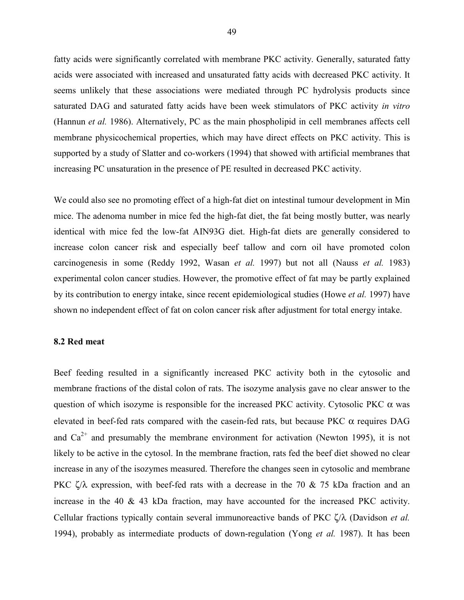fatty acids were significantly correlated with membrane PKC activity. Generally, saturated fatty acids were associated with increased and unsaturated fatty acids with decreased PKC activity. It seems unlikely that these associations were mediated through PC hydrolysis products since saturated DAG and saturated fatty acids have been week stimulators of PKC activity *in vitro* (Hannun *et al.* 1986). Alternatively, PC as the main phospholipid in cell membranes affects cell membrane physicochemical properties, which may have direct effects on PKC activity. This is supported by a study of Slatter and co-workers (1994) that showed with artificial membranes that increasing PC unsaturation in the presence of PE resulted in decreased PKC activity.

We could also see no promoting effect of a high-fat diet on intestinal tumour development in Min mice. The adenoma number in mice fed the high-fat diet, the fat being mostly butter, was nearly identical with mice fed the low-fat AIN93G diet. High-fat diets are generally considered to increase colon cancer risk and especially beef tallow and corn oil have promoted colon carcinogenesis in some (Reddy 1992, Wasan *et al.* 1997) but not all (Nauss *et al.* 1983) experimental colon cancer studies. However, the promotive effect of fat may be partly explained by its contribution to energy intake, since recent epidemiological studies (Howe *et al.* 1997) have shown no independent effect of fat on colon cancer risk after adjustment for total energy intake.

# **8.2 Red meat**

Beef feeding resulted in a significantly increased PKC activity both in the cytosolic and membrane fractions of the distal colon of rats. The isozyme analysis gave no clear answer to the question of which isozyme is responsible for the increased PKC activity. Cytosolic PKC  $\alpha$  was elevated in beef-fed rats compared with the casein-fed rats, but because PKC  $\alpha$  requires DAG and  $Ca^{2+}$  and presumably the membrane environment for activation (Newton 1995), it is not likely to be active in the cytosol. In the membrane fraction, rats fed the beef diet showed no clear increase in any of the isozymes measured. Therefore the changes seen in cytosolic and membrane PKC  $\zeta/\lambda$  expression, with beef-fed rats with a decrease in the 70 & 75 kDa fraction and an increase in the 40 & 43 kDa fraction, may have accounted for the increased PKC activity. Cellular fractions typically contain several immunoreactive bands of PKC ζ/λ (Davidson *et al.* 1994), probably as intermediate products of down-regulation (Yong *et al.* 1987). It has been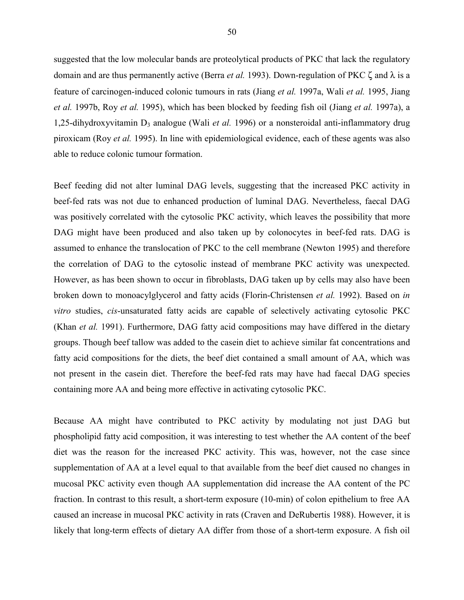suggested that the low molecular bands are proteolytical products of PKC that lack the regulatory domain and are thus permanently active (Berra *et al.* 1993). Down-regulation of PKC ζ and λ is a feature of carcinogen-induced colonic tumours in rats (Jiang *et al.* 1997a, Wali *et al.* 1995, Jiang *et al.* 1997b, Roy *et al.* 1995), which has been blocked by feeding fish oil (Jiang *et al.* 1997a), a 1,25-dihydroxyvitamin D<sub>3</sub> analogue (Wali *et al.* 1996) or a nonsteroidal anti-inflammatory drug piroxicam (Roy *et al.* 1995). In line with epidemiological evidence, each of these agents was also able to reduce colonic tumour formation.

Beef feeding did not alter luminal DAG levels, suggesting that the increased PKC activity in beef-fed rats was not due to enhanced production of luminal DAG. Nevertheless, faecal DAG was positively correlated with the cytosolic PKC activity, which leaves the possibility that more DAG might have been produced and also taken up by colonocytes in beef-fed rats. DAG is assumed to enhance the translocation of PKC to the cell membrane (Newton 1995) and therefore the correlation of DAG to the cytosolic instead of membrane PKC activity was unexpected. However, as has been shown to occur in fibroblasts, DAG taken up by cells may also have been broken down to monoacylglycerol and fatty acids (Florin-Christensen *et al.* 1992). Based on *in vitro* studies, *cis*-unsaturated fatty acids are capable of selectively activating cytosolic PKC (Khan *et al.* 1991). Furthermore, DAG fatty acid compositions may have differed in the dietary groups. Though beef tallow was added to the casein diet to achieve similar fat concentrations and fatty acid compositions for the diets, the beef diet contained a small amount of AA, which was not present in the casein diet. Therefore the beef-fed rats may have had faecal DAG species containing more AA and being more effective in activating cytosolic PKC.

Because AA might have contributed to PKC activity by modulating not just DAG but phospholipid fatty acid composition, it was interesting to test whether the AA content of the beef diet was the reason for the increased PKC activity. This was, however, not the case since supplementation of AA at a level equal to that available from the beef diet caused no changes in mucosal PKC activity even though AA supplementation did increase the AA content of the PC fraction. In contrast to this result, a short-term exposure (10-min) of colon epithelium to free AA caused an increase in mucosal PKC activity in rats (Craven and DeRubertis 1988). However, it is likely that long-term effects of dietary AA differ from those of a short-term exposure. A fish oil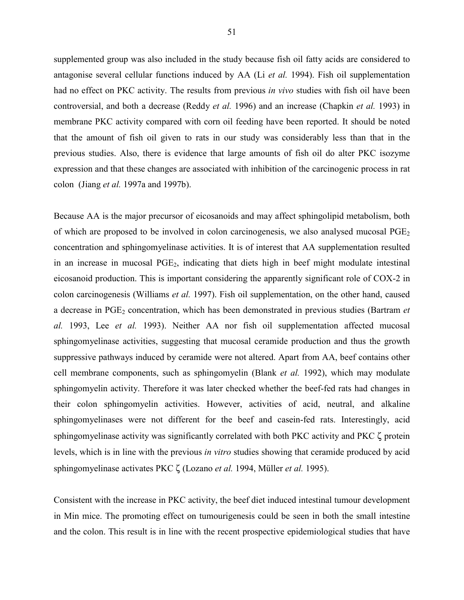supplemented group was also included in the study because fish oil fatty acids are considered to antagonise several cellular functions induced by AA (Li *et al.* 1994). Fish oil supplementation had no effect on PKC activity. The results from previous *in vivo* studies with fish oil have been controversial, and both a decrease (Reddy *et al.* 1996) and an increase (Chapkin *et al.* 1993) in membrane PKC activity compared with corn oil feeding have been reported. It should be noted that the amount of fish oil given to rats in our study was considerably less than that in the previous studies. Also, there is evidence that large amounts of fish oil do alter PKC isozyme expression and that these changes are associated with inhibition of the carcinogenic process in rat colon (Jiang *et al.* 1997a and 1997b).

Because AA is the major precursor of eicosanoids and may affect sphingolipid metabolism, both of which are proposed to be involved in colon carcinogenesis, we also analysed mucosal  $PGE<sub>2</sub>$ concentration and sphingomyelinase activities. It is of interest that AA supplementation resulted in an increase in mucosal PGE2, indicating that diets high in beef might modulate intestinal eicosanoid production. This is important considering the apparently significant role of COX-2 in colon carcinogenesis (Williams *et al.* 1997). Fish oil supplementation, on the other hand, caused a decrease in PGE<sub>2</sub> concentration, which has been demonstrated in previous studies (Bartram *et*) *al.* 1993, Lee *et al.* 1993). Neither AA nor fish oil supplementation affected mucosal sphingomyelinase activities, suggesting that mucosal ceramide production and thus the growth suppressive pathways induced by ceramide were not altered. Apart from AA, beef contains other cell membrane components, such as sphingomyelin (Blank *et al.* 1992), which may modulate sphingomyelin activity. Therefore it was later checked whether the beef-fed rats had changes in their colon sphingomyelin activities. However, activities of acid, neutral, and alkaline sphingomyelinases were not different for the beef and casein-fed rats. Interestingly, acid sphingomyelinase activity was significantly correlated with both PKC activity and PKC ζ protein levels, which is in line with the previous *in vitro* studies showing that ceramide produced by acid sphingomyelinase activates PKC ζ (Lozano *et al.* 1994, Müller *et al.* 1995).

Consistent with the increase in PKC activity, the beef diet induced intestinal tumour development in Min mice. The promoting effect on tumourigenesis could be seen in both the small intestine and the colon. This result is in line with the recent prospective epidemiological studies that have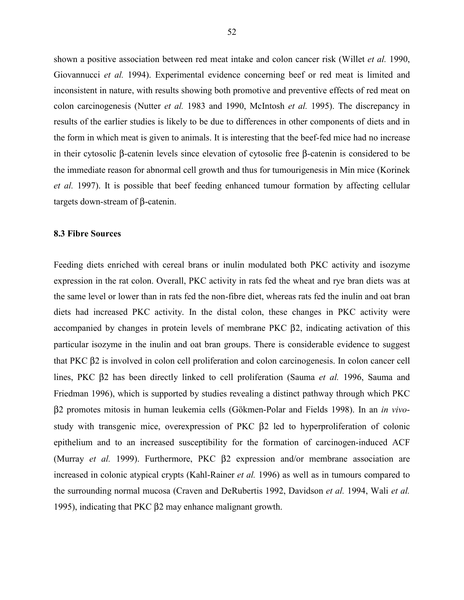shown a positive association between red meat intake and colon cancer risk (Willet *et al.* 1990, Giovannucci *et al.* 1994). Experimental evidence concerning beef or red meat is limited and inconsistent in nature, with results showing both promotive and preventive effects of red meat on colon carcinogenesis (Nutter *et al.* 1983 and 1990, McIntosh *et al.* 1995). The discrepancy in results of the earlier studies is likely to be due to differences in other components of diets and in the form in which meat is given to animals. It is interesting that the beef-fed mice had no increase in their cytosolic β-catenin levels since elevation of cytosolic free β-catenin is considered to be the immediate reason for abnormal cell growth and thus for tumourigenesis in Min mice (Korinek *et al.* 1997). It is possible that beef feeding enhanced tumour formation by affecting cellular targets down-stream of β-catenin.

#### **8.3 Fibre Sources**

Feeding diets enriched with cereal brans or inulin modulated both PKC activity and isozyme expression in the rat colon. Overall, PKC activity in rats fed the wheat and rye bran diets was at the same level or lower than in rats fed the non-fibre diet, whereas rats fed the inulin and oat bran diets had increased PKC activity. In the distal colon, these changes in PKC activity were accompanied by changes in protein levels of membrane PKC β2, indicating activation of this particular isozyme in the inulin and oat bran groups. There is considerable evidence to suggest that PKC β2 is involved in colon cell proliferation and colon carcinogenesis. In colon cancer cell lines, PKC β2 has been directly linked to cell proliferation (Sauma *et al.* 1996, Sauma and Friedman 1996), which is supported by studies revealing a distinct pathway through which PKC β2 promotes mitosis in human leukemia cells (Gökmen-Polar and Fields 1998). In an *in vivo*study with transgenic mice, overexpression of PKC β2 led to hyperproliferation of colonic epithelium and to an increased susceptibility for the formation of carcinogen-induced ACF (Murray *et al.* 1999). Furthermore, PKC β2 expression and/or membrane association are increased in colonic atypical crypts (Kahl-Rainer *et al.* 1996) as well as in tumours compared to the surrounding normal mucosa (Craven and DeRubertis 1992, Davidson *et al.* 1994, Wali *et al.* 1995), indicating that PKC β2 may enhance malignant growth.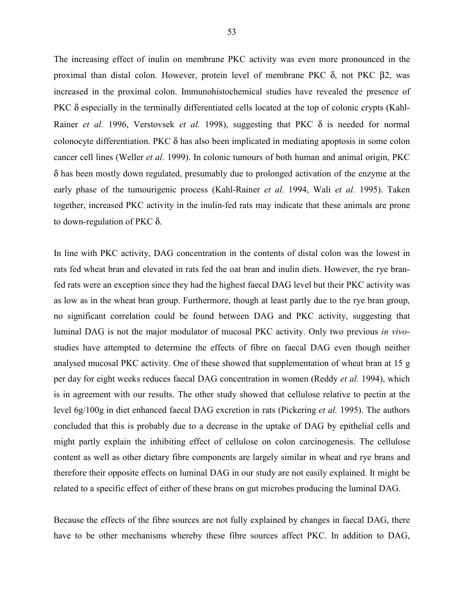The increasing effect of inulin on membrane PKC activity was even more pronounced in the proximal than distal colon. However, protein level of membrane PKC δ, not PKC β2, was increased in the proximal colon. Immunohistochemical studies have revealed the presence of PKC δ especially in the terminally differentiated cells located at the top of colonic crypts (Kahl-Rainer *et al.* 1996, Verstovsek *et al.* 1998), suggesting that PKC δ is needed for normal colonocyte differentiation. PKC δ has also been implicated in mediating apoptosis in some colon cancer cell lines (Weller *et al.* 1999). In colonic tumours of both human and animal origin, PKC δ has been mostly down regulated, presumably due to prolonged activation of the enzyme at the early phase of the tumourigenic process (Kahl-Rainer *et al.* 1994, Wali *et al.* 1995). Taken together, increased PKC activity in the inulin-fed rats may indicate that these animals are prone to down-regulation of PKC δ.

In line with PKC activity, DAG concentration in the contents of distal colon was the lowest in rats fed wheat bran and elevated in rats fed the oat bran and inulin diets. However, the rye branfed rats were an exception since they had the highest faecal DAG level but their PKC activity was as low as in the wheat bran group. Furthermore, though at least partly due to the rye bran group, no significant correlation could be found between DAG and PKC activity, suggesting that luminal DAG is not the major modulator of mucosal PKC activity. Only two previous *in vivo*studies have attempted to determine the effects of fibre on faecal DAG even though neither analysed mucosal PKC activity. One of these showed that supplementation of wheat bran at 15 g per day for eight weeks reduces faecal DAG concentration in women (Reddy *et al.* 1994), which is in agreement with our results. The other study showed that cellulose relative to pectin at the level 6g/100g in diet enhanced faecal DAG excretion in rats (Pickering *et al.* 1995). The authors concluded that this is probably due to a decrease in the uptake of DAG by epithelial cells and might partly explain the inhibiting effect of cellulose on colon carcinogenesis. The cellulose content as well as other dietary fibre components are largely similar in wheat and rye brans and therefore their opposite effects on luminal DAG in our study are not easily explained. It might be related to a specific effect of either of these brans on gut microbes producing the luminal DAG.

Because the effects of the fibre sources are not fully explained by changes in faecal DAG, there have to be other mechanisms whereby these fibre sources affect PKC. In addition to DAG,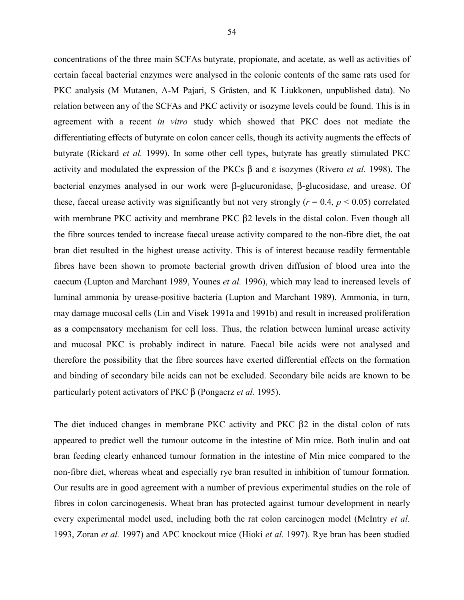concentrations of the three main SCFAs butyrate, propionate, and acetate, as well as activities of certain faecal bacterial enzymes were analysed in the colonic contents of the same rats used for PKC analysis (M Mutanen, A-M Pajari, S Gråsten, and K Liukkonen, unpublished data). No relation between any of the SCFAs and PKC activity or isozyme levels could be found. This is in agreement with a recent *in vitro* study which showed that PKC does not mediate the differentiating effects of butyrate on colon cancer cells, though its activity augments the effects of butyrate (Rickard *et al.* 1999). In some other cell types, butyrate has greatly stimulated PKC activity and modulated the expression of the PKCs β and ε isozymes (Rivero *et al.* 1998). The bacterial enzymes analysed in our work were β-glucuronidase, β-glucosidase, and urease. Of these, faecal urease activity was significantly but not very strongly  $(r = 0.4, p \le 0.05)$  correlated with membrane PKC activity and membrane PKC β2 levels in the distal colon. Even though all the fibre sources tended to increase faecal urease activity compared to the non-fibre diet, the oat bran diet resulted in the highest urease activity. This is of interest because readily fermentable fibres have been shown to promote bacterial growth driven diffusion of blood urea into the caecum (Lupton and Marchant 1989, Younes *et al.* 1996), which may lead to increased levels of luminal ammonia by urease-positive bacteria (Lupton and Marchant 1989). Ammonia, in turn, may damage mucosal cells (Lin and Visek 1991a and 1991b) and result in increased proliferation as a compensatory mechanism for cell loss. Thus, the relation between luminal urease activity and mucosal PKC is probably indirect in nature. Faecal bile acids were not analysed and therefore the possibility that the fibre sources have exerted differential effects on the formation and binding of secondary bile acids can not be excluded. Secondary bile acids are known to be particularly potent activators of PKC β (Pongacrz *et al.* 1995).

The diet induced changes in membrane PKC activity and PKC β2 in the distal colon of rats appeared to predict well the tumour outcome in the intestine of Min mice. Both inulin and oat bran feeding clearly enhanced tumour formation in the intestine of Min mice compared to the non-fibre diet, whereas wheat and especially rye bran resulted in inhibition of tumour formation. Our results are in good agreement with a number of previous experimental studies on the role of fibres in colon carcinogenesis. Wheat bran has protected against tumour development in nearly every experimental model used, including both the rat colon carcinogen model (McIntry *et al.* 1993, Zoran *et al.* 1997) and APC knockout mice (Hioki *et al.* 1997). Rye bran has been studied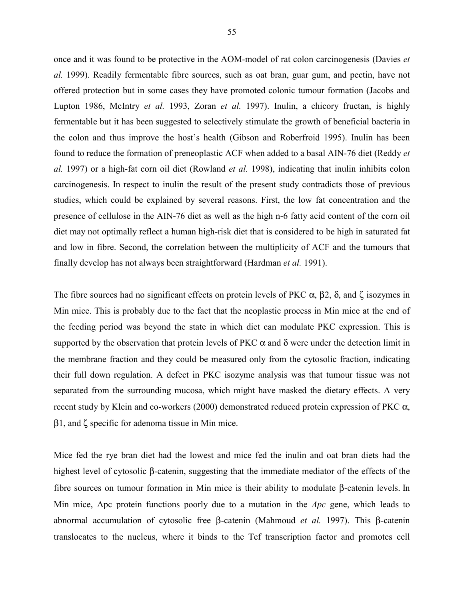once and it was found to be protective in the AOM-model of rat colon carcinogenesis (Davies *et al.* 1999). Readily fermentable fibre sources, such as oat bran, guar gum, and pectin, have not offered protection but in some cases they have promoted colonic tumour formation (Jacobs and Lupton 1986, McIntry *et al.* 1993, Zoran *et al.* 1997). Inulin, a chicory fructan, is highly fermentable but it has been suggested to selectively stimulate the growth of beneficial bacteria in the colon and thus improve the host's health (Gibson and Roberfroid 1995). Inulin has been found to reduce the formation of preneoplastic ACF when added to a basal AIN-76 diet (Reddy *et al.* 1997) or a high-fat corn oil diet (Rowland *et al.* 1998), indicating that inulin inhibits colon carcinogenesis. In respect to inulin the result of the present study contradicts those of previous studies, which could be explained by several reasons. First, the low fat concentration and the presence of cellulose in the AIN-76 diet as well as the high n-6 fatty acid content of the corn oil diet may not optimally reflect a human high-risk diet that is considered to be high in saturated fat and low in fibre. Second, the correlation between the multiplicity of ACF and the tumours that finally develop has not always been straightforward (Hardman *et al.* 1991).

The fibre sources had no significant effects on protein levels of PKC  $\alpha$ ,  $\beta$ 2,  $\delta$ , and  $\zeta$  isozymes in Min mice. This is probably due to the fact that the neoplastic process in Min mice at the end of the feeding period was beyond the state in which diet can modulate PKC expression. This is supported by the observation that protein levels of PKC  $\alpha$  and  $\delta$  were under the detection limit in the membrane fraction and they could be measured only from the cytosolic fraction, indicating their full down regulation. A defect in PKC isozyme analysis was that tumour tissue was not separated from the surrounding mucosa, which might have masked the dietary effects. A very recent study by Klein and co-workers (2000) demonstrated reduced protein expression of PKC  $\alpha$ , β1, and ζ specific for adenoma tissue in Min mice.

Mice fed the rye bran diet had the lowest and mice fed the inulin and oat bran diets had the highest level of cytosolic β-catenin, suggesting that the immediate mediator of the effects of the fibre sources on tumour formation in Min mice is their ability to modulate β-catenin levels. Ιn Min mice, Apc protein functions poorly due to a mutation in the *Apc* gene, which leads to abnormal accumulation of cytosolic free β-catenin (Mahmoud *et al.* 1997). This β-catenin translocates to the nucleus, where it binds to the Tcf transcription factor and promotes cell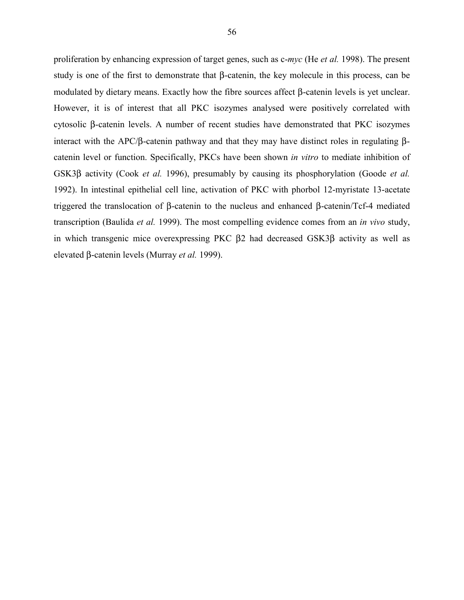proliferation by enhancing expression of target genes, such as c-*myc* (He *et al.* 1998). The present study is one of the first to demonstrate that β-catenin, the key molecule in this process, can be modulated by dietary means. Exactly how the fibre sources affect β-catenin levels is yet unclear. However, it is of interest that all PKC isozymes analysed were positively correlated with cytosolic β-catenin levels. A number of recent studies have demonstrated that PKC isozymes interact with the APC/β-catenin pathway and that they may have distinct roles in regulating βcatenin level or function. Specifically, PKCs have been shown *in vitro* to mediate inhibition of GSK3β activity (Cook *et al.* 1996), presumably by causing its phosphorylation (Goode *et al.* 1992). In intestinal epithelial cell line, activation of PKC with phorbol 12-myristate 13-acetate triggered the translocation of β-catenin to the nucleus and enhanced β-catenin/Tcf-4 mediated transcription (Baulida *et al.* 1999). The most compelling evidence comes from an *in vivo* study, in which transgenic mice overexpressing PKC β2 had decreased GSK3β activity as well as elevated β-catenin levels (Murray *et al.* 1999).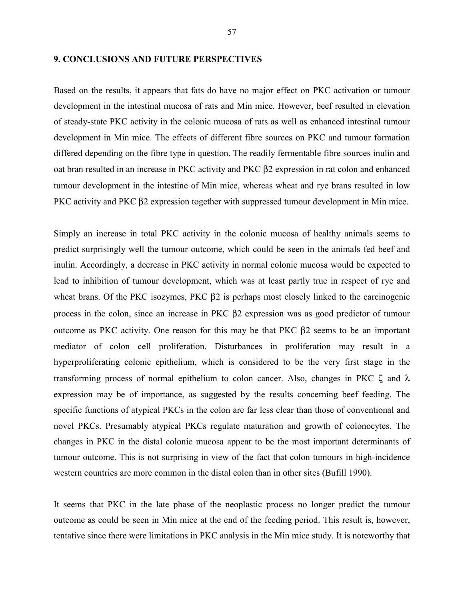# **9. CONCLUSIONS AND FUTURE PERSPECTIVES**

Based on the results, it appears that fats do have no major effect on PKC activation or tumour development in the intestinal mucosa of rats and Min mice. However, beef resulted in elevation of steady-state PKC activity in the colonic mucosa of rats as well as enhanced intestinal tumour development in Min mice. The effects of different fibre sources on PKC and tumour formation differed depending on the fibre type in question. The readily fermentable fibre sources inulin and oat bran resulted in an increase in PKC activity and PKC β2 expression in rat colon and enhanced tumour development in the intestine of Min mice, whereas wheat and rye brans resulted in low PKC activity and PKC β2 expression together with suppressed tumour development in Min mice.

Simply an increase in total PKC activity in the colonic mucosa of healthy animals seems to predict surprisingly well the tumour outcome, which could be seen in the animals fed beef and inulin. Accordingly, a decrease in PKC activity in normal colonic mucosa would be expected to lead to inhibition of tumour development, which was at least partly true in respect of rye and wheat brans. Of the PKC isozymes, PKC β2 is perhaps most closely linked to the carcinogenic process in the colon, since an increase in PKC β2 expression was as good predictor of tumour outcome as PKC activity. One reason for this may be that PKC β2 seems to be an important mediator of colon cell proliferation. Disturbances in proliferation may result in a hyperproliferating colonic epithelium, which is considered to be the very first stage in the transforming process of normal epithelium to colon cancer. Also, changes in PKC ζ and λ expression may be of importance, as suggested by the results concerning beef feeding. The specific functions of atypical PKCs in the colon are far less clear than those of conventional and novel PKCs. Presumably atypical PKCs regulate maturation and growth of colonocytes. The changes in PKC in the distal colonic mucosa appear to be the most important determinants of tumour outcome. This is not surprising in view of the fact that colon tumours in high-incidence western countries are more common in the distal colon than in other sites (Bufill 1990).

It seems that PKC in the late phase of the neoplastic process no longer predict the tumour outcome as could be seen in Min mice at the end of the feeding period. This result is, however, tentative since there were limitations in PKC analysis in the Min mice study. It is noteworthy that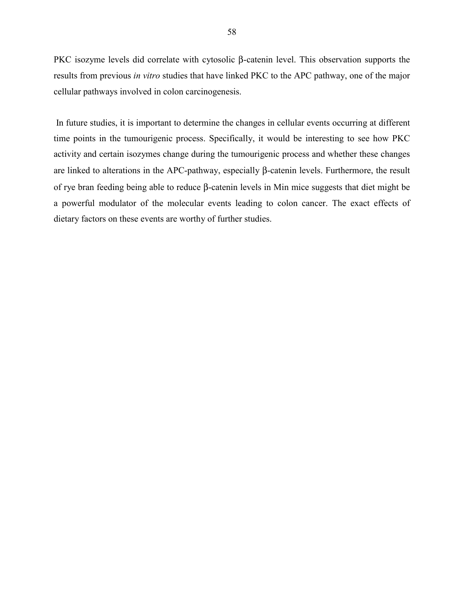PKC isozyme levels did correlate with cytosolic β-catenin level. This observation supports the results from previous *in vitro* studies that have linked PKC to the APC pathway, one of the major cellular pathways involved in colon carcinogenesis.

 In future studies, it is important to determine the changes in cellular events occurring at different time points in the tumourigenic process. Specifically, it would be interesting to see how PKC activity and certain isozymes change during the tumourigenic process and whether these changes are linked to alterations in the APC-pathway, especially β-catenin levels. Furthermore, the result of rye bran feeding being able to reduce β-catenin levels in Min mice suggests that diet might be a powerful modulator of the molecular events leading to colon cancer. The exact effects of dietary factors on these events are worthy of further studies.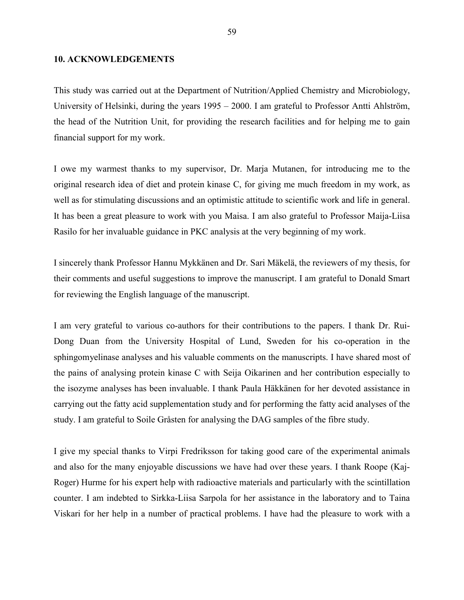#### **10. ACKNOWLEDGEMENTS**

This study was carried out at the Department of Nutrition/Applied Chemistry and Microbiology, University of Helsinki, during the years 1995 – 2000. I am grateful to Professor Antti Ahlström, the head of the Nutrition Unit, for providing the research facilities and for helping me to gain financial support for my work.

I owe my warmest thanks to my supervisor, Dr. Marja Mutanen, for introducing me to the original research idea of diet and protein kinase C, for giving me much freedom in my work, as well as for stimulating discussions and an optimistic attitude to scientific work and life in general. It has been a great pleasure to work with you Maisa. I am also grateful to Professor Maija-Liisa Rasilo for her invaluable guidance in PKC analysis at the very beginning of my work.

I sincerely thank Professor Hannu Mykkänen and Dr. Sari Mäkelä, the reviewers of my thesis, for their comments and useful suggestions to improve the manuscript. I am grateful to Donald Smart for reviewing the English language of the manuscript.

I am very grateful to various co-authors for their contributions to the papers. I thank Dr. Rui-Dong Duan from the University Hospital of Lund, Sweden for his co-operation in the sphingomyelinase analyses and his valuable comments on the manuscripts. I have shared most of the pains of analysing protein kinase C with Seija Oikarinen and her contribution especially to the isozyme analyses has been invaluable. I thank Paula Häkkänen for her devoted assistance in carrying out the fatty acid supplementation study and for performing the fatty acid analyses of the study. I am grateful to Soile Gråsten for analysing the DAG samples of the fibre study.

I give my special thanks to Virpi Fredriksson for taking good care of the experimental animals and also for the many enjoyable discussions we have had over these years. I thank Roope (Kaj-Roger) Hurme for his expert help with radioactive materials and particularly with the scintillation counter. I am indebted to Sirkka-Liisa Sarpola for her assistance in the laboratory and to Taina Viskari for her help in a number of practical problems. I have had the pleasure to work with a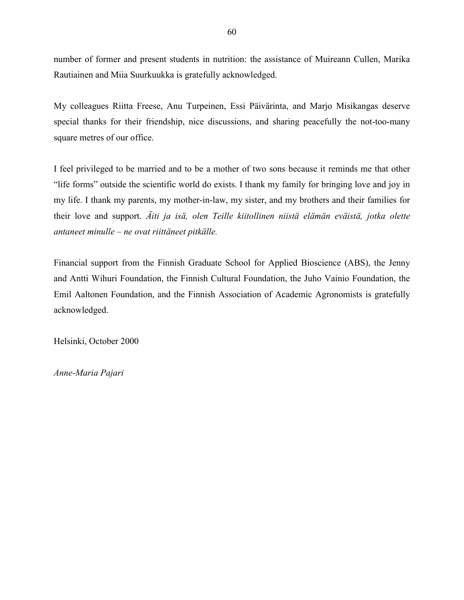number of former and present students in nutrition: the assistance of Muireann Cullen, Marika Rautiainen and Miia Suurkuukka is gratefully acknowledged.

My colleagues Riitta Freese, Anu Turpeinen, Essi Päivärinta, and Marjo Misikangas deserve special thanks for their friendship, nice discussions, and sharing peacefully the not-too-many square metres of our office.

I feel privileged to be married and to be a mother of two sons because it reminds me that other "life forms" outside the scientific world do exists. I thank my family for bringing love and joy in my life. I thank my parents, my mother-in-law, my sister, and my brothers and their families for their love and support. *Äiti ja isä, olen Teille kiitollinen niistä elämän eväistä, jotka olette antaneet minulle – ne ovat riittäneet pitkälle.*

Financial support from the Finnish Graduate School for Applied Bioscience (ABS), the Jenny and Antti Wihuri Foundation, the Finnish Cultural Foundation, the Juho Vainio Foundation, the Emil Aaltonen Foundation, and the Finnish Association of Academic Agronomists is gratefully acknowledged.

Helsinki, October 2000

*Anne-Maria Pajari*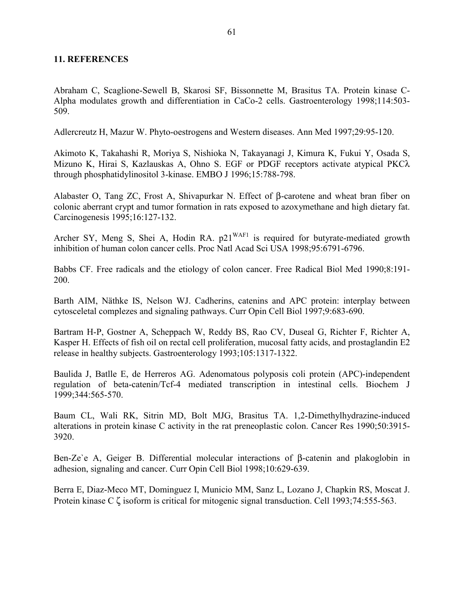# **11. REFERENCES**

Abraham C, Scaglione-Sewell B, Skarosi SF, Bissonnette M, Brasitus TA. Protein kinase C-Alpha modulates growth and differentiation in CaCo-2 cells. Gastroenterology 1998;114:503- 509.

Adlercreutz H, Mazur W. Phyto-oestrogens and Western diseases. Ann Med 1997;29:95-120.

Akimoto K, Takahashi R, Moriya S, Nishioka N, Takayanagi J, Kimura K, Fukui Y, Osada S, Mizuno K, Hirai S, Kazlauskas A, Ohno S. EGF or PDGF receptors activate atypical PKCλ through phosphatidylinositol 3-kinase. EMBO J 1996;15:788-798.

Alabaster O, Tang ZC, Frost A, Shivapurkar N. Effect of β-carotene and wheat bran fiber on colonic aberrant crypt and tumor formation in rats exposed to azoxymethane and high dietary fat. Carcinogenesis 1995;16:127-132.

Archer SY, Meng S, Shei A, Hodin RA.  $p21^{WAF1}$  is required for butyrate-mediated growth inhibition of human colon cancer cells. Proc Natl Acad Sci USA 1998;95:6791-6796.

Babbs CF. Free radicals and the etiology of colon cancer. Free Radical Biol Med 1990;8:191- 200.

Barth AIM, Näthke IS, Nelson WJ. Cadherins, catenins and APC protein: interplay between cytosceletal complezes and signaling pathways. Curr Opin Cell Biol 1997;9:683-690.

Bartram H-P, Gostner A, Scheppach W, Reddy BS, Rao CV, Duseal G, Richter F, Richter A, Kasper H. Effects of fish oil on rectal cell proliferation, mucosal fatty acids, and prostaglandin E2 release in healthy subjects. Gastroenterology 1993;105:1317-1322.

Baulida J, Batlle E, de Herreros AG. Adenomatous polyposis coli protein (APC)-independent regulation of beta-catenin/Tcf-4 mediated transcription in intestinal cells. Biochem J 1999;344:565-570.

Baum CL, Wali RK, Sitrin MD, Bolt MJG, Brasitus TA. 1,2-Dimethylhydrazine-induced alterations in protein kinase C activity in the rat preneoplastic colon. Cancer Res 1990;50:3915- 3920.

Ben-Ze`e A, Geiger B. Differential molecular interactions of β-catenin and plakoglobin in adhesion, signaling and cancer. Curr Opin Cell Biol 1998;10:629-639.

Berra E, Diaz-Meco MT, Dominguez I, Municio MM, Sanz L, Lozano J, Chapkin RS, Moscat J. Protein kinase C ζ isoform is critical for mitogenic signal transduction. Cell 1993;74:555-563.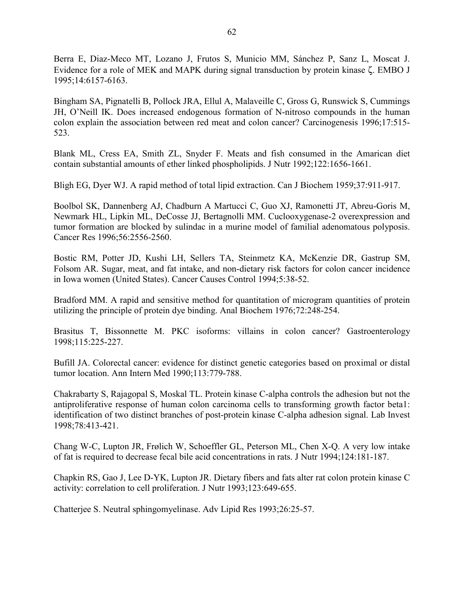Berra E, Diaz-Meco MT, Lozano J, Frutos S, Municio MM, Sánchez P, Sanz L, Moscat J. Evidence for a role of MEK and MAPK during signal transduction by protein kinase ζ. EMBO J 1995;14:6157-6163.

Bingham SA, Pignatelli B, Pollock JRA, Ellul A, Malaveille C, Gross G, Runswick S, Cummings JH, O'Neill IK. Does increased endogenous formation of N-nitroso compounds in the human colon explain the association between red meat and colon cancer? Carcinogenesis 1996;17:515- 523.

Blank ML, Cress EA, Smith ZL, Snyder F. Meats and fish consumed in the Amarican diet contain substantial amounts of ether linked phospholipids. J Nutr 1992;122:1656-1661.

Bligh EG, Dyer WJ. A rapid method of total lipid extraction. Can J Biochem 1959;37:911-917.

Boolbol SK, Dannenberg AJ, Chadburn A Martucci C, Guo XJ, Ramonetti JT, Abreu-Goris M, Newmark HL, Lipkin ML, DeCosse JJ, Bertagnolli MM. Cuclooxygenase-2 overexpression and tumor formation are blocked by sulindac in a murine model of familial adenomatous polyposis. Cancer Res 1996;56:2556-2560.

Bostic RM, Potter JD, Kushi LH, Sellers TA, Steinmetz KA, McKenzie DR, Gastrup SM, Folsom AR. Sugar, meat, and fat intake, and non-dietary risk factors for colon cancer incidence in Iowa women (United States). Cancer Causes Control 1994;5:38-52.

Bradford MM. A rapid and sensitive method for quantitation of microgram quantities of protein utilizing the principle of protein dye binding. Anal Biochem 1976;72:248-254.

Brasitus T, Bissonnette M. PKC isoforms: villains in colon cancer? Gastroenterology 1998;115:225-227.

Bufill JA. Colorectal cancer: evidence for distinct genetic categories based on proximal or distal tumor location. Ann Intern Med 1990;113:779-788.

Chakrabarty S, Rajagopal S, Moskal TL. Protein kinase C-alpha controls the adhesion but not the antiproliferative response of human colon carcinoma cells to transforming growth factor beta1: identification of two distinct branches of post-protein kinase C-alpha adhesion signal. Lab Invest 1998;78:413-421.

Chang W-C, Lupton JR, Frølich W, Schoeffler GL, Peterson ML, Chen X-Q. A very low intake of fat is required to decrease fecal bile acid concentrations in rats. J Nutr 1994;124:181-187.

Chapkin RS, Gao J, Lee D-YK, Lupton JR. Dietary fibers and fats alter rat colon protein kinase C activity: correlation to cell proliferation. J Nutr 1993;123:649-655.

Chatterjee S. Neutral sphingomyelinase. Adv Lipid Res 1993;26:25-57.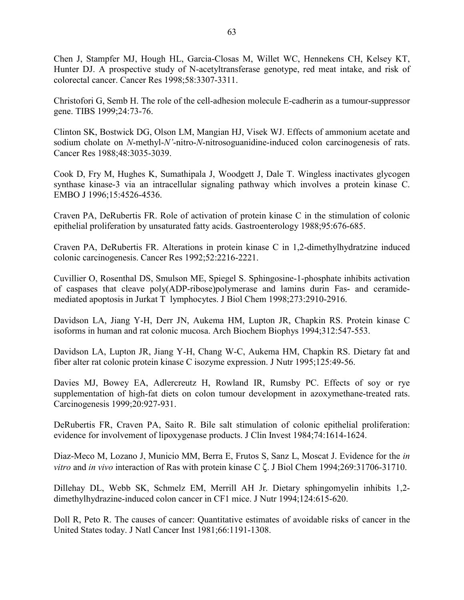Chen J, Stampfer MJ, Hough HL, Garcia-Closas M, Willet WC, Hennekens CH, Kelsey KT, Hunter DJ. A prospective study of N-acetyltransferase genotype, red meat intake, and risk of colorectal cancer. Cancer Res 1998;58:3307-3311.

Christofori G, Semb H. The role of the cell-adhesion molecule E-cadherin as a tumour-suppressor gene. TIBS 1999;24:73-76.

Clinton SK, Bostwick DG, Olson LM, Mangian HJ, Visek WJ. Effects of ammonium acetate and sodium cholate on *N*-methyl-*N'*-nitro-*N*-nitrosoguanidine-induced colon carcinogenesis of rats. Cancer Res 1988;48:3035-3039.

Cook D, Fry M, Hughes K, Sumathipala J, Woodgett J, Dale T. Wingless inactivates glycogen synthase kinase-3 via an intracellular signaling pathway which involves a protein kinase C. EMBO J 1996;15:4526-4536.

Craven PA, DeRubertis FR. Role of activation of protein kinase C in the stimulation of colonic epithelial proliferation by unsaturated fatty acids. Gastroenterology 1988;95:676-685.

Craven PA, DeRubertis FR. Alterations in protein kinase C in 1,2-dimethylhydratzine induced colonic carcinogenesis. Cancer Res 1992;52:2216-2221.

Cuvillier O, Rosenthal DS, Smulson ME, Spiegel S. Sphingosine-1-phosphate inhibits activation of caspases that cleave poly(ADP-ribose)polymerase and lamins durin Fas- and ceramidemediated apoptosis in Jurkat T lymphocytes. J Biol Chem 1998;273:2910-2916.

Davidson LA, Jiang Y-H, Derr JN, Aukema HM, Lupton JR, Chapkin RS. Protein kinase C isoforms in human and rat colonic mucosa. Arch Biochem Biophys 1994;312:547-553.

Davidson LA, Lupton JR, Jiang Y-H, Chang W-C, Aukema HM, Chapkin RS. Dietary fat and fiber alter rat colonic protein kinase C isozyme expression. J Nutr 1995;125:49-56.

Davies MJ, Bowey EA, Adlercreutz H, Rowland IR, Rumsby PC. Effects of soy or rye supplementation of high-fat diets on colon tumour development in azoxymethane-treated rats. Carcinogenesis 1999;20:927-931.

DeRubertis FR, Craven PA, Saito R. Bile salt stimulation of colonic epithelial proliferation: evidence for involvement of lipoxygenase products. J Clin Invest 1984;74:1614-1624.

Diaz-Meco M, Lozano J, Municio MM, Berra E, Frutos S, Sanz L, Moscat J. Evidence for the *in vitro* and *in vivo* interaction of Ras with protein kinase C ζ. J Biol Chem 1994;269:31706-31710.

Dillehay DL, Webb SK, Schmelz EM, Merrill AH Jr. Dietary sphingomyelin inhibits 1,2 dimethylhydrazine-induced colon cancer in CF1 mice. J Nutr 1994;124:615-620.

Doll R, Peto R. The causes of cancer: Quantitative estimates of avoidable risks of cancer in the United States today. J Natl Cancer Inst 1981;66:1191-1308.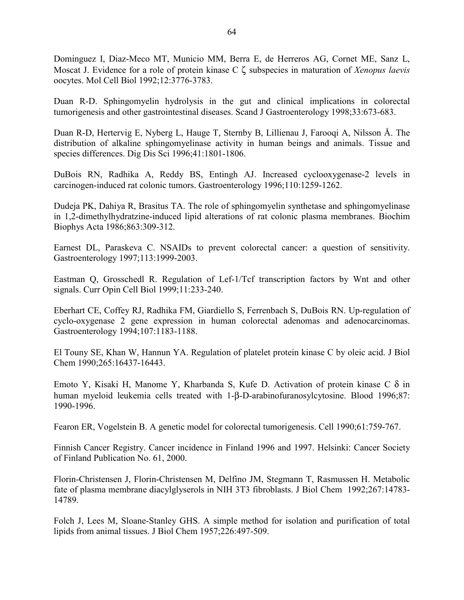Dominguez I, Diaz-Meco MT, Municio MM, Berra E, de Herreros AG, Cornet ME, Sanz L, Moscat J. Evidence for a role of protein kinase C ζ subspecies in maturation of *Xenopus laevis* oocytes. Mol Cell Biol 1992;12:3776-3783.

Duan R-D. Sphingomyelin hydrolysis in the gut and clinical implications in colorectal tumorigenesis and other gastrointestinal diseases. Scand J Gastroenterology 1998;33:673-683.

Duan R-D, Hertervig E, Nyberg L, Hauge T, Sternby B, Lillienau J, Farooqi A, Nilsson Å. The distribution of alkaline sphingomyelinase activity in human beings and animals. Tissue and species differences. Dig Dis Sci 1996;41:1801-1806.

DuBois RN, Radhika A, Reddy BS, Entingh AJ. Increased cyclooxygenase-2 levels in carcinogen-induced rat colonic tumors. Gastroenterology 1996;110:1259-1262.

Dudeja PK, Dahiya R, Brasitus TA. The role of sphingomyelin synthetase and sphingomyelinase in 1,2-dimethylhydratzine-induced lipid alterations of rat colonic plasma membranes. Biochim Biophys Acta 1986;863:309-312.

Earnest DL, Paraskeva C. NSAIDs to prevent colorectal cancer: a question of sensitivity. Gastroenterology 1997;113:1999-2003.

Eastman Q, Grosschedl R. Regulation of Lef-1/Tcf transcription factors by Wnt and other signals. Curr Opin Cell Biol 1999;11:233-240.

Eberhart CE, Coffey RJ, Radhika FM, Giardiello S, Ferrenbach S, DuBois RN. Up-regulation of cyclo-oxygenase 2 gene expression in human colorectal adenomas and adenocarcinomas. Gastroenterology 1994;107:1183-1188.

El Touny SE, Khan W, Hannun YA. Regulation of platelet protein kinase C by oleic acid. J Biol Chem 1990;265:16437-16443.

Emoto Y, Kisaki H, Manome Y, Kharbanda S, Kufe D. Activation of protein kinase C δ in human myeloid leukemia cells treated with 1-β-D-arabinofuranosylcytosine. Blood 1996;87: 1990-1996.

Fearon ER, Vogelstein B. A genetic model for colorectal tumorigenesis. Cell 1990;61:759-767.

Finnish Cancer Registry. Cancer incidence in Finland 1996 and 1997. Helsinki: Cancer Society of Finland Publication No. 61, 2000.

Florin-Christensen J, Florin-Christensen M, Delfino JM, Stegmann T, Rasmussen H. Metabolic fate of plasma membrane diacylglyserols in NIH 3T3 fibroblasts. J Biol Chem 1992;267:14783- 14789.

Folch J, Lees M, Sloane-Stanley GHS. A simple method for isolation and purification of total lipids from animal tissues. J Biol Chem 1957;226:497-509.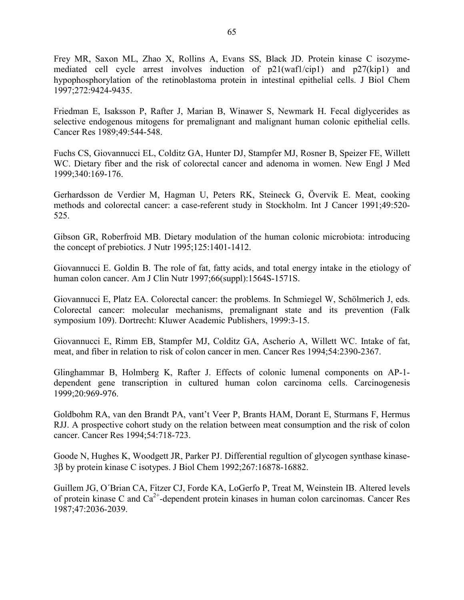Frey MR, Saxon ML, Zhao X, Rollins A, Evans SS, Black JD. Protein kinase C isozymemediated cell cycle arrest involves induction of p21(waf1/cip1) and p27(kip1) and hypophosphorylation of the retinoblastoma protein in intestinal epithelial cells. J Biol Chem 1997;272:9424-9435.

Friedman E, Isaksson P, Rafter J, Marian B, Winawer S, Newmark H. Fecal diglycerides as selective endogenous mitogens for premalignant and malignant human colonic epithelial cells. Cancer Res 1989;49:544-548.

Fuchs CS, Giovannucci EL, Colditz GA, Hunter DJ, Stampfer MJ, Rosner B, Speizer FE, Willett WC. Dietary fiber and the risk of colorectal cancer and adenoma in women. New Engl J Med 1999;340:169-176.

Gerhardsson de Verdier M, Hagman U, Peters RK, Steineck G, Övervik E. Meat, cooking methods and colorectal cancer: a case-referent study in Stockholm. Int J Cancer 1991;49:520- 525.

Gibson GR, Roberfroid MB. Dietary modulation of the human colonic microbiota: introducing the concept of prebiotics. J Nutr 1995;125:1401-1412.

Giovannucci E. Goldin B. The role of fat, fatty acids, and total energy intake in the etiology of human colon cancer. Am J Clin Nutr 1997;66(suppl):1564S-1571S.

Giovannucci E, Platz EA. Colorectal cancer: the problems. In Schmiegel W, Schölmerich J, eds. Colorectal cancer: molecular mechanisms, premalignant state and its prevention (Falk symposium 109). Dortrecht: Kluwer Academic Publishers, 1999:3-15.

Giovannucci E, Rimm EB, Stampfer MJ, Colditz GA, Ascherio A, Willett WC. Intake of fat, meat, and fiber in relation to risk of colon cancer in men. Cancer Res 1994;54:2390-2367.

Glinghammar B, Holmberg K, Rafter J. Effects of colonic lumenal components on AP-1 dependent gene transcription in cultured human colon carcinoma cells. Carcinogenesis 1999;20:969-976.

Goldbohm RA, van den Brandt PA, vant't Veer P, Brants HAM, Dorant E, Sturmans F, Hermus RJJ. A prospective cohort study on the relation between meat consumption and the risk of colon cancer. Cancer Res 1994;54:718-723.

Goode N, Hughes K, Woodgett JR, Parker PJ. Differential regultion of glycogen synthase kinase-3β by protein kinase C isotypes. J Biol Chem 1992;267:16878-16882.

Guillem JG, O´Brian CA, Fitzer CJ, Forde KA, LoGerfo P, Treat M, Weinstein IB. Altered levels of protein kinase C and  $Ca^{2+}$ -dependent protein kinases in human colon carcinomas. Cancer Res 1987;47:2036-2039.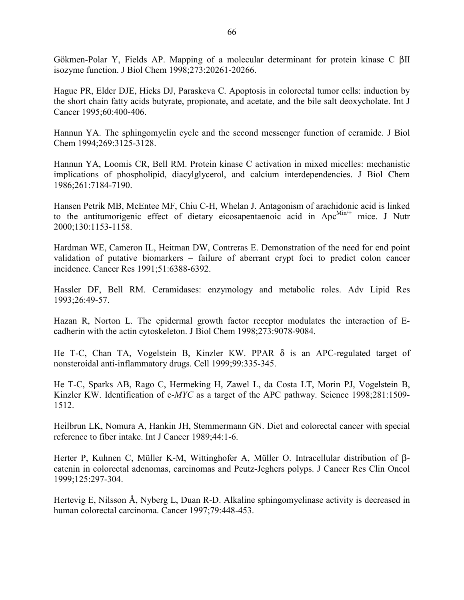Gökmen-Polar Y, Fields AP. Mapping of a molecular determinant for protein kinase C βII isozyme function. J Biol Chem 1998;273:20261-20266.

Hague PR, Elder DJE, Hicks DJ, Paraskeva C. Apoptosis in colorectal tumor cells: induction by the short chain fatty acids butyrate, propionate, and acetate, and the bile salt deoxycholate. Int J Cancer 1995;60:400-406.

Hannun YA. The sphingomyelin cycle and the second messenger function of ceramide. J Biol Chem 1994;269:3125-3128.

Hannun YA, Loomis CR, Bell RM. Protein kinase C activation in mixed micelles: mechanistic implications of phospholipid, diacylglycerol, and calcium interdependencies. J Biol Chem 1986;261:7184-7190.

Hansen Petrik MB, McEntee MF, Chiu C-H, Whelan J. Antagonism of arachidonic acid is linked to the antitumorigenic effect of dietary eicosapentaenoic acid in  $Apc^{Min/+}$  mice. J Nutr 2000;130:1153-1158.

Hardman WE, Cameron IL, Heitman DW, Contreras E. Demonstration of the need for end point validation of putative biomarkers – failure of aberrant crypt foci to predict colon cancer incidence. Cancer Res 1991;51:6388-6392.

Hassler DF, Bell RM. Ceramidases: enzymology and metabolic roles. Adv Lipid Res 1993;26:49-57.

Hazan R, Norton L. The epidermal growth factor receptor modulates the interaction of Ecadherin with the actin cytoskeleton. J Biol Chem 1998;273:9078-9084.

He T-C, Chan TA, Vogelstein B, Kinzler KW. PPAR δ is an APC-regulated target of nonsteroidal anti-inflammatory drugs. Cell 1999;99:335-345.

He T-C, Sparks AB, Rago C, Hermeking H, Zawel L, da Costa LT, Morin PJ, Vogelstein B, Kinzler KW. Identification of c-*MYC* as a target of the APC pathway. Science 1998;281:1509- 1512.

Heilbrun LK, Nomura A, Hankin JH, Stemmermann GN. Diet and colorectal cancer with special reference to fiber intake. Int J Cancer 1989;44:1-6.

Herter P, Kuhnen C, Müller K-M, Wittinghofer A, Müller O. Intracellular distribution of βcatenin in colorectal adenomas, carcinomas and Peutz-Jeghers polyps. J Cancer Res Clin Oncol 1999;125:297-304.

Hertevig E, Nilsson Å, Nyberg L, Duan R-D. Alkaline sphingomyelinase activity is decreased in human colorectal carcinoma. Cancer 1997;79:448-453.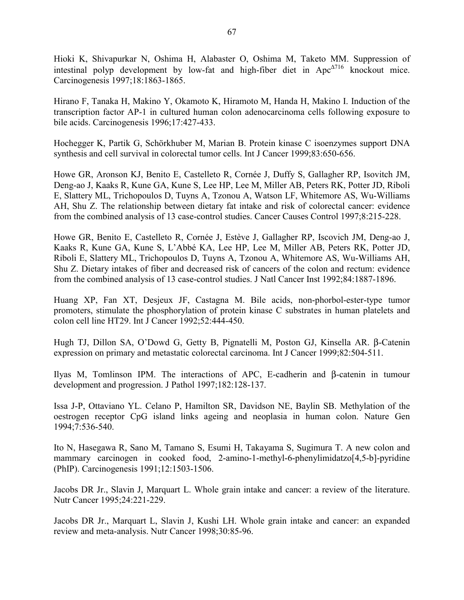Hioki K, Shivapurkar N, Oshima H, Alabaster O, Oshima M, Taketo MM. Suppression of intestinal polyp development by low-fat and high-fiber diet in  $Apc^{\Delta T16}$  knockout mice. Carcinogenesis 1997;18:1863-1865.

Hirano F, Tanaka H, Makino Y, Okamoto K, Hiramoto M, Handa H, Makino I. Induction of the transcription factor AP-1 in cultured human colon adenocarcinoma cells following exposure to bile acids. Carcinogenesis 1996;17:427-433.

Hochegger K, Partik G, Schörkhuber M, Marian B. Protein kinase C isoenzymes support DNA synthesis and cell survival in colorectal tumor cells. Int J Cancer 1999;83:650-656.

Howe GR, Aronson KJ, Benito E, Castelleto R, Cornée J, Duffy S, Gallagher RP, Isovitch JM, Deng-ao J, Kaaks R, Kune GA, Kune S, Lee HP, Lee M, Miller AB, Peters RK, Potter JD, Riboli E, Slattery ML, Trichopoulos D, Tuyns A, Tzonou A, Watson LF, Whitemore AS, Wu-Williams AH, Shu Z. The relationship between dietary fat intake and risk of colorectal cancer: evidence from the combined analysis of 13 case-control studies. Cancer Causes Control 1997;8:215-228.

Howe GR, Benito E, Castelleto R, Cornée J, Estève J, Gallagher RP, Iscovich JM, Deng-ao J, Kaaks R, Kune GA, Kune S, L'Abbé KA, Lee HP, Lee M, Miller AB, Peters RK, Potter JD, Riboli E, Slattery ML, Trichopoulos D, Tuyns A, Tzonou A, Whitemore AS, Wu-Williams AH, Shu Z. Dietary intakes of fiber and decreased risk of cancers of the colon and rectum: evidence from the combined analysis of 13 case-control studies. J Natl Cancer Inst 1992;84:1887-1896.

Huang XP, Fan XT, Desjeux JF, Castagna M. Bile acids, non-phorbol-ester-type tumor promoters, stimulate the phosphorylation of protein kinase C substrates in human platelets and colon cell line HT29. Int J Cancer 1992;52:444-450.

Hugh TJ, Dillon SA, O'Dowd G, Getty B, Pignatelli M, Poston GJ, Kinsella AR. β-Catenin expression on primary and metastatic colorectal carcinoma. Int J Cancer 1999;82:504-511.

Ilyas M, Tomlinson IPM. The interactions of APC, E-cadherin and β-catenin in tumour development and progression. J Pathol 1997;182:128-137.

Issa J-P, Ottaviano YL. Celano P, Hamilton SR, Davidson NE, Baylin SB. Methylation of the oestrogen receptor CpG island links ageing and neoplasia in human colon. Nature Gen 1994;7:536-540.

Ito N, Hasegawa R, Sano M, Tamano S, Esumi H, Takayama S, Sugimura T. A new colon and mammary carcinogen in cooked food, 2-amino-1-methyl-6-phenylimidatzo[4,5-b]-pyridine (PhIP). Carcinogenesis 1991;12:1503-1506.

Jacobs DR Jr., Slavin J, Marquart L. Whole grain intake and cancer: a review of the literature. Nutr Cancer 1995;24:221-229.

Jacobs DR Jr., Marquart L, Slavin J, Kushi LH. Whole grain intake and cancer: an expanded review and meta-analysis. Nutr Cancer 1998;30:85-96.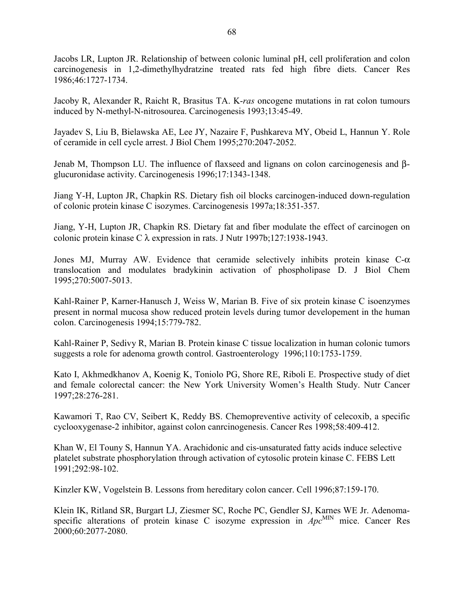Jacobs LR, Lupton JR. Relationship of between colonic luminal pH, cell proliferation and colon carcinogenesis in 1,2-dimethylhydratzine treated rats fed high fibre diets. Cancer Res 1986;46:1727-1734.

Jacoby R, Alexander R, Raicht R, Brasitus TA. K-*ras* oncogene mutations in rat colon tumours induced by N-methyl-N-nitrosourea. Carcinogenesis 1993;13:45-49.

Jayadev S, Liu B, Bielawska AE, Lee JY, Nazaire F, Pushkareva MY, Obeid L, Hannun Y. Role of ceramide in cell cycle arrest. J Biol Chem 1995;270:2047-2052.

Jenab M, Thompson LU. The influence of flaxseed and lignans on colon carcinogenesis and βglucuronidase activity. Carcinogenesis 1996;17:1343-1348.

Jiang Y-H, Lupton JR, Chapkin RS. Dietary fish oil blocks carcinogen-induced down-regulation of colonic protein kinase C isozymes. Carcinogenesis 1997a;18:351-357.

Jiang, Y-H, Lupton JR, Chapkin RS. Dietary fat and fiber modulate the effect of carcinogen on colonic protein kinase C λ expression in rats. J Nutr 1997b;127:1938-1943.

Jones MJ, Murray AW. Evidence that ceramide selectively inhibits protein kinase  $C-\alpha$ translocation and modulates bradykinin activation of phospholipase D. J Biol Chem 1995;270:5007-5013.

Kahl-Rainer P, Karner-Hanusch J, Weiss W, Marian B. Five of six protein kinase C isoenzymes present in normal mucosa show reduced protein levels during tumor developement in the human colon. Carcinogenesis 1994;15:779-782.

Kahl-Rainer P, Sedivy R, Marian B. Protein kinase C tissue localization in human colonic tumors suggests a role for adenoma growth control. Gastroenterology 1996;110:1753-1759.

Kato I, Akhmedkhanov A, Koenig K, Toniolo PG, Shore RE, Riboli E. Prospective study of diet and female colorectal cancer: the New York University Women's Health Study. Nutr Cancer 1997;28:276-281.

Kawamori T, Rao CV, Seibert K, Reddy BS. Chemopreventive activity of celecoxib, a specific cyclooxygenase-2 inhibitor, against colon canrcinogenesis. Cancer Res 1998;58:409-412.

Khan W, El Touny S, Hannun YA. Arachidonic and cis-unsaturated fatty acids induce selective platelet substrate phosphorylation through activation of cytosolic protein kinase C. FEBS Lett 1991;292:98-102.

Kinzler KW, Vogelstein B. Lessons from hereditary colon cancer. Cell 1996;87:159-170.

Klein IK, Ritland SR, Burgart LJ, Ziesmer SC, Roche PC, Gendler SJ, Karnes WE Jr. Adenomaspecific alterations of protein kinase C isozyme expression in  $Apc^{MIN}$  mice. Cancer Res 2000;60:2077-2080.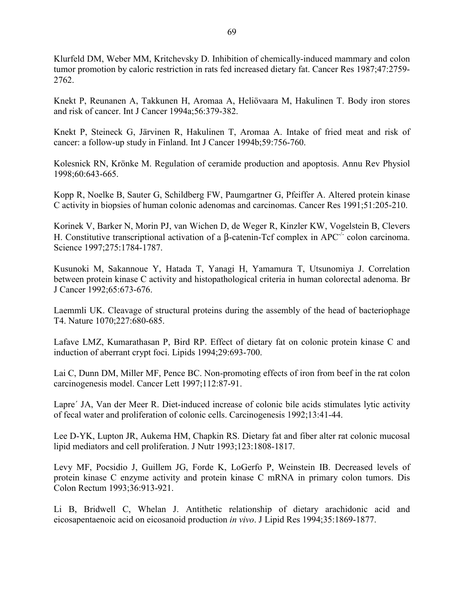Klurfeld DM, Weber MM, Kritchevsky D. Inhibition of chemically-induced mammary and colon tumor promotion by caloric restriction in rats fed increased dietary fat. Cancer Res 1987;47:2759- 2762.

Knekt P, Reunanen A, Takkunen H, Aromaa A, Heliövaara M, Hakulinen T. Body iron stores and risk of cancer. Int J Cancer 1994a;56:379-382.

Knekt P, Steineck G, Järvinen R, Hakulinen T, Aromaa A. Intake of fried meat and risk of cancer: a follow-up study in Finland. Int J Cancer 1994b;59:756-760.

Kolesnick RN, Krönke M. Regulation of ceramide production and apoptosis. Annu Rev Physiol 1998;60:643-665.

Kopp R, Noelke B, Sauter G, Schildberg FW, Paumgartner G, Pfeiffer A. Altered protein kinase C activity in biopsies of human colonic adenomas and carcinomas. Cancer Res 1991;51:205-210.

Korinek V, Barker N, Morin PJ, van Wichen D, de Weger R, Kinzler KW, Vogelstein B, Clevers H. Constitutive transcriptional activation of a β-catenin-Tcf complex in APC-/- colon carcinoma. Science 1997;275:1784-1787.

Kusunoki M, Sakannoue Y, Hatada T, Yanagi H, Yamamura T, Utsunomiya J. Correlation between protein kinase C activity and histopathological criteria in human colorectal adenoma. Br J Cancer 1992;65:673-676.

Laemmli UK. Cleavage of structural proteins during the assembly of the head of bacteriophage T4. Nature 1070;227:680-685.

Lafave LMZ, Kumarathasan P, Bird RP. Effect of dietary fat on colonic protein kinase C and induction of aberrant crypt foci. Lipids 1994;29:693-700.

Lai C, Dunn DM, Miller MF, Pence BC. Non-promoting effects of iron from beef in the rat colon carcinogenesis model. Cancer Lett 1997;112:87-91.

Lapre´ JA, Van der Meer R. Diet-induced increase of colonic bile acids stimulates lytic activity of fecal water and proliferation of colonic cells. Carcinogenesis 1992;13:41-44.

Lee D-YK, Lupton JR, Aukema HM, Chapkin RS. Dietary fat and fiber alter rat colonic mucosal lipid mediators and cell proliferation. J Nutr 1993;123:1808-1817.

Levy MF, Pocsidio J, Guillem JG, Forde K, LoGerfo P, Weinstein IB. Decreased levels of protein kinase C enzyme activity and protein kinase C mRNA in primary colon tumors. Dis Colon Rectum 1993;36:913-921.

Li B, Bridwell C, Whelan J. Antithetic relationship of dietary arachidonic acid and eicosapentaenoic acid on eicosanoid production *in vivo*. J Lipid Res 1994;35:1869-1877.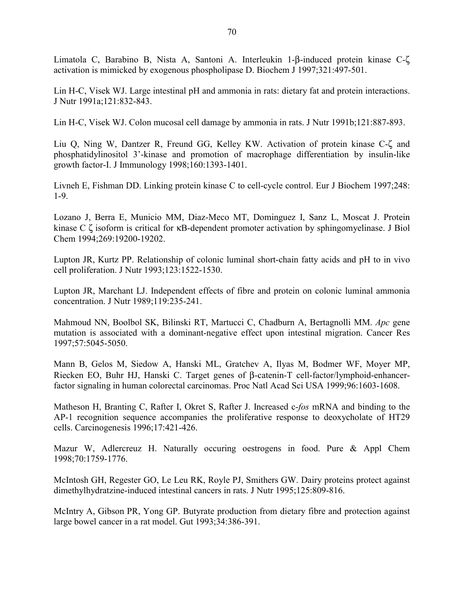Limatola C, Barabino B, Nista A, Santoni A. Interleukin 1-β-induced protein kinase C-ζ activation is mimicked by exogenous phospholipase D. Biochem J 1997;321:497-501.

Lin H-C, Visek WJ. Large intestinal pH and ammonia in rats: dietary fat and protein interactions. J Nutr 1991a;121:832-843.

Lin H-C, Visek WJ. Colon mucosal cell damage by ammonia in rats. J Nutr 1991b;121:887-893.

Liu Q, Ning W, Dantzer R, Freund GG, Kelley KW. Activation of protein kinase C-ζ and phosphatidylinositol 3'-kinase and promotion of macrophage differentiation by insulin-like growth factor-I. J Immunology 1998;160:1393-1401.

Livneh E, Fishman DD. Linking protein kinase C to cell-cycle control. Eur J Biochem 1997;248: 1-9.

Lozano J, Berra E, Municio MM, Diaz-Meco MT, Dominguez I, Sanz L, Moscat J. Protein kinase C ζ isoform is critical for κB-dependent promoter activation by sphingomyelinase. J Biol Chem 1994;269:19200-19202.

Lupton JR, Kurtz PP. Relationship of colonic luminal short-chain fatty acids and pH to in vivo cell proliferation. J Nutr 1993;123:1522-1530.

Lupton JR, Marchant LJ. Independent effects of fibre and protein on colonic luminal ammonia concentration. J Nutr 1989;119:235-241.

Mahmoud NN, Boolbol SK, Bilinski RT, Martucci C, Chadburn A, Bertagnolli MM. *Apc* gene mutation is associated with a dominant-negative effect upon intestinal migration. Cancer Res 1997;57:5045-5050.

Mann B, Gelos M, Siedow A, Hanski ML, Gratchev A, Ilyas M, Bodmer WF, Moyer MP, Riecken EO, Buhr HJ, Hanski C. Target genes of β-catenin-T cell-factor/lymphoid-enhancerfactor signaling in human colorectal carcinomas. Proc Natl Acad Sci USA 1999;96:1603-1608.

Matheson H, Branting C, Rafter I, Okret S, Rafter J. Increased c-*fos* mRNA and binding to the AP-1 recognition sequence accompanies the proliferative response to deoxycholate of HT29 cells. Carcinogenesis 1996;17:421-426.

Mazur W, Adlercreuz H. Naturally occuring oestrogens in food. Pure & Appl Chem 1998;70:1759-1776.

McIntosh GH, Regester GO, Le Leu RK, Royle PJ, Smithers GW. Dairy proteins protect against dimethylhydratzine-induced intestinal cancers in rats. J Nutr 1995;125:809-816.

McIntry A, Gibson PR, Yong GP. Butyrate production from dietary fibre and protection against large bowel cancer in a rat model. Gut 1993;34:386-391.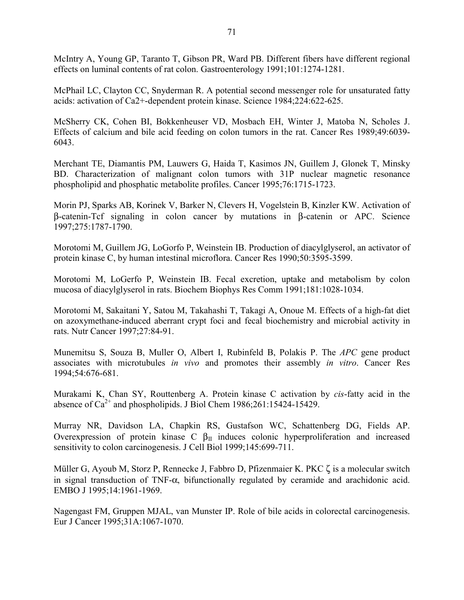McIntry A, Young GP, Taranto T, Gibson PR, Ward PB. Different fibers have different regional effects on luminal contents of rat colon. Gastroenterology 1991;101:1274-1281.

McPhail LC, Clayton CC, Snyderman R. A potential second messenger role for unsaturated fatty acids: activation of Ca2+-dependent protein kinase. Science 1984;224:622-625.

McSherry CK, Cohen BI, Bokkenheuser VD, Mosbach EH, Winter J, Matoba N, Scholes J. Effects of calcium and bile acid feeding on colon tumors in the rat. Cancer Res 1989;49:6039- 6043.

Merchant TE, Diamantis PM, Lauwers G, Haida T, Kasimos JN, Guillem J, Glonek T, Minsky BD. Characterization of malignant colon tumors with 31P nuclear magnetic resonance phospholipid and phosphatic metabolite profiles. Cancer 1995;76:1715-1723.

Morin PJ, Sparks AB, Korinek V, Barker N, Clevers H, Vogelstein B, Kinzler KW. Activation of β-catenin-Tcf signaling in colon cancer by mutations in β-catenin or APC. Science 1997;275:1787-1790.

Morotomi M, Guillem JG, LoGorfo P, Weinstein IB. Production of diacylglyserol, an activator of protein kinase C, by human intestinal microflora. Cancer Res 1990;50:3595-3599.

Morotomi M, LoGerfo P, Weinstein IB. Fecal excretion, uptake and metabolism by colon mucosa of diacylglyserol in rats. Biochem Biophys Res Comm 1991;181:1028-1034.

Morotomi M, Sakaitani Y, Satou M, Takahashi T, Takagi A, Onoue M. Effects of a high-fat diet on azoxymethane-induced aberrant crypt foci and fecal biochemistry and microbial activity in rats. Nutr Cancer 1997;27:84-91.

Munemitsu S, Souza B, Muller O, Albert I, Rubinfeld B, Polakis P. The *APC* gene product associates with microtubules *in vivo* and promotes their assembly *in vitro*. Cancer Res 1994;54:676-681.

Murakami K, Chan SY, Routtenberg A. Protein kinase C activation by *cis*-fatty acid in the absence of  $Ca^{2+}$  and phospholipids. J Biol Chem 1986;261:15424-15429.

Murray NR, Davidson LA, Chapkin RS, Gustafson WC, Schattenberg DG, Fields AP. Overexpression of protein kinase C  $β$ <sub>II</sub> induces colonic hyperproliferation and increased sensitivity to colon carcinogenesis. J Cell Biol 1999;145:699-711.

Müller G, Ayoub M, Storz P, Rennecke J, Fabbro D, Pfizenmaier K. PKC ζ is a molecular switch in signal transduction of TNF- $\alpha$ , bifunctionally regulated by ceramide and arachidonic acid. EMBO J 1995;14:1961-1969.

Nagengast FM, Gruppen MJAL, van Munster IP. Role of bile acids in colorectal carcinogenesis. Eur J Cancer 1995;31A:1067-1070.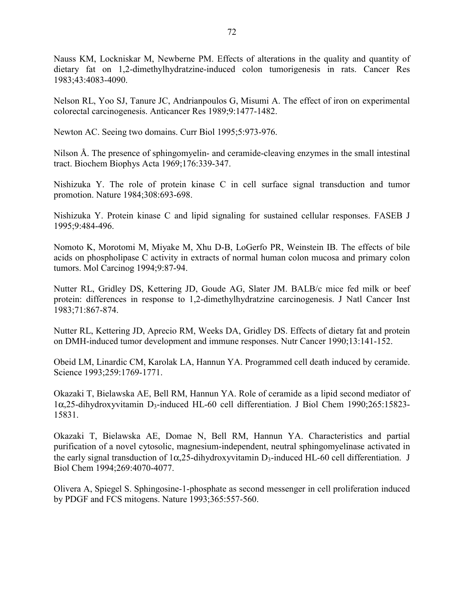Nauss KM, Lockniskar M, Newberne PM. Effects of alterations in the quality and quantity of dietary fat on 1,2-dimethylhydratzine-induced colon tumorigenesis in rats. Cancer Res 1983;43:4083-4090.

Nelson RL, Yoo SJ, Tanure JC, Andrianpoulos G, Misumi A. The effect of iron on experimental colorectal carcinogenesis. Anticancer Res 1989;9:1477-1482.

Newton AC. Seeing two domains. Curr Biol 1995;5:973-976.

Nilson Å. The presence of sphingomyelin- and ceramide-cleaving enzymes in the small intestinal tract. Biochem Biophys Acta 1969;176:339-347.

Nishizuka Y. The role of protein kinase C in cell surface signal transduction and tumor promotion. Nature 1984;308:693-698.

Nishizuka Y. Protein kinase C and lipid signaling for sustained cellular responses. FASEB J 1995;9:484-496.

Nomoto K, Morotomi M, Miyake M, Xhu D-B, LoGerfo PR, Weinstein IB. The effects of bile acids on phospholipase C activity in extracts of normal human colon mucosa and primary colon tumors. Mol Carcinog 1994;9:87-94.

Nutter RL, Gridley DS, Kettering JD, Goude AG, Slater JM. BALB/c mice fed milk or beef protein: differences in response to 1,2-dimethylhydratzine carcinogenesis. J Natl Cancer Inst 1983;71:867-874.

Nutter RL, Kettering JD, Aprecio RM, Weeks DA, Gridley DS. Effects of dietary fat and protein on DMH-induced tumor development and immune responses. Nutr Cancer 1990;13:141-152.

Obeid LM, Linardic CM, Karolak LA, Hannun YA. Programmed cell death induced by ceramide. Science 1993;259:1769-1771.

Okazaki T, Bielawska AE, Bell RM, Hannun YA. Role of ceramide as a lipid second mediator of 1α,25-dihydroxyvitamin D3-induced HL-60 cell differentiation. J Biol Chem 1990;265:15823- 15831.

Okazaki T, Bielawska AE, Domae N, Bell RM, Hannun YA. Characteristics and partial purification of a novel cytosolic, magnesium-independent, neutral sphingomyelinase activated in the early signal transduction of  $1\alpha$ , 25-dihydroxyvitamin D<sub>3</sub>-induced HL-60 cell differentiation. J Biol Chem 1994;269:4070-4077.

Olivera A, Spiegel S. Sphingosine-1-phosphate as second messenger in cell proliferation induced by PDGF and FCS mitogens. Nature 1993;365:557-560.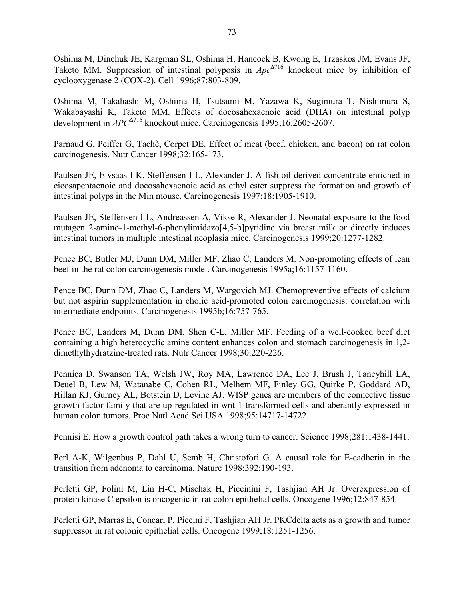Oshima M, Dinchuk JE, Kargman SL, Oshima H, Hancock B, Kwong E, Trzaskos JM, Evans JF, Taketo MM. Suppression of intestinal polyposis in *Apc*<sup>∆</sup>716 knockout mice by inhibition of cyclooxygenase 2 (COX-2). Cell 1996;87:803-809.

Oshima M, Takahashi M, Oshima H, Tsutsumi M, Yazawa K, Sugimura T, Nishimura S, Wakabayashi K, Taketo MM. Effects of docosahexaenoic acid (DHA) on intestinal polyp development in *APC*<sup>∆</sup>716 knockout mice. Carcinogenesis 1995;16:2605-2607.

Parnaud G, Peiffer G, Tachè, Corpet DE. Effect of meat (beef, chicken, and bacon) on rat colon carcinogenesis. Nutr Cancer 1998;32:165-173.

Paulsen JE, Elvsaas I-K, Steffensen I-L, Alexander J. A fish oil derived concentrate enriched in eicosapentaenoic and docosahexaenoic acid as ethyl ester suppress the formation and growth of intestinal polyps in the Min mouse. Carcinogenesis 1997;18:1905-1910.

Paulsen JE, Steffensen I-L, Andreassen A, Vikse R, Alexander J. Neonatal exposure to the food mutagen 2-amino-1-methyl-6-phenylimidazo[4,5-b]pyridine via breast milk or directly induces intestinal tumors in multiple intestinal neoplasia mice. Carcinogenesis 1999;20:1277-1282.

Pence BC, Butler MJ, Dunn DM, Miller MF, Zhao C, Landers M. Non-promoting effects of lean beef in the rat colon carcinogenesis model. Carcinogenesis 1995a;16:1157-1160.

Pence BC, Dunn DM, Zhao C, Landers M, Wargovich MJ. Chemopreventive effects of calcium but not aspirin supplementation in cholic acid-promoted colon carcinogenesis: correlation with intermediate endpoints. Carcinogenesis 1995b;16:757-765.

Pence BC, Landers M, Dunn DM, Shen C-L, Miller MF. Feeding of a well-cooked beef diet containing a high heterocyclic amine content enhances colon and stomach carcinogenesis in 1,2 dimethylhydratzine-treated rats. Nutr Cancer 1998;30:220-226.

Pennica D, Swanson TA, Welsh JW, Roy MA, Lawrence DA, Lee J, Brush J, Taneyhill LA, Deuel B, Lew M, Watanabe C, Cohen RL, Melhem MF, Finley GG, Quirke P, Goddard AD, Hillan KJ, Gurney AL, Botstein D, Levine AJ. WISP genes are members of the connective tissue growth factor family that are up-regulated in wnt-1-transformed cells and aberantly expressed in human colon tumors. Proc Natl Acad Sci USA 1998;95:14717-14722.

Pennisi E. How a growth control path takes a wrong turn to cancer. Science 1998;281:1438-1441.

Perl A-K, Wilgenbus P, Dahl U, Semb H, Christofori G. A causal role for E-cadherin in the transition from adenoma to carcinoma. Nature 1998;392:190-193.

Perletti GP, Folini M, Lin H-C, Mischak H, Piccinini F, Tashjian AH Jr. Overexpression of protein kinase C epsilon is oncogenic in rat colon epithelial cells. Oncogene 1996;12:847-854.

Perletti GP, Marras E, Concari P, Piccini F, Tashjian AH Jr. PKCdelta acts as a growth and tumor suppressor in rat colonic epithelial cells. Oncogene 1999;18:1251-1256.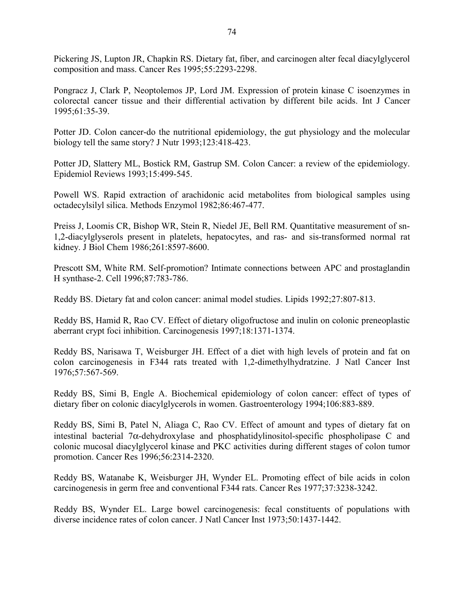Pickering JS, Lupton JR, Chapkin RS. Dietary fat, fiber, and carcinogen alter fecal diacylglycerol composition and mass. Cancer Res 1995;55:2293-2298.

Pongracz J, Clark P, Neoptolemos JP, Lord JM. Expression of protein kinase C isoenzymes in colorectal cancer tissue and their differential activation by different bile acids. Int J Cancer 1995;61:35-39.

Potter JD. Colon cancer-do the nutritional epidemiology, the gut physiology and the molecular biology tell the same story? J Nutr 1993;123:418-423.

Potter JD, Slattery ML, Bostick RM, Gastrup SM. Colon Cancer: a review of the epidemiology. Epidemiol Reviews 1993;15:499-545.

Powell WS. Rapid extraction of arachidonic acid metabolites from biological samples using octadecylsilyl silica. Methods Enzymol 1982;86:467-477.

Preiss J, Loomis CR, Bishop WR, Stein R, Niedel JE, Bell RM. Quantitative measurement of sn-1,2-diacylglyserols present in platelets, hepatocytes, and ras- and sis-transformed normal rat kidney. J Biol Chem 1986;261:8597-8600.

Prescott SM, White RM. Self-promotion? Intimate connections between APC and prostaglandin H synthase-2. Cell 1996;87:783-786.

Reddy BS. Dietary fat and colon cancer: animal model studies. Lipids 1992;27:807-813.

Reddy BS, Hamid R, Rao CV. Effect of dietary oligofructose and inulin on colonic preneoplastic aberrant crypt foci inhibition. Carcinogenesis 1997;18:1371-1374.

Reddy BS, Narisawa T, Weisburger JH. Effect of a diet with high levels of protein and fat on colon carcinogenesis in F344 rats treated with 1,2-dimethylhydratzine. J Natl Cancer Inst 1976;57:567-569.

Reddy BS, Simi B, Engle A. Biochemical epidemiology of colon cancer: effect of types of dietary fiber on colonic diacylglycerols in women. Gastroenterology 1994;106:883-889.

Reddy BS, Simi B, Patel N, Aliaga C, Rao CV. Effect of amount and types of dietary fat on intestinal bacterial 7 $\alpha$ -dehydroxylase and phosphatidylinositol-specific phospholipase C and colonic mucosal diacylglycerol kinase and PKC activities during different stages of colon tumor promotion. Cancer Res 1996;56:2314-2320.

Reddy BS, Watanabe K, Weisburger JH, Wynder EL. Promoting effect of bile acids in colon carcinogenesis in germ free and conventional F344 rats. Cancer Res 1977;37:3238-3242.

Reddy BS, Wynder EL. Large bowel carcinogenesis: fecal constituents of populations with diverse incidence rates of colon cancer. J Natl Cancer Inst 1973;50:1437-1442.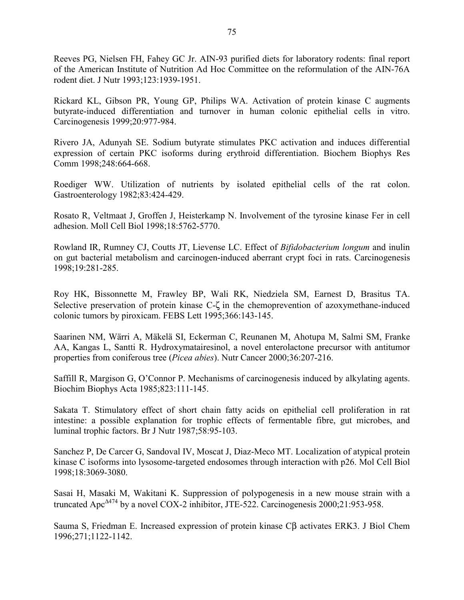Reeves PG, Nielsen FH, Fahey GC Jr. AIN-93 purified diets for laboratory rodents: final report of the American Institute of Nutrition Ad Hoc Committee on the reformulation of the AIN-76A rodent diet. J Nutr 1993;123:1939-1951.

Rickard KL, Gibson PR, Young GP, Philips WA. Activation of protein kinase C augments butyrate-induced differentiation and turnover in human colonic epithelial cells in vitro. Carcinogenesis 1999;20:977-984.

Rivero JA, Adunyah SE. Sodium butyrate stimulates PKC activation and induces differential expression of certain PKC isoforms during erythroid differentiation. Biochem Biophys Res Comm 1998;248:664-668.

Roediger WW. Utilization of nutrients by isolated epithelial cells of the rat colon. Gastroenterology 1982;83:424-429.

Rosato R, Veltmaat J, Groffen J, Heisterkamp N. Involvement of the tyrosine kinase Fer in cell adhesion. Moll Cell Biol 1998;18:5762-5770.

Rowland IR, Rumney CJ, Coutts JT, Lievense LC. Effect of *Bifidobacterium longum* and inulin on gut bacterial metabolism and carcinogen-induced aberrant crypt foci in rats. Carcinogenesis 1998;19:281-285.

Roy HK, Bissonnette M, Frawley BP, Wali RK, Niedziela SM, Earnest D, Brasitus TA. Selective preservation of protein kinase C-ζ in the chemoprevention of azoxymethane-induced colonic tumors by piroxicam. FEBS Lett 1995;366:143-145.

Saarinen NM, Wärri A, Mäkelä SI, Eckerman C, Reunanen M, Ahotupa M, Salmi SM, Franke AA, Kangas L, Santti R. Hydroxymatairesinol, a novel enterolactone precursor with antitumor properties from coniferous tree (*Picea abies*). Nutr Cancer 2000;36:207-216.

Saffill R, Margison G, O'Connor P. Mechanisms of carcinogenesis induced by alkylating agents. Biochim Biophys Acta 1985;823:111-145.

Sakata T. Stimulatory effect of short chain fatty acids on epithelial cell proliferation in rat intestine: a possible explanation for trophic effects of fermentable fibre, gut microbes, and luminal trophic factors. Br J Nutr 1987;58:95-103.

Sanchez P, De Carcer G, Sandoval IV, Moscat J, Diaz-Meco MT. Localization of atypical protein kinase C isoforms into lysosome-targeted endosomes through interaction with p26. Mol Cell Biol 1998;18:3069-3080.

Sasai H, Masaki M, Wakitani K. Suppression of polypogenesis in a new mouse strain with a truncated Apc<sup>∆</sup>474 by a novel COX-2 inhibitor, JTE-522. Carcinogenesis 2000;21:953-958.

Sauma S, Friedman E. Increased expression of protein kinase Cβ activates ERK3. J Biol Chem 1996;271;1122-1142.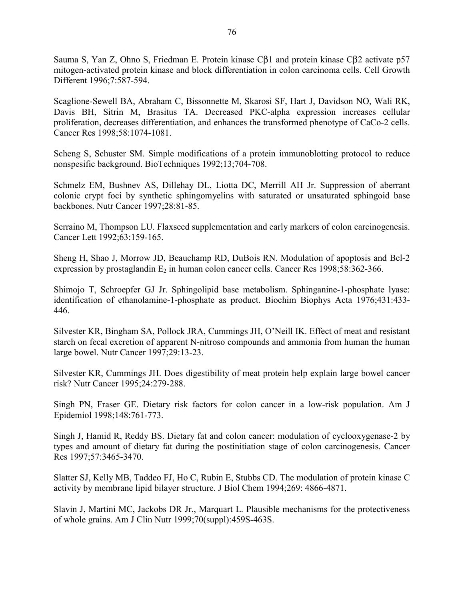Sauma S, Yan Z, Ohno S, Friedman E. Protein kinase Cβ1 and protein kinase Cβ2 activate p57 mitogen-activated protein kinase and block differentiation in colon carcinoma cells. Cell Growth Different 1996;7:587-594.

Scaglione-Sewell BA, Abraham C, Bissonnette M, Skarosi SF, Hart J, Davidson NO, Wali RK, Davis BH, Sitrin M, Brasitus TA. Decreased PKC-alpha expression increases cellular proliferation, decreases differentiation, and enhances the transformed phenotype of CaCo-2 cells. Cancer Res 1998;58:1074-1081.

Scheng S, Schuster SM. Simple modifications of a protein immunoblotting protocol to reduce nonspesific background. BioTechniques 1992;13;704-708.

Schmelz EM, Bushnev AS, Dillehay DL, Liotta DC, Merrill AH Jr. Suppression of aberrant colonic crypt foci by synthetic sphingomyelins with saturated or unsaturated sphingoid base backbones. Nutr Cancer 1997;28:81-85.

Serraino M, Thompson LU. Flaxseed supplementation and early markers of colon carcinogenesis. Cancer Lett 1992;63:159-165.

Sheng H, Shao J, Morrow JD, Beauchamp RD, DuBois RN. Modulation of apoptosis and Bcl-2 expression by prostaglandin  $E_2$  in human colon cancer cells. Cancer Res 1998;58:362-366.

Shimojo T, Schroepfer GJ Jr. Sphingolipid base metabolism. Sphinganine-1-phosphate lyase: identification of ethanolamine-1-phosphate as product. Biochim Biophys Acta 1976;431:433- 446.

Silvester KR, Bingham SA, Pollock JRA, Cummings JH, O'Neill IK. Effect of meat and resistant starch on fecal excretion of apparent N-nitroso compounds and ammonia from human the human large bowel. Nutr Cancer 1997;29:13-23.

Silvester KR, Cummings JH. Does digestibility of meat protein help explain large bowel cancer risk? Nutr Cancer 1995;24:279-288.

Singh PN, Fraser GE. Dietary risk factors for colon cancer in a low-risk population. Am J Epidemiol 1998;148:761-773.

Singh J, Hamid R, Reddy BS. Dietary fat and colon cancer: modulation of cyclooxygenase-2 by types and amount of dietary fat during the postinitiation stage of colon carcinogenesis. Cancer Res 1997;57:3465-3470.

Slatter SJ, Kelly MB, Taddeo FJ, Ho C, Rubin E, Stubbs CD. The modulation of protein kinase C activity by membrane lipid bilayer structure. J Biol Chem 1994;269: 4866-4871.

Slavin J, Martini MC, Jackobs DR Jr., Marquart L. Plausible mechanisms for the protectiveness of whole grains. Am J Clin Nutr 1999;70(suppl):459S-463S.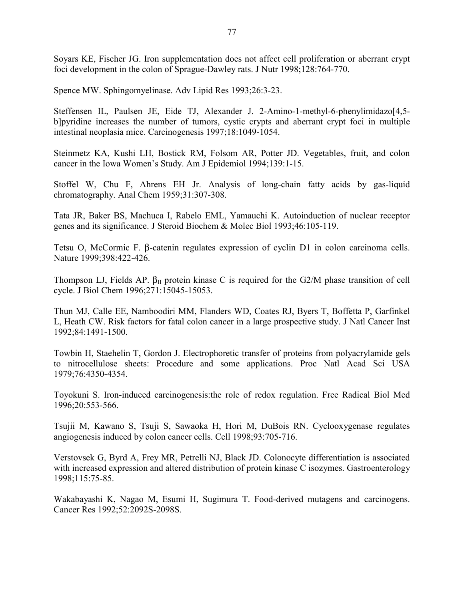Soyars KE, Fischer JG. Iron supplementation does not affect cell proliferation or aberrant crypt foci development in the colon of Sprague-Dawley rats. J Nutr 1998;128:764-770.

Spence MW. Sphingomyelinase. Adv Lipid Res 1993;26:3-23.

Steffensen IL, Paulsen JE, Eide TJ, Alexander J. 2-Amino-1-methyl-6-phenylimidazo[4,5 b]pyridine increases the number of tumors, cystic crypts and aberrant crypt foci in multiple intestinal neoplasia mice. Carcinogenesis 1997;18:1049-1054.

Steinmetz KA, Kushi LH, Bostick RM, Folsom AR, Potter JD. Vegetables, fruit, and colon cancer in the Iowa Women's Study. Am J Epidemiol 1994;139:1-15.

Stoffel W, Chu F, Ahrens EH Jr. Analysis of long-chain fatty acids by gas-liquid chromatography. Anal Chem 1959;31:307-308.

Tata JR, Baker BS, Machuca I, Rabelo EML, Yamauchi K. Autoinduction of nuclear receptor genes and its significance. J Steroid Biochem & Molec Biol 1993;46:105-119.

Tetsu O, McCormic F. β-catenin regulates expression of cyclin D1 in colon carcinoma cells. Nature 1999;398:422-426.

Thompson LJ, Fields AP.  $\beta_{II}$  protein kinase C is required for the G2/M phase transition of cell cycle. J Biol Chem 1996;271:15045-15053.

Thun MJ, Calle EE, Namboodiri MM, Flanders WD, Coates RJ, Byers T, Boffetta P, Garfinkel L, Heath CW. Risk factors for fatal colon cancer in a large prospective study. J Natl Cancer Inst 1992;84:1491-1500.

Towbin H, Staehelin T, Gordon J. Electrophoretic transfer of proteins from polyacrylamide gels to nitrocellulose sheets: Procedure and some applications. Proc Natl Acad Sci USA 1979;76:4350-4354.

Toyokuni S. Iron-induced carcinogenesis:the role of redox regulation. Free Radical Biol Med 1996;20:553-566.

Tsujii M, Kawano S, Tsuji S, Sawaoka H, Hori M, DuBois RN. Cyclooxygenase regulates angiogenesis induced by colon cancer cells. Cell 1998;93:705-716.

Verstovsek G, Byrd A, Frey MR, Petrelli NJ, Black JD. Colonocyte differentiation is associated with increased expression and altered distribution of protein kinase C isozymes. Gastroenterology 1998;115:75-85.

Wakabayashi K, Nagao M, Esumi H, Sugimura T. Food-derived mutagens and carcinogens. Cancer Res 1992;52:2092S-2098S.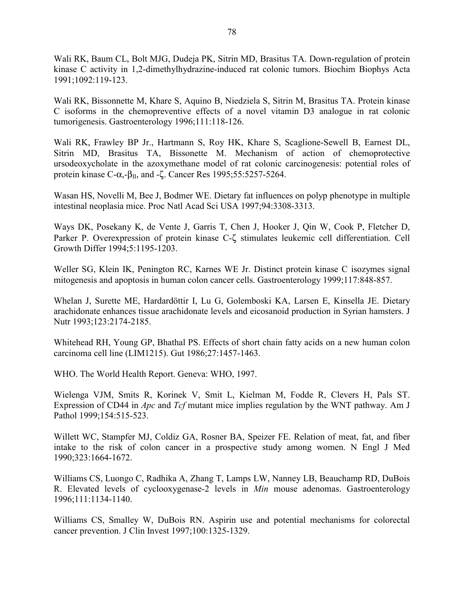Wali RK, Baum CL, Bolt MJG, Dudeja PK, Sitrin MD, Brasitus TA. Down-regulation of protein kinase C activity in 1,2-dimethylhydrazine-induced rat colonic tumors. Biochim Biophys Acta 1991;1092:119-123.

Wali RK, Bissonnette M, Khare S, Aquino B, Niedziela S, Sitrin M, Brasitus TA. Protein kinase C isoforms in the chemopreventive effects of a novel vitamin D3 analogue in rat colonic tumorigenesis. Gastroenterology 1996;111:118-126.

Wali RK, Frawley BP Jr., Hartmann S, Roy HK, Khare S, Scaglione-Sewell B, Earnest DL, Sitrin MD, Brasitus TA, Bissonette M. Mechanism of action of chemoprotective ursodeoxycholate in the azoxymethane model of rat colonic carcinogenesis: potential roles of protein kinase C-α,- $β$ <sub>II</sub>, and -ζ. Cancer Res 1995;55:5257-5264.

Wasan HS, Novelli M, Bee J, Bodmer WE. Dietary fat influences on polyp phenotype in multiple intestinal neoplasia mice. Proc Natl Acad Sci USA 1997;94:3308-3313.

Ways DK, Posekany K, de Vente J, Garris T, Chen J, Hooker J, Qin W, Cook P, Fletcher D, Parker P. Overexpression of protein kinase C-ζ stimulates leukemic cell differentiation. Cell Growth Differ 1994;5:1195-1203.

Weller SG, Klein IK, Penington RC, Karnes WE Jr. Distinct protein kinase C isozymes signal mitogenesis and apoptosis in human colon cancer cells. Gastroenterology 1999;117:848-857.

Whelan J, Surette ME, Hardardöttir I, Lu G, Golemboski KA, Larsen E, Kinsella JE. Dietary arachidonate enhances tissue arachidonate levels and eicosanoid production in Syrian hamsters. J Nutr 1993;123:2174-2185.

Whitehead RH, Young GP, Bhathal PS. Effects of short chain fatty acids on a new human colon carcinoma cell line (LIM1215). Gut 1986;27:1457-1463.

WHO. The World Health Report. Geneva: WHO, 1997.

Wielenga VJM, Smits R, Korinek V, Smit L, Kielman M, Fodde R, Clevers H, Pals ST. Expression of CD44 in *Apc* and *Tcf* mutant mice implies regulation by the WNT pathway. Am J Pathol 1999;154:515-523.

Willett WC, Stampfer MJ, Coldiz GA, Rosner BA, Speizer FE. Relation of meat, fat, and fiber intake to the risk of colon cancer in a prospective study among women. N Engl J Med 1990;323:1664-1672.

Williams CS, Luongo C, Radhika A, Zhang T, Lamps LW, Nanney LB, Beauchamp RD, DuBois R. Elevated levels of cyclooxygenase-2 levels in *Min* mouse adenomas. Gastroenterology 1996;111:1134-1140.

Williams CS, Smalley W, DuBois RN. Aspirin use and potential mechanisms for colorectal cancer prevention. J Clin Invest 1997;100:1325-1329.